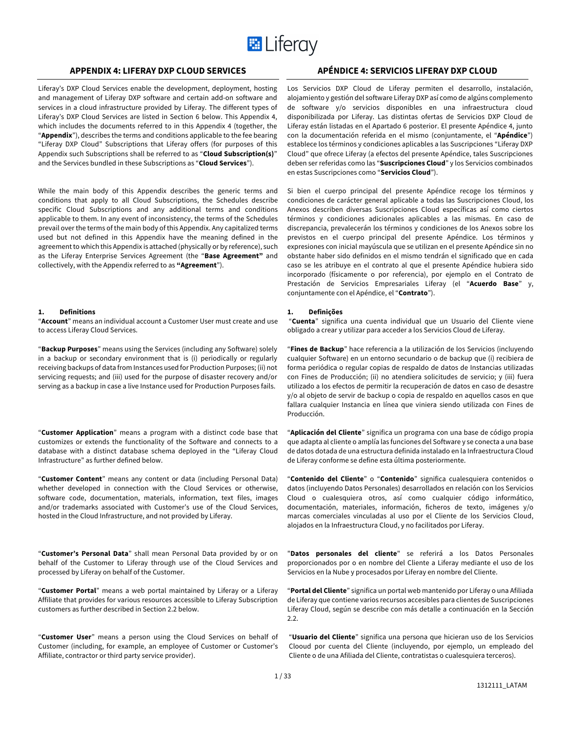

## **APPENDIX 4: LIFERAY DXP CLOUD SERVICES APÉNDICE 4: SERVICIOS LIFERAY DXP CLOUD**

Liferay's DXP Cloud Services enable the development, deployment, hosting and management of Liferay DXP software and certain add-on software and services in a cloud infrastructure provided by Liferay. The different types of Liferay's DXP Cloud Services are listed in Section 6 below. This Appendix 4, which includes the documents referred to in this Appendix 4 (together, the "**Appendix**"), describes the terms and conditions applicable to the fee bearing "Liferay DXP Cloud" Subscriptions that Liferay offers (for purposes of this Appendix such Subscriptions shall be referred to as "**Cloud Subscription(s)**" and the Services bundled in these Subscriptions as "**Cloud Services**").

While the main body of this Appendix describes the generic terms and conditions that apply to all Cloud Subscriptions, the Schedules describe specific Cloud Subscriptions and any additional terms and conditions applicable to them. In any event of inconsistency, the terms of the Schedules prevail over the terms of the main body of this Appendix. Any capitalized terms used but not defined in this Appendix have the meaning defined in the agreement to which this Appendix is attached (physically or by reference), such as the Liferay Enterprise Services Agreement (the "**Base Agreement"** and collectively, with the Appendix referred to as **"Agreement**").

#### **1. Definitions**

"**Account**" means an individual account a Customer User must create and use to access Liferay Cloud Services.

"**Backup Purposes**" means using the Services (including any Software) solely in a backup or secondary environment that is (i) periodically or regularly receiving backups of data from Instances used for Production Purposes; (ii) not servicing requests; and (iii) used for the purpose of disaster recovery and/or serving as a backup in case a live Instance used for Production Purposes fails.

"**Customer Application**" means a program with a distinct code base that customizes or extends the functionality of the Software and connects to a database with a distinct database schema deployed in the "Liferay Cloud Infrastructure" as further defined below.

"**Customer Content**" means any content or data (including Personal Data) whether developed in connection with the Cloud Services or otherwise, software code, documentation, materials, information, text files, images and/or trademarks associated with Customer's use of the Cloud Services, hosted in the Cloud Infrastructure, and not provided by Liferay.

"**Customer's Personal Data**" shall mean Personal Data provided by or on behalf of the Customer to Liferay through use of the Cloud Services and processed by Liferay on behalf of the Customer.

"**Customer Portal**" means a web portal maintained by Liferay or a Liferay Affiliate that provides for various resources accessible to Liferay Subscription customers as further described in Section 2.2 below.

"**Customer User**" means a person using the Cloud Services on behalf of Customer (including, for example, an employee of Customer or Customer's Affiliate, contractor or third party service provider).

Los Servicios DXP Cloud de Liferay permiten el desarrollo, instalación, alojamiento y gestión del software Liferay DXP así como de algúns complemento de software y/o servicios disponibles en una infraestructura cloud disponibilizada por Liferay. Las distintas ofertas de Servicios DXP Cloud de Liferay están listadas en el Apartado 6 posterior. El presente Apéndice 4, junto con la documentación referida en el mismo (conjuntamente, el "**Apéndice**") establece los términos y condiciones aplicables a las Suscripciones "Liferay DXP Cloud" que ofrece Liferay (a efectos del presente Apéndice, tales Suscripciones deben ser referidas como las "**Suscripciones Cloud**" y los Servicios combinados en estas Suscripciones como "**Servicios Cloud**").

Si bien el cuerpo principal del presente Apéndice recoge los términos y condiciones de carácter general aplicable a todas las Suscripciones Cloud, los Anexos describen diversas Suscripciones Cloud específicas así como ciertos términos y condiciones adicionales aplicables a las mismas. En caso de discrepancia, prevalecerán los términos y condiciones de los Anexos sobre los previstos en el cuerpo principal del presente Apéndice. Los términos y expresiones con inicial mayúscula que se utilizan en el presente Apéndice sin no obstante haber sido definidos en el mismo tendrán el significado que en cada caso se les atribuye en el contrato al que el presente Apéndice hubiera sido incorporado (físicamente o por referencia), por ejemplo en el Contrato de Prestación de Servicios Empresariales Liferay (el "**Acuerdo Base**" y, conjuntamente con el Apéndice, el "**Contrato**").

#### **1. Definições**

"**Cuenta**" significa una cuenta individual que un Usuario del Cliente viene obligado a crear y utilizar para acceder a los Servicios Cloud de Liferay.

"**Fines de Backup**" hace referencia a la utilización de los Servicios (incluyendo cualquier Software) en un entorno secundario o de backup que (i) recibiera de forma periódica o regular copias de respaldo de datos de Instancias utilizadas con Fines de Producción; (ii) no atendiera solicitudes de servicio; y (iii) fuera utilizado a los efectos de permitir la recuperación de datos en caso de desastre y/o al objeto de servir de backup o copia de respaldo en aquellos casos en que fallara cualquier Instancia en línea que viniera siendo utilizada con Fines de Producción.

"**Aplicación del Cliente**" significa un programa con una base de código propia que adapta al cliente o amplía las funciones del Software y se conecta a una base de datos dotada de una estructura definida instalado en la Infraestructura Cloud de Liferay conforme se define esta última posteriormente.

"**Contenido del Cliente**" o "**Contenido**" significa cualesquiera contenidos o datos (incluyendo Datos Personales) desarrollados en relación con los Servicios Cloud o cualesquiera otros, así como cualquier código informático, documentación, materiales, información, ficheros de texto, imágenes y/o marcas comerciales vinculadas al uso por el Cliente de los Servicios Cloud, alojados en la Infraestructura Cloud, y no facilitados por Liferay.

"**Datos personales del cliente**" se referirá a los Datos Personales proporcionados por o en nombre del Cliente a Liferay mediante el uso de los Servicios en la Nube y procesados por Liferay en nombre del Cliente.

"**Portal del Cliente**" significa un portal web mantenido por Liferay o una Afiliada de Liferay que contiene varios recursos accesibles para clientes de Suscripciones Liferay Cloud, según se describe con más detalle a continuación en la Sección 2.2.

"**Usuario del Cliente**" significa una persona que hicieran uso de los Servicios Clooud por cuenta del Cliente (incluyendo, por ejemplo, un empleado del Cliente o de una Afiliada del Cliente, contratistas o cualesquiera terceros).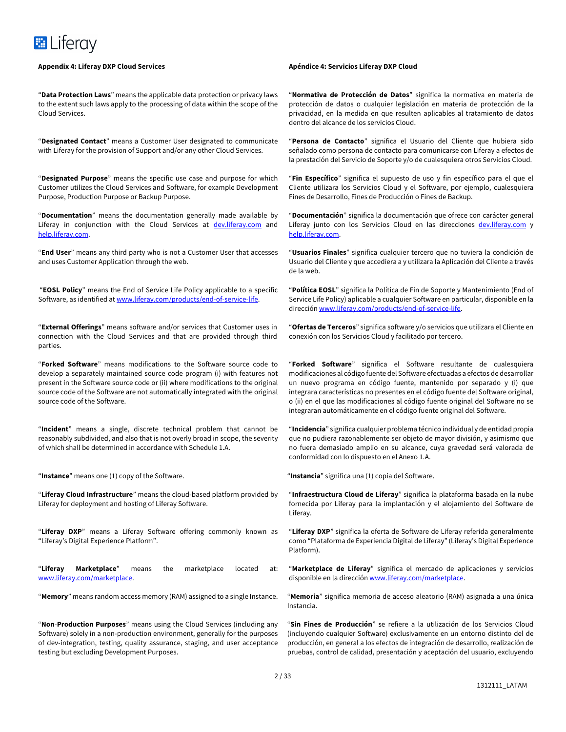#### **Appendix 4: Liferay DXP Cloud Services Apéndice 4: Servicios Liferay DXP Cloud**

"**Data Protection Laws**" means the applicable data protection or privacy laws to the extent such laws apply to the processing of data within the scope of the Cloud Services.

"**Designated Contact**" means a Customer User designated to communicate with Liferay for the provision of Support and/or any other Cloud Services.

"**Designated Purpose**" means the specific use case and purpose for which Customer utilizes the Cloud Services and Software, for example Development Purpose, Production Purpose or Backup Purpose.

"**Documentation**" means the documentation generally made available by Liferay in conjunction with the Cloud Services at dev.liferay.com and help.liferay.com.

"**End User**" means any third party who is not a Customer User that accesses and uses Customer Application through the web.

"**EOSL Policy**" means the End of Service Life Policy applicable to a specific Software, as identified at www.liferay.com/products/end-of-service-life.

"**External Offerings**" means software and/or services that Customer uses in connection with the Cloud Services and that are provided through third parties.

"**Forked Software**" means modifications to the Software source code to develop a separately maintained source code program (i) with features not present in the Software source code or (ii) where modifications to the original source code of the Software are not automatically integrated with the original source code of the Software.

"**Incident**" means a single, discrete technical problem that cannot be reasonably subdivided, and also that is not overly broad in scope, the severity of which shall be determined in accordance with Schedule 1.A.

"**Instance**" means one (1) copy of the Software.

"**Liferay Cloud Infrastructure**" means the cloud-based platform provided by Liferay for deployment and hosting of Liferay Software.

"**Liferay DXP**" means a Liferay Software offering commonly known as "Liferay's Digital Experience Platform".

"**Liferay Marketplace**" means the marketplace located at: www.liferay.com/marketplace.

"**Memory**" means random access memory (RAM) assigned to a single Instance.

"**Non**-**Production Purposes**" means using the Cloud Services (including any Software) solely in a non-production environment, generally for the purposes of dev-integration, testing, quality assurance, staging, and user acceptance testing but excluding Development Purposes.

"**Normativa de Protección de Datos**" significa la normativa en materia de protección de datos o cualquier legislación en materia de protección de la privacidad, en la medida en que resulten aplicables al tratamiento de datos dentro del alcance de los servicios Cloud.

"**Persona de Contacto**" significa el Usuario del Cliente que hubiera sido señalado como persona de contacto para comunicarse con Liferay a efectos de la prestación del Servicio de Soporte y/o de cualesquiera otros Servicios Cloud.

"**Fin Específico**" significa el supuesto de uso y fin específico para el que el Cliente utilizara los Servicios Cloud y el Software, por ejemplo, cualesquiera Fines de Desarrollo, Fines de Producción o Fines de Backup.

"**Documentación**" significa la documentación que ofrece con carácter general Liferay junto con los Servicios Cloud en las direcciones dev.liferay.com y help.liferay.com.

"**Usuarios Finales**" significa cualquier tercero que no tuviera la condición de Usuario del Cliente y que accediera a y utilizara la Aplicación del Cliente a través de la web.

"**Política EOSL**" significa la Política de Fin de Soporte y Mantenimiento (End of Service Life Policy) aplicable a cualquier Software en particular, disponible en la dirección www.liferay.com/products/end-of-service-life.

"**Ofertas de Terceros**" significa software y/o servicios que utilizara el Cliente en conexión con los Servicios Cloud y facilitado por tercero.

"**Forked Software**" significa el Software resultante de cualesquiera modificaciones al código fuente del Software efectuadas a efectos de desarrollar un nuevo programa en código fuente, mantenido por separado y (i) que integrara características no presentes en el código fuente del Software original, o (ii) en el que las modificaciones al código fuente original del Software no se integraran automáticamente en el código fuente original del Software.

"**Incidencia**" significa cualquier problema técnico individual y de entidad propia que no pudiera razonablemente ser objeto de mayor división, y asimismo que no fuera demasiado amplio en su alcance, cuya gravedad será valorada de conformidad con lo dispuesto en el Anexo 1.A.

"**Instancia**" significa una (1) copia del Software.

"**Infraestructura Cloud de Liferay**" significa la plataforma basada en la nube fornecida por Liferay para la implantación y el alojamiento del Software de Liferay.

"**Liferay DXP**" significa la oferta de Software de Liferay referida generalmente como "Plataforma de Experiencia Digital de Liferay" (Liferay's Digital Experience Platform).

"**Marketplace de Liferay**" significa el mercado de aplicaciones y servicios disponible en la dirección www.liferay.com/marketplace.

"**Memoria**" significa memoria de acceso aleatorio (RAM) asignada a una única Instancia.

"**Sin Fines de Producción**" se refiere a la utilización de los Servicios Cloud (incluyendo cualquier Software) exclusivamente en un entorno distinto del de producción, en general a los efectos de integración de desarrollo, realización de pruebas, control de calidad, presentación y aceptación del usuario, excluyendo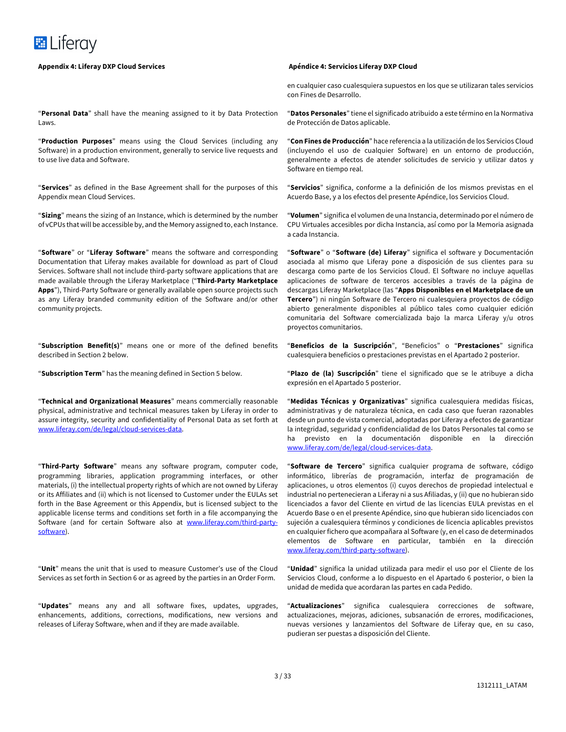

"**Personal Data**" shall have the meaning assigned to it by Data Protection Laws.

"**Production Purposes**" means using the Cloud Services (including any Software) in a production environment, generally to service live requests and to use live data and Software.

"**Services**" as defined in the Base Agreement shall for the purposes of this Appendix mean Cloud Services.

"**Sizing**" means the sizing of an Instance, which is determined by the number of vCPUs that will be accessible by, and the Memory assigned to, each Instance.

"**Software**" or "**Liferay Software**" means the software and corresponding Documentation that Liferay makes available for download as part of Cloud Services. Software shall not include third-party software applications that are made available through the Liferay Marketplace ("**Third-Party Marketplace Apps**"), Third-Party Software or generally available open source projects such as any Liferay branded community edition of the Software and/or other community projects.

"**Subscription Benefit(s)**" means one or more of the defined benefits described in Section 2 below.

"**Subscription Term**" has the meaning defined in Section 5 below.

"**Technical and Organizational Measures**" means commercially reasonable physical, administrative and technical measures taken by Liferay in order to assure integrity, security and confidentiality of Personal Data as set forth at www.liferay.com/de/legal/cloud-services-data.

"**Third-Party Software**" means any software program, computer code, programming libraries, application programming interfaces, or other materials, (i) the intellectual property rights of which are not owned by Liferay or its Affiliates and (ii) which is not licensed to Customer under the EULAs set forth in the Base Agreement or this Appendix, but is licensed subject to the applicable license terms and conditions set forth in a file accompanying the Software (and for certain Software also at www.liferay.com/third-partysoftware).

"**Unit**" means the unit that is used to measure Customer's use of the Cloud Services as set forth in Section 6 or as agreed by the parties in an Order Form.

"**Updates**" means any and all software fixes, updates, upgrades, enhancements, additions, corrections, modifications, new versions and releases of Liferay Software, when and if they are made available.

en cualquier caso cualesquiera supuestos en los que se utilizaran tales servicios con Fines de Desarrollo.

"**Datos Personales**" tiene el significado atribuido a este término en la Normativa de Protección de Datos aplicable.

"**Con Fines de Producción**" hace referencia a la utilización de los Servicios Cloud (incluyendo el uso de cualquier Software) en un entorno de producción, generalmente a efectos de atender solicitudes de servicio y utilizar datos y Software en tiempo real.

"**Servicios**" significa, conforme a la definición de los mismos previstas en el Acuerdo Base, y a los efectos del presente Apéndice, los Servicios Cloud.

"**Volumen**" significa el volumen de una Instancia, determinado por el número de CPU Virtuales accesibles por dicha Instancia, así como por la Memoria asignada a cada Instancia.

"**Software**" o "**Software (de) Liferay**" significa el software y Documentación asociada al mismo que Liferay pone a disposición de sus clientes para su descarga como parte de los Servicios Cloud. El Software no incluye aquellas aplicaciones de software de terceros accesibles a través de la página de descargas Liferay Marketplace (las "**Apps Disponibles en el Marketplace de un Tercero**") ni ningún Software de Tercero ni cualesquiera proyectos de código abierto generalmente disponibles al público tales como cualquier edición comunitaria del Software comercializada bajo la marca Liferay y/u otros proyectos comunitarios.

"**Beneficios de la Suscripción**", "Beneficios" o "**Prestaciones**" significa cualesquiera beneficios o prestaciones previstas en el Apartado 2 posterior.

"**Plazo de (la) Suscripción**" tiene el significado que se le atribuye a dicha expresión en el Apartado 5 posterior.

"**Medidas Técnicas y Organizativas**" significa cualesquiera medidas físicas, administrativas y de naturaleza técnica, en cada caso que fueran razonables desde un punto de vista comercial, adoptadas por Liferay a efectos de garantizar la integridad, seguridad y confidencialidad de los Datos Personales tal como se ha previsto en la documentación disponible en la dirección www.liferay.com/de/legal/cloud-services-data.

"**Software de Tercero**" significa cualquier programa de software, código informático, librerías de programación, interfaz de programación de aplicaciones, u otros elementos (i) cuyos derechos de propiedad intelectual e industrial no pertenecieran a Liferay ni a sus Afiliadas, y (ii) que no hubieran sido licenciados a favor del Cliente en virtud de las licencias EULA previstas en el Acuerdo Base o en el presente Apéndice, sino que hubieran sido licenciados con sujeción a cualesquiera términos y condiciones de licencia aplicables previstos en cualquier fichero que acompañara al Software (y, en el caso de determinados elementos de Software en particular, también en la dirección www.liferay.com/third-party-software).

"**Unidad**" significa la unidad utilizada para medir el uso por el Cliente de los Servicios Cloud, conforme a lo dispuesto en el Apartado 6 posterior, o bien la unidad de medida que acordaran las partes en cada Pedido.

"**Actualizaciones**" significa cualesquiera correcciones de software, actualizaciones, mejoras, adiciones, subsanación de errores, modificaciones, nuevas versiones y lanzamientos del Software de Liferay que, en su caso, pudieran ser puestas a disposición del Cliente.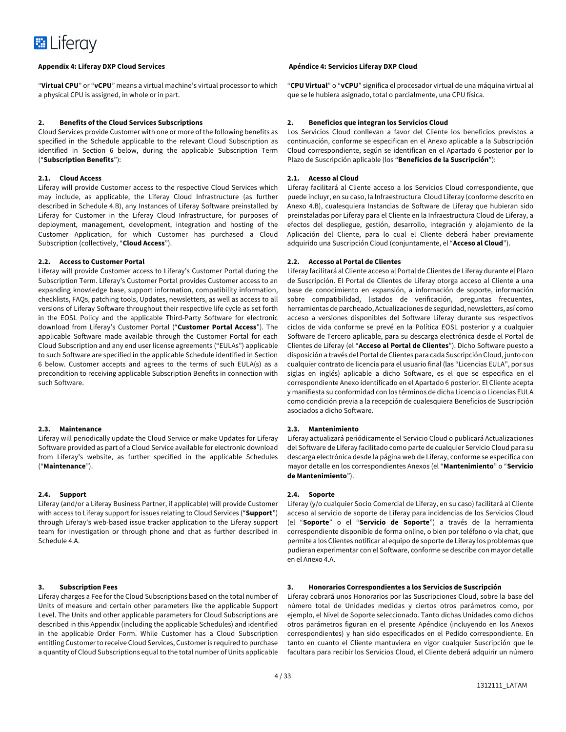

"**Virtual CPU**" or "**vCPU**" means a virtual machine's virtual processor to which a physical CPU is assigned, in whole or in part.

#### **2. Benefits of the Cloud Services Subscriptions**

Cloud Services provide Customer with one or more of the following benefits as specified in the Schedule applicable to the relevant Cloud Subscription as identified in Section 6 below, during the applicable Subscription Term ("**Subscription Benefits**"):

#### **2.1. Cloud Access**

Liferay will provide Customer access to the respective Cloud Services which may include, as applicable, the Liferay Cloud Infrastructure (as further described in Schedule 4.B), any Instances of Liferay Software preinstalled by Liferay for Customer in the Liferay Cloud Infrastructure, for purposes of deployment, management, development, integration and hosting of the Customer Application, for which Customer has purchased a Cloud Subscription (collectively, "**Cloud Access**").

#### **2.2. Access to Customer Portal**

Liferay will provide Customer access to Liferay's Customer Portal during the Subscription Term. Liferay's Customer Portal provides Customer access to an expanding knowledge base, support information, compatibility information, checklists, FAQs, patching tools, Updates, newsletters, as well as access to all versions of Liferay Software throughout their respective life cycle as set forth in the EOSL Policy and the applicable Third-Party Software for electronic download from Liferay's Customer Portal ("**Customer Portal Access**"). The applicable Software made available through the Customer Portal for each Cloud Subscription and any end user license agreements ("EULAs") applicable to such Software are specified in the applicable Schedule identified in Section 6 below. Customer accepts and agrees to the terms of such EULA(s) as a precondition to receiving applicable Subscription Benefits in connection with such Software.

#### **2.3. Maintenance**

Liferay will periodically update the Cloud Service or make Updates for Liferay Software provided as part of a Cloud Service available for electronic download from Liferay's website, as further specified in the applicable Schedules ("**Maintenance**").

#### **2.4. Support**

Liferay (and/or a Liferay Business Partner, if applicable) will provide Customer with access to Liferay support for issues relating to Cloud Services ("**Support**") through Liferay's web-based issue tracker application to the Liferay support team for investigation or through phone and chat as further described in Schedule 4.A.

#### **3. Subscription Fees**

Liferay charges a Fee for the Cloud Subscriptions based on the total number of Units of measure and certain other parameters like the applicable Support Level. The Units and other applicable parameters for Cloud Subscriptions are described in this Appendix (including the applicable Schedules) and identified in the applicable Order Form. While Customer has a Cloud Subscription entitling Customer to receive Cloud Services, Customer is required to purchase a quantity of Cloud Subscriptions equal to the total number of Units applicable

#### **Appendix 4: Liferay DXP Cloud Services Apéndice 4: Servicios Liferay DXP Cloud**

"**CPU Virtual**" o "**vCPU**" significa el procesador virtual de una máquina virtual al que se le hubiera asignado, total o parcialmente, una CPU física.

#### **2. Beneficios que integran los Servicios Cloud**

Los Servicios Cloud conllevan a favor del Cliente los beneficios previstos a continuación, conforme se especifican en el Anexo aplicable a la Subscripción Cloud correspondiente, según se identifican en el Apartado 6 posterior por lo Plazo de Suscripción aplicable (los "**Beneficios de la Suscripción**"):

#### **2.1. Acesso al Cloud**

Liferay facilitará al Cliente acceso a los Servicios Cloud correspondiente, que puede incluyr, en su caso, la Infraestructura Cloud Liferay (conforme descrito en Anexo 4.B), cualesquiera Instancias de Software de Liferay que hubieran sido preinstaladas por Liferay para el Cliente en la Infraestructura Cloud de Liferay, a efectos del despliegue, gestión, desarrollo, integración y alojamiento de la Aplicación del Cliente, para lo cual el Cliente deberá haber previamente adquirido una Suscripción Cloud (conjuntamente, el "**Acceso al Cloud**").

#### **2.2. Accesso al Portal de Clientes**

Liferay facilitará al Cliente acceso al Portal de Clientes de Liferay durante el Plazo de Suscripción. El Portal de Clientes de Liferay otorga acceso al Cliente a una base de conocimiento en expansión, a información de soporte, información sobre compatibilidad, listados de verificación, preguntas frecuentes, herramientas de parcheado, Actualizaciones de seguridad, newsletters, así como acceso a versiones disponibles del Software Liferay durante sus respectivos ciclos de vida conforme se prevé en la Política EOSL posterior y a cualquier Software de Tercero aplicable, para su descarga electrónica desde el Portal de Clientes de Liferay (el "**Acceso al Portal de Clientes**"). Dicho Software puesto a disposición a través del Portal de Clientes para cada Suscripción Cloud, junto con cualquier contrato de licencia para el usuario final (las "Licencias EULA", por sus siglas en inglés) aplicable a dicho Software, es el que se especifica en el correspondiente Anexo identificado en el Apartado 6 posterior. El Cliente acepta y manifiesta su conformidad con los términos de dicha Licencia o Licencias EULA como condición previa a la recepción de cualesquiera Beneficios de Suscripción asociados a dicho Software.

#### **2.3. Mantenimiento**

Liferay actualizará periódicamente el Servicio Cloud o publicará Actualizaciones del Software de Liferay facilitado como parte de cualquier Servicio Cloud para su descarga electrónica desde la página web de Liferay, conforme se especifica con mayor detalle en los correspondientes Anexos (el "**Mantenimiento**" o "**Servicio de Mantenimiento**").

#### **2.4. Soporte**

Liferay (y/o cualquier Socio Comercial de Liferay, en su caso) facilitará al Cliente acceso al servicio de soporte de Liferay para incidencias de los Servicios Cloud (el "**Soporte**" o el "**Servicio de Soporte**") a través de la herramienta correspondiente disponible de forma online, o bien por teléfono o vía chat, que permite a los Clientes notificar al equipo de soporte de Liferay los problemas que pudieran experimentar con el Software, conforme se describe con mayor detalle en el Anexo 4.A.

#### **3. Honorarios Correspondientes a los Servicios de Suscripción**

Liferay cobrará unos Honorarios por las Suscripciones Cloud, sobre la base del número total de Unidades medidas y ciertos otros parámetros como, por ejemplo, el Nivel de Soporte seleccionado. Tanto dichas Unidades como dichos otros parámetros figuran en el presente Apéndice (incluyendo en los Anexos correspondientes) y han sido especificados en el Pedido correspondiente. En tanto en cuanto el Cliente mantuviera en vigor cualquier Suscripción que le facultara para recibir los Servicios Cloud, el Cliente deberá adquirir un número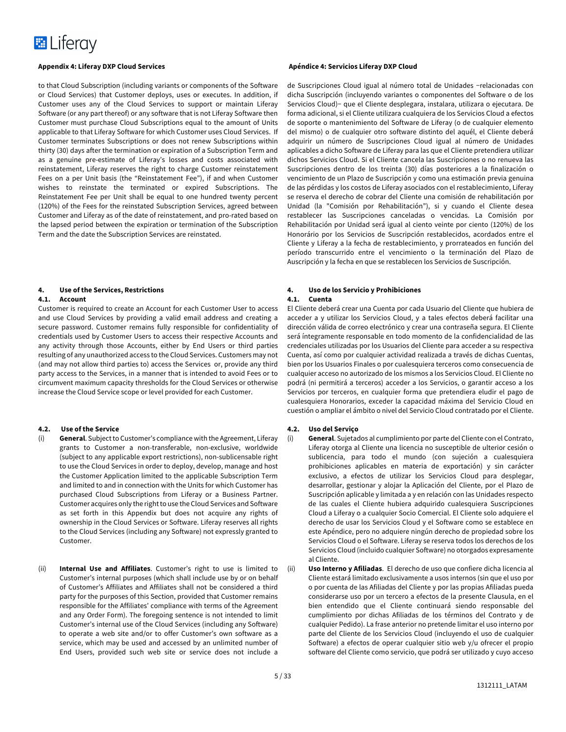

to that Cloud Subscription (including variants or components of the Software or Cloud Services) that Customer deploys, uses or executes. In addition, if Customer uses any of the Cloud Services to support or maintain Liferay Software (or any part thereof) or any software that is not Liferay Software then Customer must purchase Cloud Subscriptions equal to the amount of Units applicable to that Liferay Software for which Customer uses Cloud Services. If Customer terminates Subscriptions or does not renew Subscriptions within thirty (30) days after the termination or expiration of a Subscription Term and as a genuine pre-estimate of Liferay's losses and costs associated with reinstatement, Liferay reserves the right to charge Customer reinstatement Fees on a per Unit basis (the "Reinstatement Fee"), if and when Customer wishes to reinstate the terminated or expired Subscriptions. The Reinstatement Fee per Unit shall be equal to one hundred twenty percent (120%) of the Fees for the reinstated Subscription Services, agreed between Customer and Liferay as of the date of reinstatement, and pro-rated based on the lapsed period between the expiration or termination of the Subscription Term and the date the Subscription Services are reinstated.

# **4. Use of the Services, Restrictions**

#### **4.1. Account**

Customer is required to create an Account for each Customer User to access and use Cloud Services by providing a valid email address and creating a secure password. Customer remains fully responsible for confidentiality of credentials used by Customer Users to access their respective Accounts and any activity through those Accounts, either by End Users or third parties resulting of any unauthorized access to the Cloud Services. Customers may not (and may not allow third parties to) access the Services or, provide any third party access to the Services, in a manner that is intended to avoid Fees or to circumvent maximum capacity thresholds for the Cloud Services or otherwise increase the Cloud Service scope or level provided for each Customer.

#### **4.2. Use of the Service**

- (i) **General**. Subject to Customer's compliance with the Agreement, Liferay grants to Customer a non-transferable, non-exclusive, worldwide (subject to any applicable export restrictions), non-sublicensable right to use the Cloud Services in order to deploy, develop, manage and host the Customer Application limited to the applicable Subscription Term and limited to and in connection with the Units for which Customer has purchased Cloud Subscriptions from Liferay or a Business Partner. Customer acquires only the right to use the Cloud Services and Software as set forth in this Appendix but does not acquire any rights of ownership in the Cloud Services or Software. Liferay reserves all rights to the Cloud Services (including any Software) not expressly granted to Customer.
- (ii) **Internal Use and Affiliates**. Customer's right to use is limited to Customer's internal purposes (which shall include use by or on behalf of Customer's Affiliates and Affiliates shall not be considered a third party for the purposes of this Section, provided that Customer remains responsible for the Affiliates' compliance with terms of the Agreement and any Order Form). The foregoing sentence is not intended to limit Customer's internal use of the Cloud Services (including any Software) to operate a web site and/or to offer Customer's own software as a service, which may be used and accessed by an unlimited number of End Users, provided such web site or service does not include a

de Suscripciones Cloud igual al número total de Unidades −relacionadas con dicha Suscripción (incluyendo variantes o componentes del Software o de los Servicios Cloud)− que el Cliente desplegara, instalara, utilizara o ejecutara. De forma adicional, si el Cliente utilizara cualquiera de los Servicios Cloud a efectos de soporte o mantenimiento del Software de Liferay (o de cualquier elemento del mismo) o de cualquier otro software distinto del aquél, el Cliente deberá adquirir un número de Suscripciones Cloud igual al número de Unidades aplicables a dicho Software de Liferay para las que el Cliente pretendiera utilizar dichos Servicios Cloud. Si el Cliente cancela las Suscripciones o no renueva las Suscripciones dentro de los treinta (30) días posteriores a la finalización o vencimiento de un Plazo de Suscripción y como una estimación previa genuina de las pérdidas y los costos de Liferay asociados con el restablecimiento, Liferay se reserva el derecho de cobrar del Cliente una comisión de rehabilitación por Unidad (la "Comisión por Rehabilitación"), si y cuando el Cliente desea restablecer las Suscripciones canceladas o vencidas. La Comisión por Rehabilitación por Unidad será igual al ciento veinte por ciento (120%) de los Honorário por los Servicios de Suscripción restablecidos, acordados entre el Cliente y Liferay a la fecha de restablecimiento, y prorrateados en función del período transcurrido entre el vencimiento o la terminación del Plazo de Auscripción y la fecha en que se restablecen los Servicios de Suscripción.

## **4. Uso de los Servicio y Prohibiciones**

### **4.1. Cuenta**

El Cliente deberá crear una Cuenta por cada Usuario del Cliente que hubiera de acceder a y utilizar los Servicios Cloud, y a tales efectos deberá facilitar una dirección válida de correo electrónico y crear una contraseña segura. El Cliente será íntegramente responsable en todo momento de la confidencialidad de las credenciales utilizadas por los Usuarios del Cliente para acceder a su respectiva Cuenta, así como por cualquier actividad realizada a través de dichas Cuentas, bien por los Usuarios Finales o por cualesquiera terceros como consecuencia de cualquier acceso no autorizado de los mismos a los Servicios Cloud. El Cliente no podrá (ni permitirá a terceros) acceder a los Servicios, o garantir acceso a los Servicios por terceros, en cualquier forma que pretendiera eludir el pago de cualesquiera Honorarios, exceder la capacidad máxima del Servicio Cloud en cuestión o ampliar el ámbito o nivel del Servicio Cloud contratado por el Cliente.

#### **4.2. Uso del Serviço**

(i) **General**. Sujetados al cumplimiento por parte del Cliente con el Contrato, Liferay otorga al Cliente una licencia no susceptible de ulterior cesión o sublicencia, para todo el mundo (con sujeción a cualesquiera prohibiciones aplicables en materia de exportación) y sin carácter exclusivo, a efectos de utilizar los Servicios Cloud para desplegar, desarrollar, gestionar y alojar la Aplicación del Cliente, por el Plazo de Suscripción aplicable y limitada a y en relación con las Unidades respecto de las cuales el Cliente hubiera adquirido cualesquiera Suscripciones Cloud a Liferay o a cualquier Socio Comercial. El Cliente solo adquiere el derecho de usar los Servicios Cloud y el Software como se establece en este Apéndice, pero no adquiere ningún derecho de propiedad sobre los Servicios Cloud o el Software. Liferay se reserva todos los derechos de los Servicios Cloud (incluido cualquier Software) no otorgados expresamente al Cliente.

(ii) **Uso Interno y Afiliadas**. El derecho de uso que confiere dicha licencia al Cliente estará limitado exclusivamente a usos internos (sin que el uso por o por cuenta de las Afiliadas del Cliente y por las propias Afiliadas pueda considerarse uso por un tercero a efectos de la presente Clausula, en el bien entendido que el Cliente continuará siendo responsable del cumplimiento por dichas Afiliadas de los términos del Contrato y de cualquier Pedido). La frase anterior no pretende limitar el uso interno por parte del Cliente de los Servicios Cloud (incluyendo el uso de cualquier Software) a efectos de operar cualquier sitio web y/u ofrecer el propio software del Cliente como servicio, que podrá ser utilizado y cuyo acceso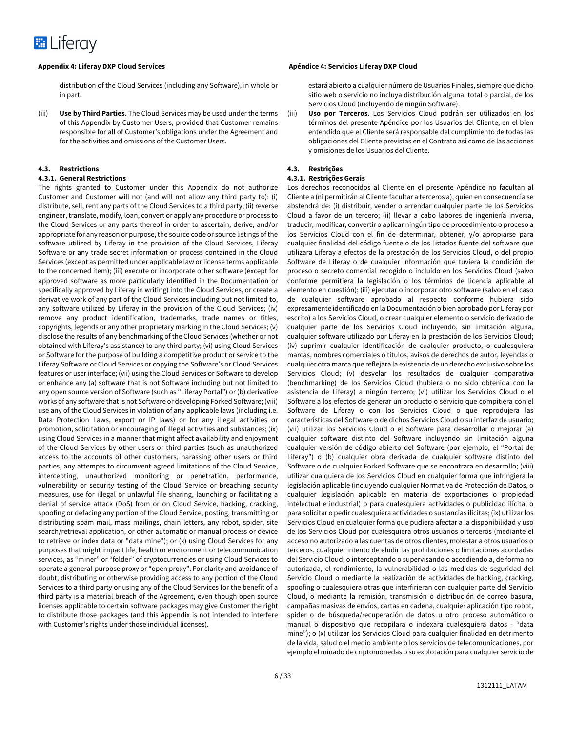distribution of the Cloud Services (including any Software), in whole or in part.

(iii) **Use by Third Parties**. The Cloud Services may be used under the terms of this Appendix by Customer Users, provided that Customer remains responsible for all of Customer's obligations under the Agreement and for the activities and omissions of the Customer Users.

#### **4.3. Restrictions**

#### **4.3.1. General Restrictions**

The rights granted to Customer under this Appendix do not authorize Customer and Customer will not (and will not allow any third party to): (i) distribute, sell, rent any parts of the Cloud Services to a third party; (ii) reverse engineer, translate, modify, loan, convert or apply any procedure or process to the Cloud Services or any parts thereof in order to ascertain, derive, and/or appropriate for any reason or purpose, the source code or source listings of the software utilized by Liferay in the provision of the Cloud Services, Liferay Software or any trade secret information or process contained in the Cloud Services (except as permitted under applicable law or license terms applicable to the concerned item); (iii) execute or incorporate other software (except for approved software as more particularly identified in the Documentation or specifically approved by Liferay in writing) into the Cloud Services, or create a derivative work of any part of the Cloud Services including but not limited to, any software utilized by Liferay in the provision of the Cloud Services; (iv) remove any product identification, trademarks, trade names or titles, copyrights, legends or any other proprietary marking in the Cloud Services; (v) disclose the results of any benchmarking of the Cloud Services (whether or not obtained with Liferay's assistance) to any third party; (vi) using Cloud Services or Software for the purpose of building a competitive product or service to the Liferay Software or Cloud Services or copying the Software's or Cloud Services features or user interface; (vii) using the Cloud Services or Software to develop or enhance any (a) software that is not Software including but not limited to any open source version of Software (such as "Liferay Portal") or (b) derivative works of any software that is not Software or developing Forked Software; (viii) use any of the Cloud Services in violation of any applicable laws (including i.e. Data Protection Laws, export or IP laws) or for any illegal activities or promotion, solicitation or encouraging of illegal activities and substances; (ix) using Cloud Services in a manner that might affect availability and enjoyment of the Cloud Services by other users or third parties (such as unauthorized access to the accounts of other customers, harassing other users or third parties, any attempts to circumvent agreed limitations of the Cloud Service, intercepting, unauthorized monitoring or penetration, performance, vulnerability or security testing of the Cloud Service or breaching security measures, use for illegal or unlawful file sharing, launching or facilitating a denial of service attack (DoS) from or on Cloud Service, hacking, cracking, spoofing or defacing any portion of the Cloud Service, posting, transmitting or distributing spam mail, mass mailings, chain letters, any robot, spider, site search/retrieval application, or other automatic or manual process or device to retrieve or index data or "data mine"); or (x) using Cloud Services for any purposes that might impact life, health or environment or telecommunication services, as "miner" or "folder" of cryptocurrencies or using Cloud Services to operate a general-purpose proxy or "open proxy". For clarity and avoidance of doubt, distributing or otherwise providing access to any portion of the Cloud Services to a third party or using any of the Cloud Services for the benefit of a third party is a material breach of the Agreement, even though open source licenses applicable to certain software packages may give Customer the right to distribute those packages (and this Appendix is not intended to interfere with Customer's rights under those individual licenses).

### **Appendix 4: Liferay DXP Cloud Services Apéndice 4: Servicios Liferay DXP Cloud**

estará abierto a cualquier número de Usuarios Finales, siempre que dicho sitio web o servicio no incluya distribución alguna, total o parcial, de los Servicios Cloud (incluyendo de ningún Software).

(iii) **Uso por Terceros**. Los Servicios Cloud podrán ser utilizados en los términos del presente Apéndice por los Usuarios del Cliente, en el bien entendido que el Cliente será responsable del cumplimiento de todas las obligaciones del Cliente previstas en el Contrato así como de las acciones y omisiones de los Usuarios del Cliente.

#### **4.3. Restrições**

#### **4.3.1. Restrições Gerais**

Los derechos reconocidos al Cliente en el presente Apéndice no facultan al Cliente a (ni permitirán al Cliente facultar a terceros a), quien en consecuencia se abstendrá de: (i) distribuir, vender o arrendar cualquier parte de los Servicios Cloud a favor de un tercero; (ii) llevar a cabo labores de ingeniería inversa, traducir, modificar, convertir o aplicar ningún tipo de procedimiento o proceso a los Servicios Cloud con el fin de determinar, obtener, y/o apropiarse para cualquier finalidad del código fuente o de los listados fuente del software que utilizara Liferay a efectos de la prestación de los Servicios Cloud, o del propio Software de Liferay o de cualquier información que tuviera la condición de proceso o secreto comercial recogido o incluido en los Servicios Cloud (salvo conforme permitiera la legislación o los términos de licencia aplicable al elemento en cuestión); (iii) ejecutar o incorporar otro software (salvo en el caso de cualquier software aprobado al respecto conforme hubiera sido expresamente identificado en la Documentación o bien aprobado por Liferay por escrito) a los Servicios Cloud, o crear cualquier elemento o servicio derivado de cualquier parte de los Servicios Cloud incluyendo, sin limitación alguna, cualquier software utilizado por Liferay en la prestación de los Servicios Cloud; (iv) suprimir cualquier identificación de cualquier producto, o cualesquiera marcas, nombres comerciales o títulos, avisos de derechos de autor, leyendas o cualquier otra marca que reflejara la existencia de un derecho exclusivo sobre los Servicios Cloud; (v) desvelar los resultados de cualquier comparativa (benchmarking) de los Servicios Cloud (hubiera o no sido obtenida con la asistencia de Liferay) a ningún tercero; (vi) utilizar los Servicios Cloud o el Software a los efectos de generar un producto o servicio que compitiera con el Software de Liferay o con los Servicios Cloud o que reprodujera las características del Software o de dichos Servicios Cloud o su interfaz de usuario; (vii) utilizar los Servicios Cloud o el Software para desarrollar o mejorar (a) cualquier software distinto del Software incluyendo sin limitación alguna cualquier versión de código abierto del Software (por ejemplo, el "Portal de Liferay") o (b) cualquier obra derivada de cualquier software distinto del Software o de cualquier Forked Software que se encontrara en desarrollo; (viii) utilizar cualquiera de los Servicios Cloud en cualquier forma que infringiera la legislación aplicable (incluyendo cualquier Normativa de Protección de Datos, o cualquier legislación aplicable en materia de exportaciones o propiedad intelectual e industrial) o para cualesquiera actividades o publicidad ilícita, o para solicitar o pedir cualesquiera actividades o sustancias ilícitas; (ix) utilizar los Servicios Cloud en cualquier forma que pudiera afectar a la disponibilidad y uso de los Servicios Cloud por cualesquiera otros usuarios o terceros (mediante el acceso no autorizado a las cuentas de otros clientes, molestar a otros usuarios o terceros, cualquier intento de eludir las prohibiciones o limitaciones acordadas del Servicio Cloud, o interceptando o supervisando o accediendo a, de forma no autorizada, el rendimiento, la vulnerabilidad o las medidas de seguridad del Servicio Cloud o mediante la realización de actividades de hacking, cracking, spoofing o cualesquiera otras que interfirieran con cualquier parte del Servicio Cloud, o mediante la remisión, transmisión o distribución de correo basura, campañas masivas de envíos, cartas en cadena, cualquier aplicación tipo robot, spider o de búsqueda/recuperación de datos u otro proceso automático o manual o dispositivo que recopilara o indexara cualesquiera datos - "data mine"); o (x) utilizar los Servicios Cloud para cualquier finalidad en detrimento de la vida, salud o el medio ambiente o los servicios de telecomunicaciones, por ejemplo el minado de criptomonedas o su explotación para cualquier servicio de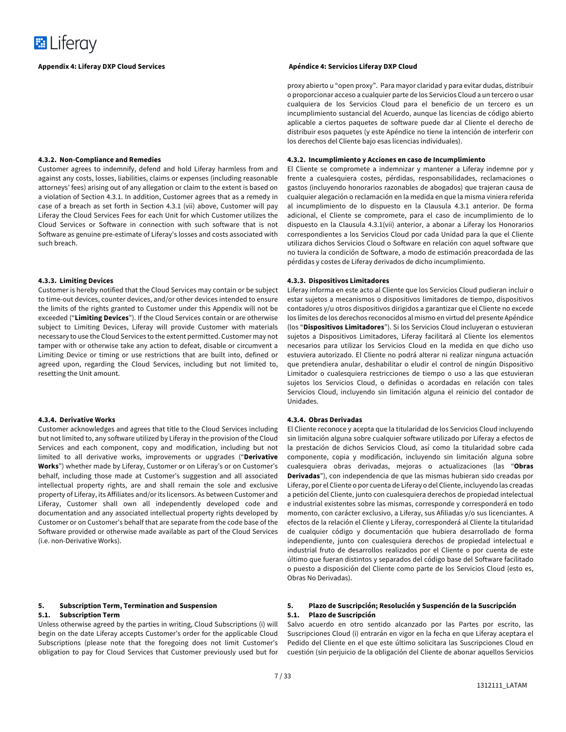#### **4.3.2. Non-Compliance and Remedies**

Customer agrees to indemnify, defend and hold Liferay harmless from and against any costs, losses, liabilities, claims or expenses (including reasonable attorneys' fees) arising out of any allegation or claim to the extent is based on a violation of Section 4.3.1. In addition, Customer agrees that as a remedy in case of a breach as set forth in Section 4.3.1 (vii) above, Customer will pay Liferay the Cloud Services Fees for each Unit for which Customer utilizes the Cloud Services or Software in connection with such software that is not Software as genuine pre-estimate of Liferay's losses and costs associated with such breach.

### **4.3.3. Limiting Devices**

Customer is hereby notified that the Cloud Services may contain or be subject to time-out devices, counter devices, and/or other devices intended to ensure the limits of the rights granted to Customer under this Appendix will not be exceeded ("**Limiting Devices**"). If the Cloud Services contain or are otherwise subject to Limiting Devices, Liferay will provide Customer with materials necessary to use the Cloud Services to the extent permitted. Customer may not tamper with or otherwise take any action to defeat, disable or circumvent a Limiting Device or timing or use restrictions that are built into, defined or agreed upon, regarding the Cloud Services, including but not limited to, resetting the Unit amount.

#### **4.3.4. Derivative Works**

Customer acknowledges and agrees that title to the Cloud Services including but not limited to, any software utilized by Liferay in the provision of the Cloud Services and each component, copy and modification, including but not limited to all derivative works, improvements or upgrades ("**Derivative Works**") whether made by Liferay, Customer or on Liferay's or on Customer's behalf, including those made at Customer's suggestion and all associated intellectual property rights, are and shall remain the sole and exclusive property of Liferay, its Affiliates and/or its licensors. As between Customer and Liferay, Customer shall own all independently developed code and documentation and any associated intellectual property rights developed by Customer or on Customer's behalf that are separate from the code base of the Software provided or otherwise made available as part of the Cloud Services (i.e. non-Derivative Works).

#### **5. Subscription Term, Termination and Suspension 5.1. Subscription Term**

Unless otherwise agreed by the parties in writing, Cloud Subscriptions (i) will begin on the date Liferay accepts Customer's order for the applicable Cloud Subscriptions (please note that the foregoing does not limit Customer's obligation to pay for Cloud Services that Customer previously used but for

#### **Appendix 4: Liferay DXP Cloud Services Apéndice 4: Servicios Liferay DXP Cloud**

proxy abierto u "open proxy". Para mayor claridad y para evitar dudas, distribuir o proporcionar acceso a cualquier parte de los Servicios Cloud a un tercero o usar cualquiera de los Servicios Cloud para el beneficio de un tercero es un incumplimiento sustancial del Acuerdo, aunque las licencias de código abierto aplicable a ciertos paquetes de software puede dar al Cliente el derecho de distribuir esos paquetes (y este Apéndice no tiene la intención de interferir con los derechos del Cliente bajo esas licencias individuales).

#### **4.3.2. Incumplimiento y Acciones en caso de Incumplimiento**

El Cliente se compromete a indemnizar y mantener a Liferay indemne por y frente a cualesquiera costes, pérdidas, responsabilidades, reclamaciones o gastos (incluyendo honorarios razonables de abogados) que trajeran causa de cualquier alegación o reclamación en la medida en que la misma viniera referida al incumplimiento de lo dispuesto en la Clausula 4.3.1 anterior. De forma adicional, el Cliente se compromete, para el caso de incumplimiento de lo dispuesto en la Clausula 4.3.1(vii) anterior, a abonar a Liferay los Honorarios correspondientes a los Servicios Cloud por cada Unidad para la que el Cliente utilizara dichos Servicios Cloud o Software en relación con aquel software que no tuviera la condición de Software, a modo de estimación preacordada de las pérdidas y costes de Liferay derivados de dicho incumplimiento.

#### **4.3.3. Dispositivos Limitadores**

Liferay informa en este acto al Cliente que los Servicios Cloud pudieran incluir o estar sujetos a mecanismos o dispositivos limitadores de tiempo, dispositivos contadores y/u otros dispositivos dirigidos a garantizar que el Cliente no excede los límites de los derechos reconocidos al mismo en virtud del presente Apéndice (los "**Dispositivos Limitadores**"). Si los Servicios Cloud incluyeran o estuvieran sujetos a Dispositivos Limitadores, Liferay facilitará al Cliente los elementos necesarios para utilizar los Servicios Cloud en la medida en que dicho uso estuviera autorizado. El Cliente no podrá alterar ni realizar ninguna actuación que pretendiera anular, deshabilitar o eludir el control de ningún Dispositivo Limitador o cualesquiera restricciones de tiempo o uso a las que estuvieran sujetos los Servicios Cloud, o definidas o acordadas en relación con tales Servicios Cloud, incluyendo sin limitación alguna el reinicio del contador de Unidades.

#### **4.3.4. Obras Derivadas**

El Cliente reconoce y acepta que la titularidad de los Servicios Cloud incluyendo sin limitación alguna sobre cualquier software utilizado por Liferay a efectos de la prestación de dichos Servicios Cloud, así como la titularidad sobre cada componente, copia y modificación, incluyendo sin limitación alguna sobre cualesquiera obras derivadas, mejoras o actualizaciones (las "**Obras Derivadas**"), con independencia de que las mismas hubieran sido creadas por Liferay, por el Cliente o por cuenta de Liferay o del Cliente, incluyendo las creadas a petición del Cliente, junto con cualesquiera derechos de propiedad intelectual e industrial existentes sobre las mismas, corresponde y corresponderá en todo momento, con carácter exclusivo, a Liferay, sus Afiliadas y/o sus licenciantes. A efectos de la relación el Cliente y Liferay, corresponderá al Cliente la titularidad de cualquier código y documentación que hubiera desarrollado de forma independiente, junto con cualesquiera derechos de propiedad intelectual e industrial fruto de desarrollos realizados por el Cliente o por cuenta de este último que fueran distintos y separados del código base del Software facilitado o puesto a disposición del Cliente como parte de los Servicios Cloud (esto es, Obras No Derivadas).

#### **5. Plazo de Suscripción; Resolución y Suspención de la Suscripción 5.1. Plazo de Suscripción**

Salvo acuerdo en otro sentido alcanzado por las Partes por escrito, las Suscripciones Cloud (i) entrarán en vigor en la fecha en que Liferay aceptara el Pedido del Cliente en el que este último solicitara las Suscripciones Cloud en cuestión (sin perjuicio de la obligación del Cliente de abonar aquellos Servicios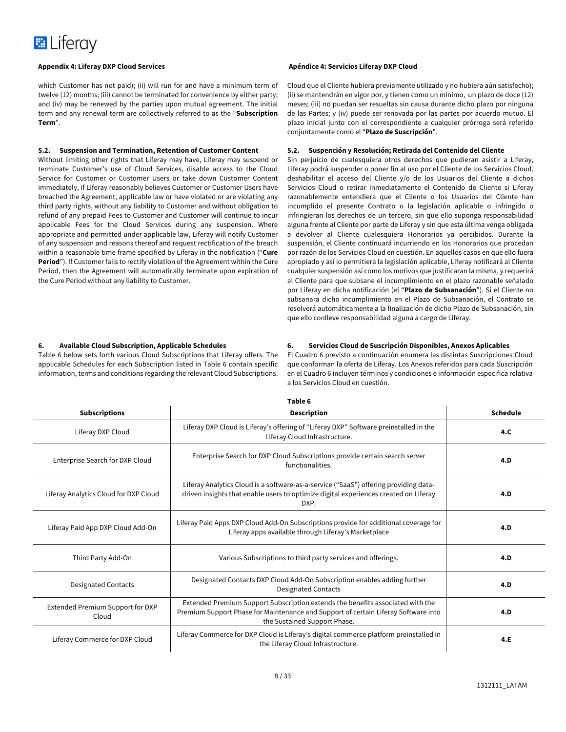which Customer has not paid); (ii) will run for and have a minimum term of twelve (12) months; (iii) cannot be terminated for convenience by either party; and (iv) may be renewed by the parties upon mutual agreement. The initial term and any renewal term are collectively referred to as the "**Subscription Term**".

### **5.2. Suspension and Termination, Retention of Customer Content**

Without limiting other rights that Liferay may have, Liferay may suspend or terminate Customer's use of Cloud Services, disable access to the Cloud Service for Customer or Customer Users or take down Customer Content immediately, if Liferay reasonably believes Customer or Customer Users have breached the Agreement, applicable law or have violated or are violating any third party rights, without any liability to Customer and without obligation to refund of any prepaid Fees to Customer and Customer will continue to incur applicable Fees for the Cloud Services during any suspension. Where appropriate and permitted under applicable law, Liferay will notify Customer of any suspension and reasons thereof and request rectification of the breach within a reasonable time frame specified by Liferay in the notification ("**Cure Period**"). If Customer fails to rectify violation of the Agreement within the Cure Period, then the Agreement will automatically terminate upon expiration of the Cure Period without any liability to Customer.

### **6. Available Cloud Subscription, Applicable Schedules**

Table 6 below sets forth various Cloud Subscriptions that Liferay offers. The applicable Schedules for each Subscription listed in Table 6 contain specific information, terms and conditions regarding the relevant Cloud Subscriptions.

#### **Appendix 4: Liferay DXP Cloud Services Apéndice 4: Servicios Liferay DXP Cloud**

Cloud que el Cliente hubiera previamente utilizado y no hubiera aún satisfecho); (ii) se mantendrán en vigor por, y tienen como un minimo, un plazo de doce (12) meses; (iii) no puedan ser resueltas sin causa durante dicho plazo por ninguna de las Partes; y (iv) puede ser renovada por las partes por acuerdo mutuo. El plazo inicial junto con el correspondiente a cualquier prórroga será referido conjuntamente como el "**Plazo de Suscripción**".

### **5.2. Suspención y Resolución; Retirada del Contenido del Cliente**

Sin perjuicio de cualesquiera otros derechos que pudieran asistir a Liferay, Liferay podrá suspender o poner fin al uso por el Cliente de los Servicios Cloud, deshabilitar el acceso del Cliente y/o de los Usuarios del Cliente a dichos Servicios Cloud o retirar inmediatamente el Contenido de Cliente si Liferay razonablemente entendiera que el Cliente o los Usuarios del Cliente han incumplido el presente Contrato o la legislación aplicable o infringido o infringieran los derechos de un tercero, sin que ello suponga responsabilidad alguna frente al Cliente por parte de Liferay y sin que esta última venga obligada a devolver al Cliente cualesquiera Honorarios ya percibidos. Durante la suspensión, el Cliente continuará incurriendo en los Honorarios que procedan por razón de los Servicios Cloud en cuestión. En aquellos casos en que ello fuera apropiado y así lo permitiera la legislación aplicable, Liferay notificará al Cliente cualquier suspensión así como los motivos que justificaran la misma, y requerirá al Cliente para que subsane el incumplimiento en el plazo razonable señalado por Liferay en dicha notificación (el "**Plazo de Subsanación**"). Si el Cliente no subsanara dicho incumplimiento en el Plazo de Subsanación, el Contrato se resolverá automáticamente a la finalización de dicho Plazo de Subsanación, sin que ello conlleve responsabilidad alguna a cargo de Liferay.

### **6. Servicios Cloud de Suscripción Disponibles, Anexos Aplicables**

El Cuadro 6 previsto a continuación enumera las distintas Suscripciones Cloud que conforman la oferta de Liferay. Los Anexos referidos para cada Suscripción en el Cuadro 6 incluyen términos y condiciones e información especifica relativa a los Servicios Cloud en cuestión.

| Taple 6                                   |                                                                                                                                                                                                      |                 |
|-------------------------------------------|------------------------------------------------------------------------------------------------------------------------------------------------------------------------------------------------------|-----------------|
| <b>Subscriptions</b>                      | <b>Description</b>                                                                                                                                                                                   | <b>Schedule</b> |
| Liferay DXP Cloud                         | Liferay DXP Cloud is Liferay's offering of "Liferay DXP" Software preinstalled in the<br>Liferay Cloud Infrastructure.                                                                               | 4.C             |
| Enterprise Search for DXP Cloud           | Enterprise Search for DXP Cloud Subscriptions provide certain search server<br>functionalities.                                                                                                      | 4.D             |
| Liferay Analytics Cloud for DXP Cloud     | Liferay Analytics Cloud is a software-as-a-service ("SaaS") offering providing data-<br>driven insights that enable users to optimize digital experiences created on Liferay<br>DXP.                 | 4.D             |
| Liferay Paid App DXP Cloud Add-On         | Liferay Paid Apps DXP Cloud Add-On Subscriptions provide for additional coverage for<br>Liferay apps available through Liferay's Marketplace                                                         |                 |
| Third Party Add-On                        | Various Subscriptions to third party services and offerings.                                                                                                                                         | 4.D             |
| <b>Designated Contacts</b>                | Designated Contacts DXP Cloud Add-On Subscription enables adding further<br><b>Designated Contacts</b>                                                                                               | 4.D             |
| Extended Premium Support for DXP<br>Cloud | Extended Premium Support Subscription extends the benefits associated with the<br>Premium Support Phase for Maintenance and Support of certain Liferay Software into<br>the Sustained Support Phase. | 4.D             |
| Liferay Commerce for DXP Cloud            | Liferay Commerce for DXP Cloud is Liferay's digital commerce platform preinstalled in<br>the Liferay Cloud Infrastructure.                                                                           | 4.E             |

**Table 6**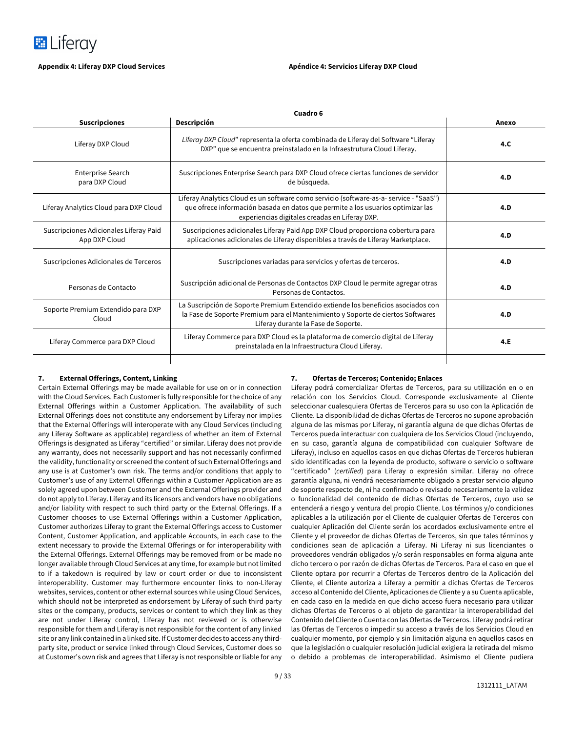

| Cuadro 6                                                |                                                                                                                                                                                                                            |       |
|---------------------------------------------------------|----------------------------------------------------------------------------------------------------------------------------------------------------------------------------------------------------------------------------|-------|
| <b>Suscripciones</b>                                    | Descripción                                                                                                                                                                                                                | Anexo |
| Liferay DXP Cloud                                       | Liferay DXP Cloud" representa la oferta combinada de Liferay del Software "Liferay<br>4.C.<br>DXP" que se encuentra preinstalado en la Infraestrutura Cloud Liferay.                                                       |       |
| <b>Enterprise Search</b><br>para DXP Cloud              | Suscripciones Enterprise Search para DXP Cloud ofrece ciertas funciones de servidor<br>de búsqueda.                                                                                                                        | 4.D   |
| Liferay Analytics Cloud para DXP Cloud                  | Liferay Analytics Cloud es un software como servicio (software-as-a-service - "SaaS")<br>que ofrece información basada en datos que permite a los usuarios optimizar las<br>experiencias digitales creadas en Liferay DXP. | 4.D   |
| Suscripciones Adicionales Liferay Paid<br>App DXP Cloud | Suscripciones adicionales Liferay Paid App DXP Cloud proporciona cobertura para<br>aplicaciones adicionales de Liferay disponibles a través de Liferay Marketplace.                                                        | 4.D   |
| Suscripciones Adicionales de Terceros                   | Suscripciones variadas para servicios y ofertas de terceros.                                                                                                                                                               | 4.D   |
| Personas de Contacto                                    | Suscripción adicional de Personas de Contactos DXP Cloud le permite agregar otras<br>Personas de Contactos.                                                                                                                | 4.D   |
| Soporte Premium Extendido para DXP<br>Cloud             | La Suscripción de Soporte Premium Extendido extiende los beneficios asociados con<br>la Fase de Soporte Premium para el Mantenimiento y Soporte de ciertos Softwares<br>Liferay durante la Fase de Soporte.                | 4.D   |
| Liferay Commerce para DXP Cloud                         | Liferay Commerce para DXP Cloud es la plataforma de comercio digital de Liferay<br>preinstalada en la Infraestructura Cloud Liferay.                                                                                       | 4.E   |
|                                                         |                                                                                                                                                                                                                            |       |

#### **7. External Offerings, Content, Linking**

Certain External Offerings may be made available for use on or in connection with the Cloud Services. Each Customer is fully responsible for the choice of any External Offerings within a Customer Application. The availability of such External Offerings does not constitute any endorsement by Liferay nor implies that the External Offerings will interoperate with any Cloud Services (including any Liferay Software as applicable) regardless of whether an item of External Offerings is designated as Liferay "certified" or similar. Liferay does not provide any warranty, does not necessarily support and has not necessarily confirmed the validity, functionality or screened the content of such External Offerings and any use is at Customer's own risk. The terms and/or conditions that apply to Customer's use of any External Offerings within a Customer Application are as solely agreed upon between Customer and the External Offerings provider and do not apply to Liferay. Liferay and its licensors and vendors have no obligations and/or liability with respect to such third party or the External Offerings. If a Customer chooses to use External Offerings within a Customer Application, Customer authorizes Liferay to grant the External Offerings access to Customer Content, Customer Application, and applicable Accounts, in each case to the extent necessary to provide the External Offerings or for interoperability with the External Offerings. External Offerings may be removed from or be made no longer available through Cloud Services at any time, for example but not limited to if a takedown is required by law or court order or due to inconsistent interoperability. Customer may furthermore encounter links to non-Liferay websites, services, content or other external sources while using Cloud Services, which should not be interpreted as endorsement by Liferay of such third party sites or the company, products, services or content to which they link as they are not under Liferay control, Liferay has not reviewed or is otherwise responsible for them and Liferay is not responsible for the content of any linked site or any link contained in a linked site. If Customer decides to access any thirdparty site, product or service linked through Cloud Services, Customer does so at Customer's own risk and agrees that Liferay is not responsible or liable for any

### **7. Ofertas de Terceros; Contenido; Enlaces**

Liferay podrá comercializar Ofertas de Terceros, para su utilización en o en relación con los Servicios Cloud. Corresponde exclusivamente al Cliente seleccionar cualesquiera Ofertas de Terceros para su uso con la Aplicación de Cliente. La disponibilidad de dichas Ofertas de Terceros no supone aprobación alguna de las mismas por Liferay, ni garantía alguna de que dichas Ofertas de Terceros pueda interactuar con cualquiera de los Servicios Cloud (incluyendo, en su caso, garantía alguna de compatibilidad con cualquier Software de Liferay), incluso en aquellos casos en que dichas Ofertas de Terceros hubieran sido identificadas con la leyenda de producto, software o servicio o software "certificado" (*certified*) para Liferay o expresión similar. Liferay no ofrece garantía alguna, ni vendrá necesariamente obligado a prestar servicio alguno de soporte respecto de, ni ha confirmado o revisado necesariamente la validez o funcionalidad del contenido de dichas Ofertas de Terceros, cuyo uso se entenderá a riesgo y ventura del propio Cliente. Los términos y/o condiciones aplicables a la utilización por el Cliente de cualquier Ofertas de Terceros con cualquier Aplicación del Cliente serán los acordados exclusivamente entre el Cliente y el proveedor de dichas Ofertas de Terceros, sin que tales términos y condiciones sean de aplicación a Liferay. Ni Liferay ni sus licenciantes o proveedores vendrán obligados y/o serán responsables en forma alguna ante dicho tercero o por razón de dichas Ofertas de Terceros. Para el caso en que el Cliente optara por recurrir a Ofertas de Terceros dentro de la Aplicación del Cliente, el Cliente autoriza a Liferay a permitir a dichas Ofertas de Terceros acceso al Contenido del Cliente, Aplicaciones de Cliente y a su Cuenta aplicable, en cada caso en la medida en que dicho acceso fuera necesario para utilizar dichas Ofertas de Terceros o al objeto de garantizar la interoperabilidad del Contenido del Cliente o Cuenta con las Ofertas de Terceros. Liferay podrá retirar las Ofertas de Terceros o impedir su acceso a través de los Servicios Cloud en cualquier momento, por ejemplo y sin limitación alguna en aquellos casos en que la legislación o cualquier resolución judicial exigiera la retirada del mismo o debido a problemas de interoperabilidad. Asimismo el Cliente pudiera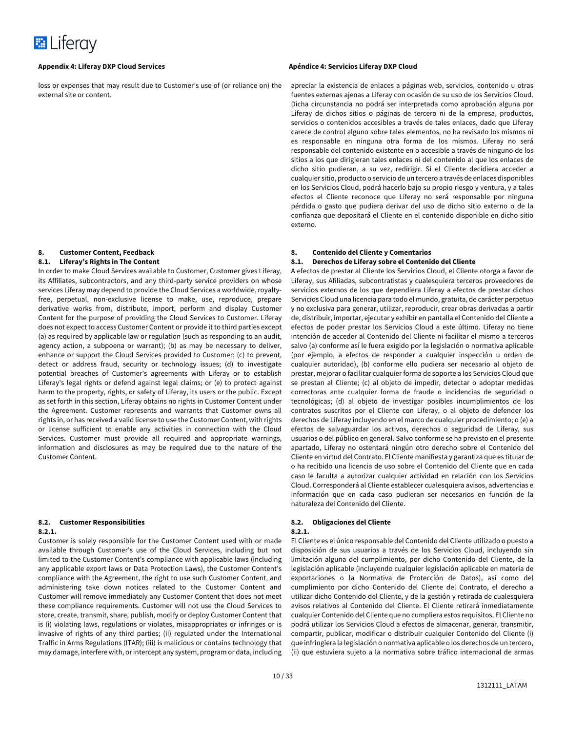

loss or expenses that may result due to Customer's use of (or reliance on) the external site or content.

#### **8. Customer Content, Feedback 8.1. Liferay's Rights in The Content**

In order to make Cloud Services available to Customer, Customer gives Liferay, its Affiliates, subcontractors, and any third-party service providers on whose services Liferay may depend to provide the Cloud Services a worldwide, royaltyfree, perpetual, non-exclusive license to make, use, reproduce, prepare derivative works from, distribute, import, perform and display Customer Content for the purpose of providing the Cloud Services to Customer. Liferay does not expect to access Customer Content or provide it to third parties except (a) as required by applicable law or regulation (such as responding to an audit, agency action, a subpoena or warrant); (b) as may be necessary to deliver, enhance or support the Cloud Services provided to Customer; (c) to prevent, detect or address fraud, security or technology issues; (d) to investigate potential breaches of Customer's agreements with Liferay or to establish Liferay's legal rights or defend against legal claims; or (e) to protect against harm to the property, rights, or safety of Liferay, its users or the public. Except as set forth in this section, Liferay obtains no rights in Customer Content under the Agreement. Customer represents and warrants that Customer owns all rights in, or has received a valid license to use the Customer Content, with rights or license sufficient to enable any activities in connection with the Cloud Services. Customer must provide all required and appropriate warnings, information and disclosures as may be required due to the nature of the Customer Content.

#### **8.2. Customer Responsibilities 8.2.1.**

Customer is solely responsible for the Customer Content used with or made available through Customer's use of the Cloud Services, including but not limited to the Customer Content's compliance with applicable laws (including any applicable export laws or Data Protection Laws), the Customer Content's compliance with the Agreement, the right to use such Customer Content, and administering take down notices related to the Customer Content and Customer will remove immediately any Customer Content that does not meet these compliance requirements. Customer will not use the Cloud Services to store, create, transmit, share, publish, modify or deploy Customer Content that is (i) violating laws, regulations or violates, misappropriates or infringes or is invasive of rights of any third parties; (ii) regulated under the International Traffic in Arms Regulations (ITAR); (iii) is malicious or contains technology that may damage, interfere with, or intercept any system, program or data, including

apreciar la existencia de enlaces a páginas web, servicios, contenido u otras fuentes externas ajenas a Liferay con ocasión de su uso de los Servicios Cloud. Dicha circunstancia no podrá ser interpretada como aprobación alguna por Liferay de dichos sitios o páginas de tercero ni de la empresa, productos, servicios o contenidos accesibles a través de tales enlaces, dado que Liferay carece de control alguno sobre tales elementos, no ha revisado los mismos ni es responsable en ninguna otra forma de los mismos. Liferay no será responsable del contenido existente en o accesible a través de ninguno de los sitios a los que dirigieran tales enlaces ni del contenido al que los enlaces de dicho sitio pudieran, a su vez, redirigir. Si el Cliente decidiera acceder a cualquier sitio, producto o servicio de un tercero a través de enlaces disponibles en los Servicios Cloud, podrá hacerlo bajo su propio riesgo y ventura, y a tales efectos el Cliente reconoce que Liferay no será responsable por ninguna pérdida o gasto que pudiera derivar del uso de dicho sitio externo o de la confianza que depositará el Cliente en el contenido disponible en dicho sitio externo.

## **8. Contenido del Cliente y Comentarios**

### **8.1. Derechos de Liferay sobre el Contenido del Cliente**

A efectos de prestar al Cliente los Servicios Cloud, el Cliente otorga a favor de Liferay, sus Afiliadas, subcontratistas y cualesquiera terceros proveedores de servicios externos de los que dependiera Liferay a efectos de prestar dichos Servicios Cloud una licencia para todo el mundo, gratuita, de carácter perpetuo y no exclusiva para generar, utilizar, reproducir, crear obras derivadas a partir de, distribuir, importar, ejecutar y exhibir en pantalla el Contenido del Cliente a efectos de poder prestar los Servicios Cloud a este último. Liferay no tiene intención de acceder al Contenido del Cliente ni facilitar el mismo a terceros salvo (a) conforme así le fuera exigido por la legislación o normativa aplicable (por ejemplo, a efectos de responder a cualquier inspección u orden de cualquier autoridad), (b) conforme ello pudiera ser necesario al objeto de prestar, mejorar o facilitar cualquier forma de soporte a los Servicios Cloud que se prestan al Cliente; (c) al objeto de impedir, detectar o adoptar medidas correctoras ante cualquier forma de fraude o incidencias de seguridad o tecnológicas; (d) al objeto de investigar posibles incumplimientos de los contratos suscritos por el Cliente con Liferay, o al objeto de defender los derechos de Liferay incluyendo en el marco de cualquier procedimiento; o (e) a efectos de salvaguardar los activos, derechos o seguridad de Liferay, sus usuarios o del público en general. Salvo conforme se ha previsto en el presente apartado, Liferay no ostentará ningún otro derecho sobre el Contenido del Cliente en virtud del Contrato. El Cliente manifiesta y garantiza que es titular de o ha recibido una licencia de uso sobre el Contenido del Cliente que en cada caso le faculta a autorizar cualquier actividad en relación con los Servicios Cloud. Corresponderá al Cliente establecer cualesquiera avisos, advertencias e información que en cada caso pudieran ser necesarios en función de la naturaleza del Contenido del Cliente.

## **8.2. Obligaciones del Cliente**

#### **8.2.1.**

El Cliente es el único responsable del Contenido del Cliente utilizado o puesto a disposición de sus usuarios a través de los Servicios Cloud, incluyendo sin limitación alguna del cumplimiento, por dicho Contenido del Cliente, de la legislación aplicable (incluyendo cualquier legislación aplicable en materia de exportaciones o la Normativa de Protección de Datos), así como del cumplimiento por dicho Contenido del Cliente del Contrato, el derecho a utilizar dicho Contenido del Cliente, y de la gestión y retirada de cualesquiera avisos relativos al Contenido del Cliente. El Cliente retirará inmediatamente cualquier Contenido del Cliente que no cumpliera estos requisitos. El Cliente no podrá utilizar los Servicios Cloud a efectos de almacenar, generar, transmitir, compartir, publicar, modificar o distribuir cualquier Contenido del Cliente (i) que infringiera la legislación o normativa aplicable o los derechos de un tercero, (ii) que estuviera sujeto a la normativa sobre tráfico internacional de armas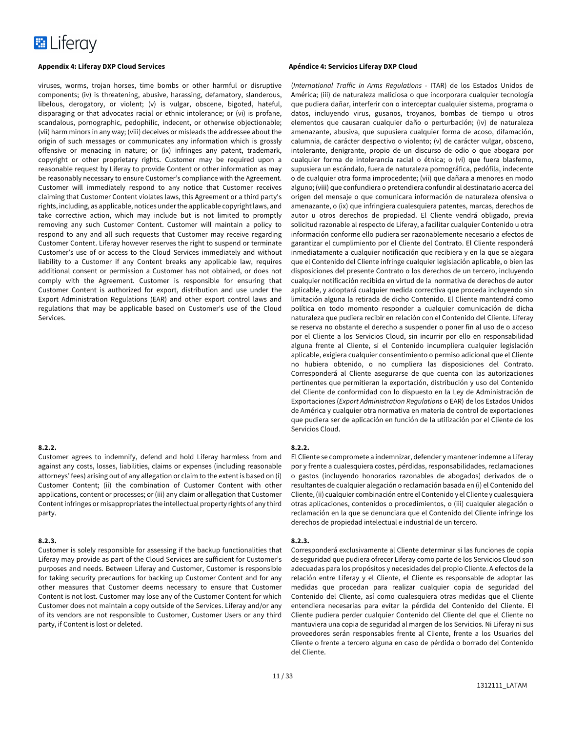

viruses, worms, trojan horses, time bombs or other harmful or disruptive components; (iv) is threatening, abusive, harassing, defamatory, slanderous, libelous, derogatory, or violent; (v) is vulgar, obscene, bigoted, hateful, disparaging or that advocates racial or ethnic intolerance; or (vi) is profane, scandalous, pornographic, pedophilic, indecent, or otherwise objectionable; (vii) harm minors in any way; (viii) deceives or misleads the addressee about the origin of such messages or communicates any information which is grossly offensive or menacing in nature; or (ix) infringes any patent, trademark, copyright or other proprietary rights. Customer may be required upon a reasonable request by Liferay to provide Content or other information as may be reasonably necessary to ensure Customer's compliance with the Agreement. Customer will immediately respond to any notice that Customer receives claiming that Customer Content violates laws, this Agreement or a third party's rights, including, as applicable, notices under the applicable copyright laws, and take corrective action, which may include but is not limited to promptly removing any such Customer Content. Customer will maintain a policy to respond to any and all such requests that Customer may receive regarding Customer Content. Liferay however reserves the right to suspend or terminate Customer's use of or access to the Cloud Services immediately and without liability to a Customer if any Content breaks any applicable law, requires additional consent or permission a Customer has not obtained, or does not comply with the Agreement. Customer is responsible for ensuring that Customer Content is authorized for export, distribution and use under the Export Administration Regulations (EAR) and other export control laws and regulations that may be applicable based on Customer's use of the Cloud Services.

#### **8.2.2.**

Customer agrees to indemnify, defend and hold Liferay harmless from and against any costs, losses, liabilities, claims or expenses (including reasonable attorneys' fees) arising out of any allegation or claim to the extent is based on (i) Customer Content; (ii) the combination of Customer Content with other applications, content or processes; or (iii) any claim or allegation that Customer Content infringes or misappropriates the intellectual property rights of any third party.

#### **8.2.3.**

Customer is solely responsible for assessing if the backup functionalities that Liferay may provide as part of the Cloud Services are sufficient for Customer's purposes and needs. Between Liferay and Customer, Customer is responsible for taking security precautions for backing up Customer Content and for any other measures that Customer deems necessary to ensure that Customer Content is not lost. Customer may lose any of the Customer Content for which Customer does not maintain a copy outside of the Services. Liferay and/or any of its vendors are not responsible to Customer, Customer Users or any third party, if Content is lost or deleted.

(*International Traffic in Arms Regulations* - ITAR) de los Estados Unidos de América; (iii) de naturaleza maliciosa o que incorporara cualquier tecnología que pudiera dañar, interferir con o interceptar cualquier sistema, programa o datos, incluyendo virus, gusanos, troyanos, bombas de tiempo u otros elementos que causaran cualquier daño o perturbación; (iv) de naturaleza amenazante, abusiva, que supusiera cualquier forma de acoso, difamación, calumnia, de carácter despectivo o violento; (v) de carácter vulgar, obsceno, intolerante, denigrante, propio de un discurso de odio o que abogara por cualquier forma de intolerancia racial o étnica; o (vi) que fuera blasfemo, supusiera un escándalo, fuera de naturaleza pornográfica, pedófila, indecente o de cualquier otra forma improcedente; (vii) que dañara a menores en modo alguno; (viii) que confundiera o pretendiera confundir al destinatario acerca del origen del mensaje o que comunicara información de naturaleza ofensiva o amenazante, o (ix) que infringiera cualesquiera patentes, marcas, derechos de autor u otros derechos de propiedad. El Cliente vendrá obligado, previa solicitud razonable al respecto de Liferay, a facilitar cualquier Contenido u otra información conforme ello pudiera ser razonablemente necesario a efectos de garantizar el cumplimiento por el Cliente del Contrato. El Cliente responderá inmediatamente a cualquier notificación que recibiera y en la que se alegara que el Contenido del Cliente infringe cualquier legislación aplicable, o bien las disposiciones del presente Contrato o los derechos de un tercero, incluyendo cualquier notificación recibida en virtud de la normativa de derechos de autor aplicable, y adoptará cualquier medida correctiva que proceda incluyendo sin limitación alguna la retirada de dicho Contenido. El Cliente mantendrá como política en todo momento responder a cualquier comunicación de dicha naturaleza que pudiera recibir en relación con el Contenido del Cliente. Liferay se reserva no obstante el derecho a suspender o poner fin al uso de o acceso por el Cliente a los Servicios Cloud, sin incurrir por ello en responsabilidad alguna frente al Cliente, si el Contenido incumpliera cualquier legislación aplicable, exigiera cualquier consentimiento o permiso adicional que el Cliente no hubiera obtenido, o no cumpliera las disposiciones del Contrato. Corresponderá al Cliente asegurarse de que cuenta con las autorizaciones pertinentes que permitieran la exportación, distribución y uso del Contenido del Cliente de conformidad con lo dispuesto en la Ley de Administración de Exportaciones (*Export Administration Regulations* o EAR) de los Estados Unidos de América y cualquier otra normativa en materia de control de exportaciones que pudiera ser de aplicación en función de la utilización por el Cliente de los Servicios Cloud.

#### **8.2.2.**

El Cliente se compromete a indemnizar, defender y mantener indemne a Liferay por y frente a cualesquiera costes, pérdidas, responsabilidades, reclamaciones o gastos (incluyendo honorarios razonables de abogados) derivados de o resultantes de cualquier alegación o reclamación basada en (i) el Contenido del Cliente, (ii) cualquier combinación entre el Contenido y el Cliente y cualesquiera otras aplicaciones, contenidos o procedimientos, o (iii) cualquier alegación o reclamación en la que se denunciara que el Contenido del Cliente infringe los derechos de propiedad intelectual e industrial de un tercero.

#### **8.2.3.**

Corresponderá exclusivamente al Cliente determinar si las funciones de copia de seguridad que pudiera ofrecer Liferay como parte de los Servicios Cloud son adecuadas para los propósitos y necesidades del propio Cliente. A efectos de la relación entre Liferay y el Cliente, el Cliente es responsable de adoptar las medidas que procedan para realizar cualquier copia de seguridad del Contenido del Cliente, así como cualesquiera otras medidas que el Cliente entendiera necesarias para evitar la pérdida del Contenido del Cliente. El Cliente pudiera perder cualquier Contenido del Cliente del que el Cliente no mantuviera una copia de seguridad al margen de los Servicios. Ni Liferay ni sus proveedores serán responsables frente al Cliente, frente a los Usuarios del Cliente o frente a tercero alguna en caso de pérdida o borrado del Contenido del Cliente.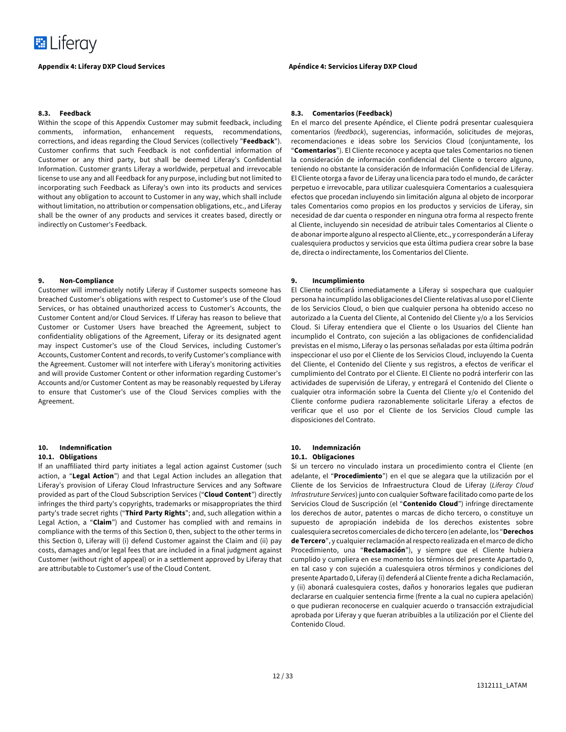

#### **8.3. Feedback**

Within the scope of this Appendix Customer may submit feedback, including comments, information, enhancement requests, recommendations, corrections, and ideas regarding the Cloud Services (collectively "**Feedback**"). Customer confirms that such Feedback is not confidential information of Customer or any third party, but shall be deemed Liferay's Confidential Information. Customer grants Liferay a worldwide, perpetual and irrevocable license to use any and all Feedback for any purpose, including but not limited to incorporating such Feedback as Liferay's own into its products and services without any obligation to account to Customer in any way, which shall include without limitation, no attribution or compensation obligations, etc., and Liferay shall be the owner of any products and services it creates based, directly or indirectly on Customer's Feedback.

#### **9. Non-Compliance**

Customer will immediately notify Liferay if Customer suspects someone has breached Customer's obligations with respect to Customer's use of the Cloud Services, or has obtained unauthorized access to Customer's Accounts, the Customer Content and/or Cloud Services. If Liferay has reason to believe that Customer or Customer Users have breached the Agreement, subject to confidentiality obligations of the Agreement, Liferay or its designated agent may inspect Customer's use of the Cloud Services, including Customer's Accounts, Customer Content and records, to verify Customer's compliance with the Agreement. Customer will not interfere with Liferay's monitoring activities and will provide Customer Content or other information regarding Customer's Accounts and/or Customer Content as may be reasonably requested by Liferay to ensure that Customer's use of the Cloud Services complies with the Agreement.

# **10. Indemnification**

### **10.1. Obligations**

If an unaffiliated third party initiates a legal action against Customer (such action, a "**Legal Action**") and that Legal Action includes an allegation that Liferay's provision of Liferay Cloud Infrastructure Services and any Software provided as part of the Cloud Subscription Services ("**Cloud Content**") directly infringes the third party's copyrights, trademarks or misappropriates the third party's trade secret rights ("**Third Party Rights**"; and, such allegation within a Legal Action, a "**Claim**") and Customer has complied with and remains in compliance with the terms of this Section 0, then, subject to the other terms in this Section 0, Liferay will (i) defend Customer against the Claim and (ii) pay costs, damages and/or legal fees that are included in a final judgment against Customer (without right of appeal) or in a settlement approved by Liferay that are attributable to Customer's use of the Cloud Content.

#### **Appendix 4: Liferay DXP Cloud Services Apéndice 4: Servicios Liferay DXP Cloud**

#### **8.3. Comentarios (Feedback)**

En el marco del presente Apéndice, el Cliente podrá presentar cualesquiera comentarios (*feedback*), sugerencias, información, solicitudes de mejoras, recomendaciones e ideas sobre los Servicios Cloud (conjuntamente, los "**Comentarios**"). El Cliente reconoce y acepta que tales Comentarios no tienen la consideración de información confidencial del Cliente o tercero alguno, teniendo no obstante la consideración de Información Confidencial de Liferay. El Cliente otorga a favor de Liferay una licencia para todo el mundo, de carácter perpetuo e irrevocable, para utilizar cualesquiera Comentarios a cualesquiera efectos que procedan incluyendo sin limitación alguna al objeto de incorporar tales Comentarios como propios en los productos y servicios de Liferay, sin necesidad de dar cuenta o responder en ninguna otra forma al respecto frente al Cliente, incluyendo sin necesidad de atribuir tales Comentarios al Cliente o de abonar importe alguno al respecto al Cliente, etc., y corresponderán a Liferay cualesquiera productos y servicios que esta última pudiera crear sobre la base de, directa o indirectamente, los Comentarios del Cliente.

#### **9. Incumplimiento**

El Cliente notificará inmediatamente a Liferay si sospechara que cualquier persona ha incumplido las obligaciones del Cliente relativas al uso por el Cliente de los Servicios Cloud, o bien que cualquier persona ha obtenido acceso no autorizado a la Cuenta del Cliente, al Contenido del Cliente y/o a los Servicios Cloud. Si Liferay entendiera que el Cliente o los Usuarios del Cliente han incumplido el Contrato, con sujeción a las obligaciones de confidencialidad previstas en el mismo, Liferay o las personas señaladas por esta última podrán inspeccionar el uso por el Cliente de los Servicios Cloud, incluyendo la Cuenta del Cliente, el Contenido del Cliente y sus registros, a efectos de verificar el cumplimiento del Contrato por el Cliente. El Cliente no podrá interferir con las actividades de supervisión de Liferay, y entregará el Contenido del Cliente o cualquier otra información sobre la Cuenta del Cliente y/o el Contenido del Cliente conforme pudiera razonablemente solicitarle Liferay a efectos de verificar que el uso por el Cliente de los Servicios Cloud cumple las disposiciones del Contrato.

#### **10. Indemnización 10.1. Obligaciones**

Si un tercero no vinculado instara un procedimiento contra el Cliente (en adelante, el "**Procedimiento**") en el que se alegara que la utilización por el Cliente de los Servicios de Infraestructura Cloud de Liferay (*Liferay Cloud Infrastruture Services*) junto con cualquier Software facilitado como parte de los Servicios Cloud de Suscripción (el "**Contenido Cloud**") infringe directamente los derechos de autor, patentes o marcas de dicho tercero, o constituye un supuesto de apropiación indebida de los derechos existentes sobre cualesquiera secretos comerciales de dicho tercero (en adelante, los "**Derechos de Tercero**", y cualquier reclamación al respecto realizada en el marco de dicho Procedimiento, una "**Reclamación**"), y siempre que el Cliente hubiera cumplido y cumpliera en ese momento los términos del presente Apartado 0, en tal caso y con sujeción a cualesquiera otros términos y condiciones del presente Apartado 0, Liferay (i) defenderá al Cliente frente a dicha Reclamación, y (ii) abonará cualesquiera costes, daños y honorarios legales que pudieran declararse en cualquier sentencia firme (frente a la cual no cupiera apelación) o que pudieran reconocerse en cualquier acuerdo o transacción extrajudicial aprobada por Liferay y que fueran atribuibles a la utilización por el Cliente del Contenido Cloud.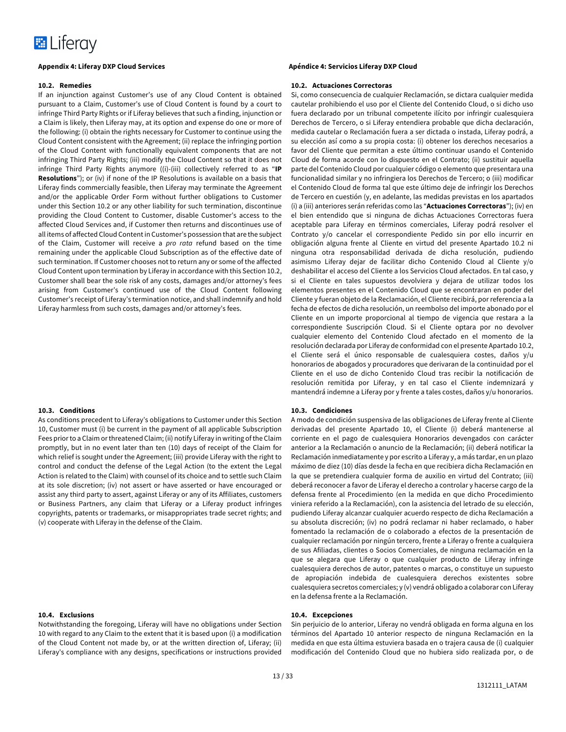

#### **10.2. Remedies**

If an injunction against Customer's use of any Cloud Content is obtained pursuant to a Claim, Customer's use of Cloud Content is found by a court to infringe Third Party Rights or if Liferay believes that such a finding, injunction or a Claim is likely, then Liferay may, at its option and expense do one or more of the following: (i) obtain the rights necessary for Customer to continue using the Cloud Content consistent with the Agreement; (ii) replace the infringing portion of the Cloud Content with functionally equivalent components that are not infringing Third Party Rights; (iii) modify the Cloud Content so that it does not infringe Third Party Rights anymore ((i)-(iii) collectively referred to as "**IP Resolutions**"); or (iv) if none of the IP Resolutions is available on a basis that Liferay finds commercially feasible, then Liferay may terminate the Agreement and/or the applicable Order Form without further obligations to Customer under this Section 10.2 or any other liability for such termination, discontinue providing the Cloud Content to Customer, disable Customer's access to the affected Cloud Services and, if Customer then returns and discontinues use of all items of affected Cloud Content in Customer's possession that are the subject of the Claim, Customer will receive a *pro rata* refund based on the time remaining under the applicable Cloud Subscription as of the effective date of such termination. If Customer chooses not to return any or some of the affected Cloud Content upon termination by Liferay in accordance with this Section 10.2, Customer shall bear the sole risk of any costs, damages and/or attorney's fees arising from Customer's continued use of the Cloud Content following Customer's receipt of Liferay's termination notice, and shall indemnify and hold Liferay harmless from such costs, damages and/or attorney's fees.

#### **10.3. Conditions**

As conditions precedent to Liferay's obligations to Customer under this Section 10, Customer must (i) be current in the payment of all applicable Subscription Fees prior to a Claim or threatened Claim; (ii) notify Liferay in writing of the Claim promptly, but in no event later than ten (10) days of receipt of the Claim for which relief is sought under the Agreement; (iii) provide Liferay with the right to control and conduct the defense of the Legal Action (to the extent the Legal Action is related to the Claim) with counsel of its choice and to settle such Claim at its sole discretion; (iv) not assert or have asserted or have encouraged or assist any third party to assert, against Liferay or any of its Affiliates, customers or Business Partners, any claim that Liferay or a Liferay product infringes copyrights, patents or trademarks, or misappropriates trade secret rights; and (v) cooperate with Liferay in the defense of the Claim.

#### **10.4. Exclusions**

Notwithstanding the foregoing, Liferay will have no obligations under Section 10 with regard to any Claim to the extent that it is based upon (i) a modification of the Cloud Content not made by, or at the written direction of, Liferay; (ii) Liferay's compliance with any designs, specifications or instructions provided

### **Appendix 4: Liferay DXP Cloud Services Apéndice 4: Servicios Liferay DXP Cloud**

#### **10.2. Actuaciones Correctoras**

Si, como consecuencia de cualquier Reclamación, se dictara cualquier medida cautelar prohibiendo el uso por el Cliente del Contenido Cloud, o si dicho uso fuera declarado por un tribunal competente ilícito por infringir cualesquiera Derechos de Tercero, o si Liferay entendiera probable que dicha declaración, medida cautelar o Reclamación fuera a ser dictada o instada, Liferay podrá, a su elección así como a su propia costa: (i) obtener los derechos necesarios a favor del Cliente que permitan a este último continuar usando el Contenido Cloud de forma acorde con lo dispuesto en el Contrato; (ii) sustituir aquella parte del Contenido Cloud por cualquier código o elemento que presentara una funcionalidad similar y no infringiera los Derechos de Tercero; o (iii) modificar el Contenido Cloud de forma tal que este último deje de infringir los Derechos de Tercero en cuestión (y, en adelante, las medidas previstas en los apartados (i) a (iii) anteriores serán referidas como las "**Actuaciones Correctoras**"); (iv) en el bien entendido que si ninguna de dichas Actuaciones Correctoras fuera aceptable para Liferay en términos comerciales, Liferay podrá resolver el Contrato y/o cancelar el correspondiente Pedido sin por ello incurrir en obligación alguna frente al Cliente en virtud del presente Apartado 10.2 ni ninguna otra responsabilidad derivada de dicha resolución, pudiendo asimismo Liferay dejar de facilitar dicho Contenido Cloud al Cliente y/o deshabilitar el acceso del Cliente a los Servicios Cloud afectados. En tal caso, y si el Cliente en tales supuestos devolviera y dejara de utilizar todos los elementos presentes en el Contenido Cloud que se encontraran en poder del Cliente y fueran objeto de la Reclamación, el Cliente recibirá, por referencia a la fecha de efectos de dicha resolución, un reembolso del importe abonado por el Cliente en un importe proporcional al tiempo de vigencia que restara a la correspondiente Suscripción Cloud. Si el Cliente optara por no devolver cualquier elemento del Contenido Cloud afectado en el momento de la resolución declarada por Liferay de conformidad con el presente Apartado 10.2, el Cliente será el único responsable de cualesquiera costes, daños y/u honorarios de abogados y procuradores que derivaran de la continuidad por el Cliente en el uso de dicho Contenido Cloud tras recibir la notificación de resolución remitida por Liferay, y en tal caso el Cliente indemnizará y mantendrá indemne a Liferay por y frente a tales costes, daños y/u honorarios.

### **10.3. Condiciones**

A modo de condición suspensiva de las obligaciones de Liferay frente al Cliente derivadas del presente Apartado 10, el Cliente (i) deberá mantenerse al corriente en el pago de cualesquiera Honorarios devengados con carácter anterior a la Reclamación o anuncio de la Reclamación; (ii) deberá notificar la Reclamación inmediatamente y por escrito a Liferay y, a más tardar, en un plazo máximo de diez (10) días desde la fecha en que recibiera dicha Reclamación en la que se pretendiera cualquier forma de auxilio en virtud del Contrato; (iii) deberá reconocer a favor de Liferay el derecho a controlar y hacerse cargo de la defensa frente al Procedimiento (en la medida en que dicho Procedimiento viniera referido a la Reclamación), con la asistencia del letrado de su elección, pudiendo Liferay alcanzar cualquier acuerdo respecto de dicha Reclamación a su absoluta discreción; (iv) no podrá reclamar ni haber reclamado, o haber fomentado la reclamación de o colaborado a efectos de la presentación de cualquier reclamación por ningún tercero, frente a Liferay o frente a cualquiera de sus Afiliadas, clientes o Socios Comerciales, de ninguna reclamación en la que se alegara que Liferay o que cualquier producto de Liferay infringe cualesquiera derechos de autor, patentes o marcas, o constituye un supuesto de apropiación indebida de cualesquiera derechos existentes sobre cualesquiera secretos comerciales; y (v) vendrá obligado a colaborar con Liferay en la defensa frente a la Reclamación.

#### **10.4. Excepciones**

Sin perjuicio de lo anterior, Liferay no vendrá obligada en forma alguna en los términos del Apartado 10 anterior respecto de ninguna Reclamación en la medida en que esta última estuviera basada en o trajera causa de (i) cualquier modificación del Contenido Cloud que no hubiera sido realizada por, o de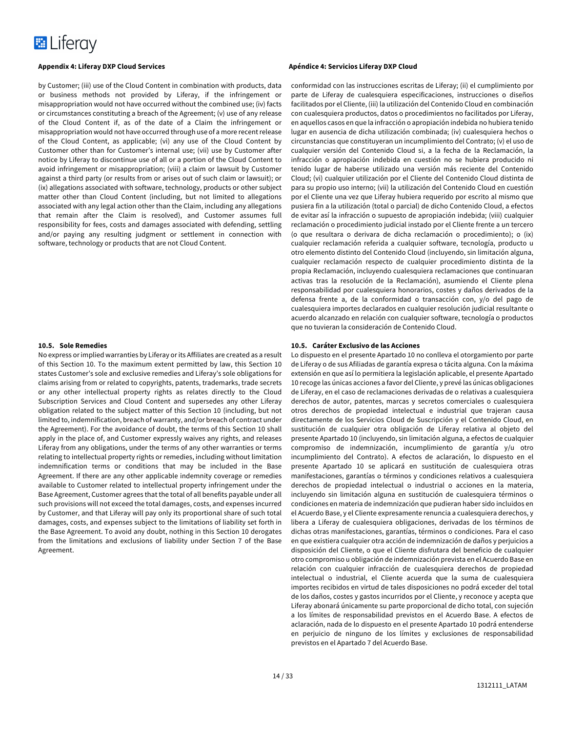

by Customer; (iii) use of the Cloud Content in combination with products, data or business methods not provided by Liferay, if the infringement or misappropriation would not have occurred without the combined use; (iv) facts or circumstances constituting a breach of the Agreement; (v) use of any release of the Cloud Content if, as of the date of a Claim the infringement or misappropriation would not have occurred through use of a more recent release of the Cloud Content, as applicable; (vi) any use of the Cloud Content by Customer other than for Customer's internal use; (vii) use by Customer after notice by Liferay to discontinue use of all or a portion of the Cloud Content to avoid infringement or misappropriation; (viii) a claim or lawsuit by Customer against a third party (or results from or arises out of such claim or lawsuit); or (ix) allegations associated with software, technology, products or other subject matter other than Cloud Content (including, but not limited to allegations associated with any legal action other than the Claim, including any allegations that remain after the Claim is resolved), and Customer assumes full responsibility for fees, costs and damages associated with defending, settling and/or paying any resulting judgment or settlement in connection with software, technology or products that are not Cloud Content.

#### **10.5. Sole Remedies**

No express or implied warranties by Liferay or its Affiliates are created as a result of this Section 10. To the maximum extent permitted by law, this Section 10 states Customer's sole and exclusive remedies and Liferay's sole obligations for claims arising from or related to copyrights, patents, trademarks, trade secrets or any other intellectual property rights as relates directly to the Cloud Subscription Services and Cloud Content and supersedes any other Liferay obligation related to the subject matter of this Section 10 (including, but not limited to, indemnification, breach of warranty, and/or breach of contract under the Agreement). For the avoidance of doubt, the terms of this Section 10 shall apply in the place of, and Customer expressly waives any rights, and releases Liferay from any obligations, under the terms of any other warranties or terms relating to intellectual property rights or remedies, including without limitation indemnification terms or conditions that may be included in the Base Agreement. If there are any other applicable indemnity coverage or remedies available to Customer related to intellectual property infringement under the Base Agreement, Customer agrees that the total of all benefits payable under all such provisions will not exceed the total damages, costs, and expenses incurred by Customer, and that Liferay will pay only its proportional share of such total damages, costs, and expenses subject to the limitations of liability set forth in the Base Agreement. To avoid any doubt, nothing in this Section 10 derogates from the limitations and exclusions of liability under Section 7 of the Base Agreement.

conformidad con las instrucciones escritas de Liferay; (ii) el cumplimiento por parte de Liferay de cualesquiera especificaciones, instrucciones o diseños facilitados por el Cliente, (iii) la utilización del Contenido Cloud en combinación con cualesquiera productos, datos o procedimientos no facilitados por Liferay, en aquellos casos en que la infracción o apropiación indebida no hubiera tenido lugar en ausencia de dicha utilización combinada; (iv) cualesquiera hechos o circunstancias que constituyeran un incumplimiento del Contrato; (v) el uso de cualquier versión del Contenido Cloud si, a la fecha de la Reclamación, la infracción o apropiación indebida en cuestión no se hubiera producido ni tenido lugar de haberse utilizado una versión más reciente del Contenido Cloud; (vi) cualquier utilización por el Cliente del Contenido Cloud distinta de para su propio uso interno; (vii) la utilización del Contenido Cloud en cuestión por el Cliente una vez que Liferay hubiera requerido por escrito al mismo que pusiera fin a la utilización (total o parcial) de dicho Contenido Cloud, a efectos de evitar así la infracción o supuesto de apropiación indebida; (viii) cualquier reclamación o procedimiento judicial instado por el Cliente frente a un tercero (o que resultara o derivara de dicha reclamación o procedimiento); o (ix) cualquier reclamación referida a cualquier software, tecnología, producto u otro elemento distinto del Contenido Cloud (incluyendo, sin limitación alguna, cualquier reclamación respecto de cualquier procedimiento distinta de la propia Reclamación, incluyendo cualesquiera reclamaciones que continuaran activas tras la resolución de la Reclamación), asumiendo el Cliente plena responsabilidad por cualesquiera honorarios, costes y daños derivados de la defensa frente a, de la conformidad o transacción con, y/o del pago de cualesquiera importes declarados en cualquier resolución judicial resultante o acuerdo alcanzado en relación con cualquier software, tecnología o productos que no tuvieran la consideración de Contenido Cloud.

#### **10.5. Caráter Exclusivo de las Acciones**

Lo dispuesto en el presente Apartado 10 no conlleva el otorgamiento por parte de Liferay o de sus Afiliadas de garantía expresa o tácita alguna. Con la máxima extensión en que así lo permitiera la legislación aplicable, el presente Apartado 10 recoge las únicas acciones a favor del Cliente, y prevé las únicas obligaciones de Liferay, en el caso de reclamaciones derivadas de o relativas a cualesquiera derechos de autor, patentes, marcas y secretos comerciales o cualesquiera otros derechos de propiedad intelectual e industrial que trajeran causa directamente de los Servicios Cloud de Suscripción y el Contenido Cloud, en sustitución de cualquier otra obligación de Liferay relativa al objeto del presente Apartado 10 (incluyendo, sin limitación alguna, a efectos de cualquier compromiso de indemnización, incumplimiento de garantía y/u otro incumplimiento del Contrato). A efectos de aclaración, lo dispuesto en el presente Apartado 10 se aplicará en sustitución de cualesquiera otras manifestaciones, garantías o términos y condiciones relativos a cualesquiera derechos de propiedad intelectual o industrial o acciones en la materia, incluyendo sin limitación alguna en sustitución de cualesquiera términos o condiciones en materia de indemnización que pudieran haber sido incluidos en el Acuerdo Base, y el Cliente expresamente renuncia a cualesquiera derechos, y libera a Liferay de cualesquiera obligaciones, derivadas de los términos de dichas otras manifestaciones, garantías, términos o condiciones. Para el caso en que existiera cualquier otra acción de indemnización de daños y perjuicios a disposición del Cliente, o que el Cliente disfrutara del beneficio de cualquier otro compromiso u obligación de indemnización prevista en el Acuerdo Base en relación con cualquier infracción de cualesquiera derechos de propiedad intelectual o industrial, el Cliente acuerda que la suma de cualesquiera importes recibidos en virtud de tales disposiciones no podrá exceder del total de los daños, costes y gastos incurridos por el Cliente, y reconoce y acepta que Liferay abonará únicamente su parte proporcional de dicho total, con sujeción a los límites de responsabilidad previstos en el Acuerdo Base. A efectos de aclaración, nada de lo dispuesto en el presente Apartado 10 podrá entenderse en perjuicio de ninguno de los límites y exclusiones de responsabilidad previstos en el Apartado 7 del Acuerdo Base.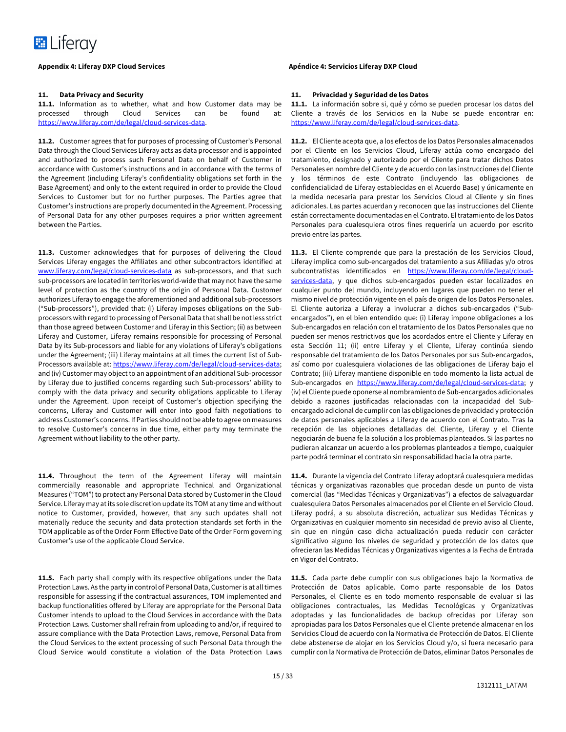

### **11. Data Privacy and Security**

**11.1.** Information as to whether, what and how Customer data may be processed through Cloud Services can be found at: https://www.liferay.com/de/legal/cloud-services-data.

**11.2.** Customer agrees that for purposes of processing of Customer's Personal Data through the Cloud Services Liferay acts as data processor and is appointed and authorized to process such Personal Data on behalf of Customer in accordance with Customer's instructions and in accordance with the terms of the Agreement (including Liferay's confidentiality obligations set forth in the Base Agreement) and only to the extent required in order to provide the Cloud Services to Customer but for no further purposes. The Parties agree that Customer's instructions are properly documented in the Agreement. Processing of Personal Data for any other purposes requires a prior written agreement between the Parties.

**11.3.** Customer acknowledges that for purposes of delivering the Cloud Services Liferay engages the Affiliates and other subcontractors identified at www.liferay.com/legal/cloud-services-data as sub-processors, and that such sub-processors are located in territories world-wide that may not have the same level of protection as the country of the origin of Personal Data. Customer authorizes Liferay to engage the aforementioned and additional sub-processors ("Sub-processors"), provided that: (i) Liferay imposes obligations on the Subprocessors with regard to processing of Personal Data that shall be not less strict than those agreed between Customer and Liferay in this Section; (ii) as between Liferay and Customer, Liferay remains responsible for processing of Personal Data by its Sub-processors and liable for any violations of Liferay's obligations under the Agreement; (iii) Liferay maintains at all times the current list of Sub-Processors available at: https://www.liferay.com/de/legal/cloud-services-data; and (iv) Customer may object to an appointment of an additional Sub-processor by Liferay due to justified concerns regarding such Sub-processors' ability to comply with the data privacy and security obligations applicable to Liferay under the Agreement. Upon receipt of Customer's objection specifying the concerns, Liferay and Customer will enter into good faith negotiations to address Customer's concerns. If Parties should not be able to agree on measures to resolve Customer's concerns in due time, either party may terminate the Agreement without liability to the other party.

**11.4.** Throughout the term of the Agreement Liferay will maintain commercially reasonable and appropriate Technical and Organizational Measures ("TOM") to protect any Personal Data stored by Customer in the Cloud Service. Liferay may at its sole discretion update its TOM at any time and without notice to Customer, provided, however, that any such updates shall not materially reduce the security and data protection standards set forth in the TOM applicable as of the Order Form Effective Date of the Order Form governing Customer's use of the applicable Cloud Service.

**11.5.** Each party shall comply with its respective obligations under the Data Protection Laws. As the party in control of Personal Data, Customer is at all times responsible for assessing if the contractual assurances, TOM implemented and backup functionalities offered by Liferay are appropriate for the Personal Data Customer intends to upload to the Cloud Services in accordance with the Data Protection Laws. Customer shall refrain from uploading to and/or, if required to assure compliance with the Data Protection Laws, remove, Personal Data from the Cloud Services to the extent processing of such Personal Data through the Cloud Service would constitute a violation of the Data Protection Laws

#### **11. Privacidad y Seguridad de los Datos**

**11.1.** La información sobre si, qué y cómo se pueden procesar los datos del Cliente a través de los Servicios en la Nube se puede encontrar en: https://www.liferay.com/de/legal/cloud-services-data.

**11.2.** El Cliente acepta que, a los efectos de los Datos Personales almacenados por el Cliente en los Servicios Cloud, Liferay actúa como encargado del tratamiento, designado y autorizado por el Cliente para tratar dichos Datos Personales en nombre del Cliente y de acuerdo con las instrucciones del Cliente y los términos de este Contrato (incluyendo las obligaciones de confidencialidad de Liferay establecidas en el Acuerdo Base) y únicamente en la medida necesaria para prestar los Servicios Cloud al Cliente y sin fines adicionales. Las partes acuerdan y reconocen que las instrucciones del Cliente están correctamente documentadas en el Contrato. El tratamiento de los Datos Personales para cualesquiera otros fines requeriría un acuerdo por escrito previo entre las partes.

**11.3.** El Cliente comprende que para la prestación de los Servicios Cloud, Liferay implica como sub-encargados del tratamiento a sus Afiliadas y/o otros subcontratistas identificados en https://www.liferay.com/de/legal/cloudservices-data, y que dichos sub-encargados pueden estar localizados en cualquier punto del mundo, incluyendo en lugares que pueden no tener el mismo nivel de protección vigente en el país de origen de los Datos Personales. El Cliente autoriza a Liferay a involucrar a dichos sub-encargados ("Subencargados"), en el bien entendido que: (i) Liferay impone obligaciones a los Sub-encargados en relación con el tratamiento de los Datos Personales que no pueden ser menos restrictivos que los acordados entre el Cliente y Liferay en esta Sección 11; (ii) entre Liferay y el Cliente, Liferay continúa siendo responsable del tratamiento de los Datos Personales por sus Sub-encargados, así como por cualesquiera violaciones de las obligaciones de Liferay bajo el Contrato; (iii) Liferay mantiene disponible en todo momento la lista actual de Sub-encargados en https://www.liferay.com/de/legal/cloud-services-data; y (iv) el Cliente puede oponerse al nombramiento de Sub-encargados adicionales debido a razones justificadas relacionadas con la incapacidad del Subencargado adicional de cumplir con las obligaciones de privacidad y protección de datos personales aplicables a Liferay de acuerdo con el Contrato. Tras la recepción de las objeciones detalladas del Cliente, Liferay y el Cliente negociarán de buena fe la solución a los problemas planteados. Si las partes no pudieran alcanzar un acuerdo a los problemas planteados a tiempo, cualquier parte podrá terminar el contrato sin responsabilidad hacia la otra parte.

**11.4.** Durante la vigencia del Contrato Liferay adoptará cualesquiera medidas técnicas y organizativas razonables que procedan desde un punto de vista comercial (las "Medidas Técnicas y Organizativas") a efectos de salvaguardar cualesquiera Datos Personales almacenados por el Cliente en el Servicio Cloud. Liferay podrá, a su absoluta discreción, actualizar sus Medidas Técnicas y Organizativas en cualquier momento sin necesidad de previo aviso al Cliente, sin que en ningún caso dicha actualización pueda reducir con carácter significativo alguno los niveles de seguridad y protección de los datos que ofrecieran las Medidas Técnicas y Organizativas vigentes a la Fecha de Entrada en Vigor del Contrato.

**11.5.** Cada parte debe cumplir con sus obligaciones bajo la Normativa de Protección de Datos aplicable. Como parte responsable de los Datos Personales, el Cliente es en todo momento responsable de evaluar si las obligaciones contractuales, las Medidas Tecnológicas y Organizativas adoptadas y las funcionalidades de backup ofrecidas por Liferay son apropiadas para los Datos Personales que el Cliente pretende almacenar en los Servicios Cloud de acuerdo con la Normativa de Protección de Datos. El Cliente debe abstenerse de alojar en los Servicios Cloud y/o, si fuera necesario para cumplir con la Normativa de Protección de Datos, eliminar Datos Personales de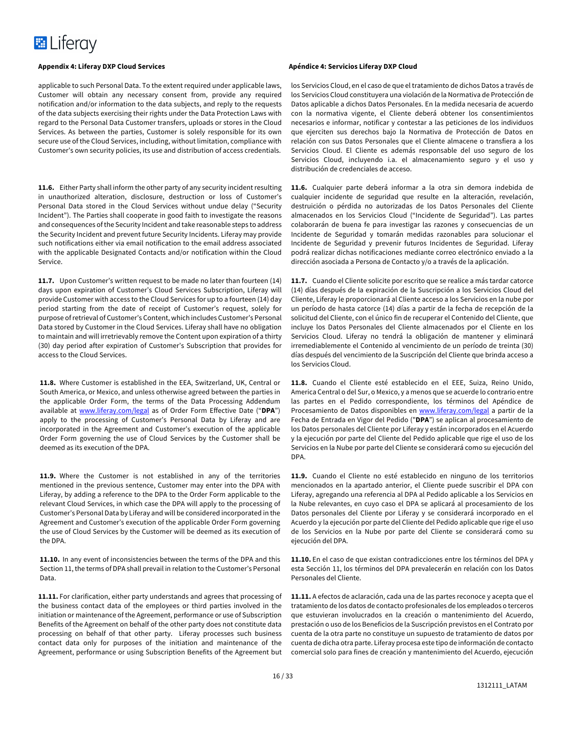applicable to such Personal Data. To the extent required under applicable laws, Customer will obtain any necessary consent from, provide any required notification and/or information to the data subjects, and reply to the requests of the data subjects exercising their rights under the Data Protection Laws with regard to the Personal Data Customer transfers, uploads or stores in the Cloud Services. As between the parties, Customer is solely responsible for its own secure use of the Cloud Services, including, without limitation, compliance with Customer's own security policies, its use and distribution of access credentials.

**11.6.** Either Party shall inform the other party of any security incident resulting in unauthorized alteration, disclosure, destruction or loss of Customer's Personal Data stored in the Cloud Services without undue delay ("Security Incident"). The Parties shall cooperate in good faith to investigate the reasons and consequences of the Security Incident and take reasonable steps to address the Security Incident and prevent future Security Incidents. Liferay may provide such notifications either via email notification to the email address associated with the applicable Designated Contacts and/or notification within the Cloud Service.

**11.7.** Upon Customer's written request to be made no later than fourteen (14) days upon expiration of Customer's Cloud Services Subscription, Liferay will provide Customer with access to the Cloud Services for up to a fourteen (14) day period starting from the date of receipt of Customer's request, solely for purpose of retrieval of Customer's Content, which includes Customer's Personal Data stored by Customer in the Cloud Services. Liferay shall have no obligation to maintain and will irretrievably remove the Content upon expiration of a thirty (30) day period after expiration of Customer's Subscription that provides for access to the Cloud Services.

**11.8.** Where Customer is established in the EEA, Switzerland, UK, Central or South America, or Mexico, and unless otherwise agreed between the parties in the applicable Order Form, the terms of the Data Processing Addendum available at www.liferay.com/legal as of Order Form Effective Date ("**DPA**") apply to the processing of Customer's Personal Data by Liferay and are incorporated in the Agreement and Customer's execution of the applicable Order Form governing the use of Cloud Services by the Customer shall be deemed as its execution of the DPA.

**11.9.** Where the Customer is not established in any of the territories mentioned in the previous sentence, Customer may enter into the DPA with Liferay, by adding a reference to the DPA to the Order Form applicable to the relevant Cloud Services, in which case the DPA will apply to the processing of Customer's Personal Data by Liferay and will be considered incorporated in the Agreement and Customer's execution of the applicable Order Form governing the use of Cloud Services by the Customer will be deemed as its execution of the DPA.

**11.10.** In any event of inconsistencies between the terms of the DPA and this Section 11, the terms of DPA shall prevail in relation to the Customer's Personal Data.

**11.11.** For clarification, either party understands and agrees that processing of the business contact data of the employees or third parties involved in the initiation or maintenance of the Agreement, performance or use of Subscription Benefits of the Agreement on behalf of the other party does not constitute data processing on behalf of that other party. Liferay processes such business contact data only for purposes of the initiation and maintenance of the Agreement, performance or using Subscription Benefits of the Agreement but

#### **Appendix 4: Liferay DXP Cloud Services Apéndice 4: Servicios Liferay DXP Cloud**

los Servicios Cloud, en el caso de que el tratamiento de dichos Datos a través de los Servicios Cloud constituyera una violación de la Normativa de Protección de Datos aplicable a dichos Datos Personales. En la medida necesaria de acuerdo con la normativa vigente, el Cliente deberá obtener los consentimientos necesarios e informar, notificar y contestar a las peticiones de los individuos que ejerciten sus derechos bajo la Normativa de Protección de Datos en relación con sus Datos Personales que el Cliente almacene o transfiera a los Servicios Cloud. El Cliente es además responsable del uso seguro de los Servicios Cloud, incluyendo i.a. el almacenamiento seguro y el uso y distribución de credenciales de acceso.

**11.6.** Cualquier parte deberá informar a la otra sin demora indebida de cualquier incidente de seguridad que resulte en la alteración, revelación, destruición o pérdida no autorizadas de los Datos Personales del Cliente almacenados en los Servicios Cloud ("Incidente de Seguridad"). Las partes colaborarán de buena fe para investigar las razones y consecuencias de un Incidente de Seguridad y tomarán medidas razonables para solucionar el Incidente de Seguridad y prevenir futuros Incidentes de Seguridad. Liferay podrá realizar dichas notificaciones mediante correo electrónico enviado a la dirección asociada a Persona de Contacto y/o a través de la aplicación.

**11.7.** Cuando el Cliente solicite por escrito que se realice a más tardar catorce (14) días después de la expiración de la Suscripción a los Servicios Cloud del Cliente, Liferay le proporcionará al Cliente acceso a los Servicios en la nube por un período de hasta catorce (14) días a partir de la fecha de recepción de la solicitud del Cliente, con el único fin de recuperar el Contenido del Cliente, que incluye los Datos Personales del Cliente almacenados por el Cliente en los Servicios Cloud. Liferay no tendrá la obligación de mantener y eliminará irremediablemente el Contenido al vencimiento de un período de treinta (30) días después del vencimiento de la Suscripción del Cliente que brinda acceso a los Servicios Cloud.

**11.8.** Cuando el Cliente esté establecido en el EEE, Suiza, Reino Unido, America Central o del Sur, o Mexico, y a menos que se acuerde lo contrario entre las partes en el Pedido correspondiente, los términos del Apéndice de Procesamiento de Datos disponibles en www.liferay.com/legal a partir de la Fecha de Entrada en Vigor del Pedido ("**DPA**") se aplican al procesamiento de los Datos personales del Cliente por Liferay y están incorporados en el Acuerdo y la ejecución por parte del Cliente del Pedido aplicable que rige el uso de los Servicios en la Nube por parte del Cliente se considerará como su ejecución del DPA.

**11.9.** Cuando el Cliente no esté establecido en ninguno de los territorios mencionados en la apartado anterior, el Cliente puede suscribir el DPA con Liferay, agregando una referencia al DPA al Pedido aplicable a los Servicios en la Nube relevantes, en cuyo caso el DPA se aplicará al procesamiento de los Datos personales del Cliente por Liferay y se considerará incorporado en el Acuerdo y la ejecución por parte del Cliente del Pedido aplicable que rige el uso de los Servicios en la Nube por parte del Cliente se considerará como su ejecución del DPA.

**11.10.** En el caso de que existan contradicciones entre los términos del DPA y esta Sección 11, los términos del DPA prevalecerán en relación con los Datos Personales del Cliente.

**11.11.** A efectos de aclaración, cada una de las partes reconoce y acepta que el tratamiento de los datos de contacto profesionales de los empleados o terceros que estuvieran involucrados en la creación o mantenimiento del Acuerdo, prestación o uso de los Beneficios de la Suscripción previstos en el Contrato por cuenta de la otra parte no constituye un supuesto de tratamiento de datos por cuenta de dicha otra parte. Liferay procesa este tipo de información de contacto comercial solo para fines de creación y mantenimiento del Acuerdo, ejecución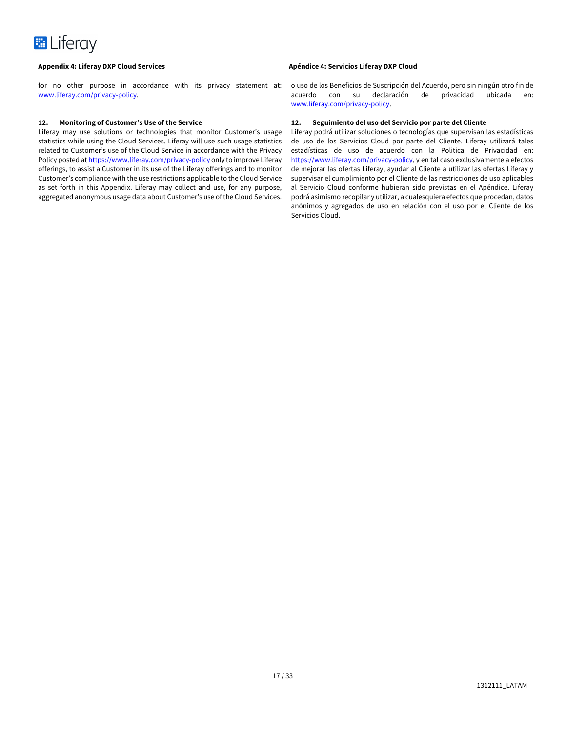for no other purpose in accordance with its privacy statement at: www.liferay.com/privacy-policy.

### **12. Monitoring of Customer's Use of the Service**

Liferay may use solutions or technologies that monitor Customer's usage statistics while using the Cloud Services. Liferay will use such usage statistics related to Customer's use of the Cloud Service in accordance with the Privacy Policy posted at https://www.liferay.com/privacy-policy only to improve Liferay offerings, to assist a Customer in its use of the Liferay offerings and to monitor Customer's compliance with the use restrictions applicable to the Cloud Service as set forth in this Appendix. Liferay may collect and use, for any purpose, aggregated anonymous usage data about Customer's use of the Cloud Services.

### **Appendix 4: Liferay DXP Cloud Services Apéndice 4: Servicios Liferay DXP Cloud**

o uso de los Beneficios de Suscripción del Acuerdo, pero sin ningún otro fin de acuerdo con su declaración de privacidad ubicada en: www.liferay.com/privacy-policy.

## **12. Seguimiento del uso del Servicio por parte del Cliente**

Liferay podrá utilizar soluciones o tecnologías que supervisan las estadísticas de uso de los Servicios Cloud por parte del Cliente. Liferay utilizará tales estadísticas de uso de acuerdo con la Politica de Privacidad en: https://www.liferay.com/privacy-policy, y en tal caso exclusivamente a efectos de mejorar las ofertas Liferay, ayudar al Cliente a utilizar las ofertas Liferay y supervisar el cumplimiento por el Cliente de las restricciones de uso aplicables al Servicio Cloud conforme hubieran sido previstas en el Apéndice. Liferay podrá asimismo recopilar y utilizar, a cualesquiera efectos que procedan, datos anónimos y agregados de uso en relación con el uso por el Cliente de los Servicios Cloud.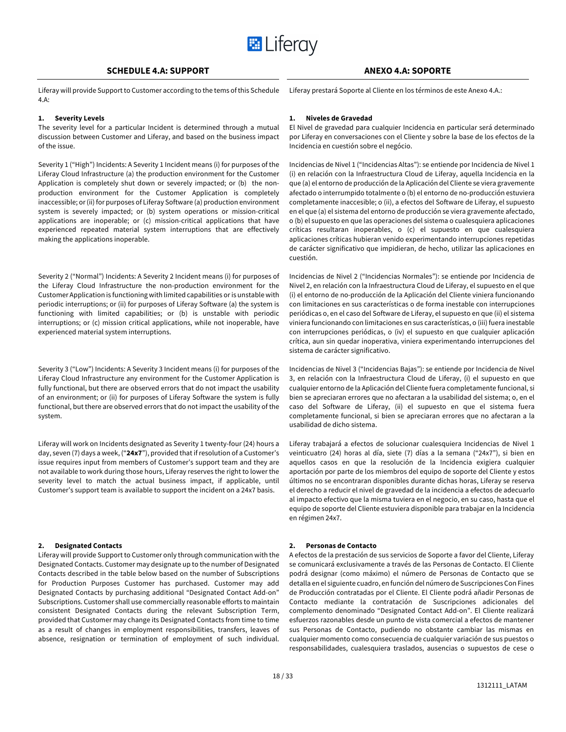

## **SCHEDULE 4.A: SUPPORT ANEXO 4.A: SOPORTE**

Liferay will provide Support to Customer according to the tems of this Schedule 4.A:

#### **1. Severity Levels**

The severity level for a particular Incident is determined through a mutual discussion between Customer and Liferay, and based on the business impact of the issue.

Severity 1 ("High") Incidents: A Severity 1 Incident means (i) for purposes of the Liferay Cloud Infrastructure (a) the production environment for the Customer Application is completely shut down or severely impacted; or (b) the nonproduction environment for the Customer Application is completely inaccessible; or (ii) for purposes of Liferay Software (a) production environment system is severely impacted; or (b) system operations or mission-critical applications are inoperable; or (c) mission-critical applications that have experienced repeated material system interruptions that are effectively making the applications inoperable.

Severity 2 ("Normal") Incidents: A Severity 2 Incident means (i) for purposes of the Liferay Cloud Infrastructure the non-production environment for the Customer Application is functioning with limited capabilities or is unstable with periodic interruptions; or (ii) for purposes of Liferay Software (a) the system is functioning with limited capabilities; or (b) is unstable with periodic interruptions; or (c) mission critical applications, while not inoperable, have experienced material system interruptions.

Severity 3 ("Low") Incidents: A Severity 3 Incident means (i) for purposes of the Liferay Cloud Infrastructure any environment for the Customer Application is fully functional, but there are observed errors that do not impact the usability of an environment; or (ii) for purposes of Liferay Software the system is fully functional, but there are observed errors that do not impact the usability of the system.

Liferay will work on Incidents designated as Severity 1 twenty-four (24) hours a day, seven (7) days a week, ("**24x7**"), provided that if resolution of a Customer's issue requires input from members of Customer's support team and they are not available to work during those hours, Liferay reserves the right to lower the severity level to match the actual business impact, if applicable, until Customer's support team is available to support the incident on a 24x7 basis.

#### **2. Designated Contacts**

Liferay will provide Support to Customer only through communication with the Designated Contacts. Customer may designate up to the number of Designated Contacts described in the table below based on the number of Subscriptions for Production Purposes Customer has purchased. Customer may add Designated Contacts by purchasing additional "Designated Contact Add-on" Subscriptions. Customer shall use commercially reasonable efforts to maintain consistent Designated Contacts during the relevant Subscription Term, provided that Customer may change its Designated Contacts from time to time as a result of changes in employment responsibilities, transfers, leaves of absence, resignation or termination of employment of such individual.

Liferay prestará Soporte al Cliente en los términos de este Anexo 4.A.:

### **1. Niveles de Gravedad**

El Nivel de gravedad para cualquier Incidencia en particular será determinado por Liferay en conversaciones con el Cliente y sobre la base de los efectos de la Incidencia en cuestión sobre el negócio.

Incidencias de Nivel 1 ("Incidencias Altas"): se entiende por Incidencia de Nivel 1 (i) en relación con la Infraestructura Cloud de Liferay, aquella Incidencia en la que (a) el entorno de producción de la Aplicación del Cliente se viera gravemente afectado o interrumpido totalmente o (b) el entorno de no-producción estuviera completamente inaccesible; o (ii), a efectos del Software de Liferay, el supuesto en el que (a) el sistema del entorno de producción se viera gravemente afectado, o (b) el supuesto en que las operaciones del sistema o cualesquiera aplicaciones críticas resultaran inoperables, o (c) el supuesto en que cualesquiera aplicaciones críticas hubieran venido experimentando interrupciones repetidas de carácter significativo que impidieran, de hecho, utilizar las aplicaciones en cuestión.

Incidencias de Nivel 2 ("Incidencias Normales"): se entiende por Incidencia de Nivel 2, en relación con la Infraestructura Cloud de Liferay, el supuesto en el que (i) el entorno de no-producción de la Aplicación del Cliente viniera funcionando con limitaciones en sus características o de forma inestable con interrupciones periódicas o, en el caso del Software de Liferay, el supuesto en que (ii) el sistema viniera funcionando con limitaciones en sus características, o (iii) fuera inestable con interrupciones periódicas, o (iv) el supuesto en que cualquier aplicación crítica, aun sin quedar inoperativa, viniera experimentando interrupciones del sistema de carácter significativo.

Incidencias de Nivel 3 ("Incidencias Bajas"): se entiende por Incidencia de Nivel 3, en relación con la Infraestructura Cloud de Liferay, (i) el supuesto en que cualquier entorno de la Aplicación del Cliente fuera completamente funcional, si bien se apreciaran errores que no afectaran a la usabilidad del sistema; o, en el caso del Software de Liferay, (ii) el supuesto en que el sistema fuera completamente funcional, si bien se apreciaran errores que no afectaran a la usabilidad de dicho sistema.

Liferay trabajará a efectos de solucionar cualesquiera Incidencias de Nivel 1 veinticuatro (24) horas al día, siete (7) días a la semana ("24x7"), si bien en aquellos casos en que la resolución de la Incidencia exigiera cualquier aportación por parte de los miembros del equipo de soporte del Cliente y estos últimos no se encontraran disponibles durante dichas horas, Liferay se reserva el derecho a reducir el nivel de gravedad de la incidencia a efectos de adecuarlo al impacto efectivo que la misma tuviera en el negocio, en su caso, hasta que el equipo de soporte del Cliente estuviera disponible para trabajar en la Incidencia en régimen 24x7.

### **2. Personas de Contacto**

A efectos de la prestación de sus servicios de Soporte a favor del Cliente, Liferay se comunicará exclusivamente a través de las Personas de Contacto. El Cliente podrá designar (como máximo) el número de Personas de Contacto que se detalla en el siguiente cuadro, en función del número de Suscripciones Con Fines de Producción contratadas por el Cliente. El Cliente podrá añadir Personas de Contacto mediante la contratación de Suscripciones adicionales del complemento denominado "Designated Contact Add-on". El Cliente realizará esfuerzos razonables desde un punto de vista comercial a efectos de mantener sus Personas de Contacto, pudiendo no obstante cambiar las mismas en cualquier momento como consecuencia de cualquier variación de sus puestos o responsabilidades, cualesquiera traslados, ausencias o supuestos de cese o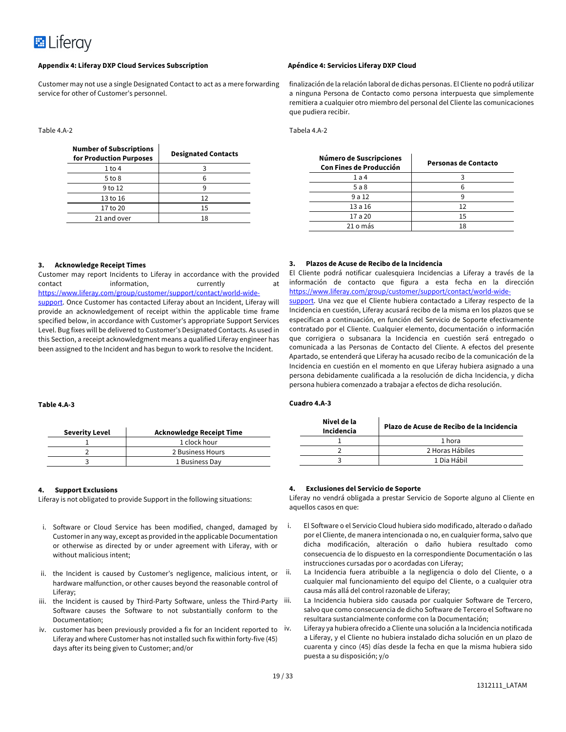

Customer may not use a single Designated Contact to act as a mere forwarding service for other of Customer's personnel.

#### Table 4.A-2

| <b>Number of Subscriptions</b><br>for Production Purposes | <b>Designated Contacts</b> |
|-----------------------------------------------------------|----------------------------|
| $1$ to 4                                                  |                            |
| $5$ to $8$                                                |                            |
| 9 to 12                                                   |                            |
| 13 to 16                                                  | 12                         |
| 17 to 20                                                  | 15                         |
| 21 and over                                               | 18                         |

finalización de la relación laboral de dichas personas. El Cliente no podrá utilizar a ninguna Persona de Contacto como persona interpuesta que simplemente remitiera a cualquier otro miembro del personal del Cliente las comunicaciones que pudiera recibir.

Tabela 4.A-2

| Número de Suscripciones<br><b>Con Fines de Producción</b> | Personas de Contacto |
|-----------------------------------------------------------|----------------------|
| 1a4                                                       |                      |
| 5a8                                                       |                      |
| 9a12                                                      |                      |
| 13a16                                                     | 12                   |
| 17 a 20                                                   | 15                   |
| 21 o más                                                  | 18                   |

#### **3. Acknowledge Receipt Times**

Customer may report Incidents to Liferay in accordance with the provided contact information, currently at https://www.liferay.com/group/customer/support/contact/world-wide-

support. Once Customer has contacted Liferay about an Incident, Liferay will provide an acknowledgement of receipt within the applicable time frame specified below, in accordance with Customer's appropriate Support Services Level. Bug fixes will be delivered to Customer's Designated Contacts. As used in this Section, a receipt acknowledgment means a qualified Liferay engineer has been assigned to the Incident and has begun to work to resolve the Incident.

#### **3. Plazos de Acuse de Recibo de la Incidencia**

El Cliente podrá notificar cualesquiera Incidencias a Liferay a través de la información de contacto que figura a esta fecha en la dirección https://www.liferay.com/group/customer/support/contact/world-wide-

support. Una vez que el Cliente hubiera contactado a Liferay respecto de la Incidencia en cuestión, Liferay acusará recibo de la misma en los plazos que se especifican a continuación, en función del Servicio de Soporte efectivamente contratado por el Cliente. Cualquier elemento, documentación o información que corrigiera o subsanara la Incidencia en cuestión será entregado o comunicada a las Personas de Contacto del Cliente. A efectos del presente Apartado, se entenderá que Liferay ha acusado recibo de la comunicación de la Incidencia en cuestión en el momento en que Liferay hubiera asignado a una persona debidamente cualificada a la resolución de dicha Incidencia, y dicha persona hubiera comenzado a trabajar a efectos de dicha resolución.

#### **Cuadro 4.A-3**

| Nivel de la<br>Incidencia | Plazo de Acuse de Recibo de la Incidencia |
|---------------------------|-------------------------------------------|
|                           | 1 hora                                    |
|                           | 2 Horas Hábiles                           |
|                           | 1 Dia Hábil                               |
|                           |                                           |

#### **Table 4.A-3**

# **4. Support Exclusions**

Liferay is not obligated to provide Support in the following situations:

**Severity Level Acknowledge Receipt Time**

2 2 Business Hours 3 1 Business Day

1 clock hour

- i. Software or Cloud Service has been modified, changed, damaged by Customer in any way, except as provided in the applicable Documentation or otherwise as directed by or under agreement with Liferay, with or without malicious intent;
- ii. the Incident is caused by Customer's negligence, malicious intent, or hardware malfunction, or other causes beyond the reasonable control of Liferay;
- iii. the Incident is caused by Third-Party Software, unless the Third-Party iii. Software causes the Software to not substantially conform to the Documentation;
- iv. customer has been previously provided a fix for an Incident reported to Liferay and where Customer has not installed such fix within forty-five (45) days after its being given to Customer; and/or

# **4. Exclusiones del Servicio de Soporte**

Liferay no vendrá obligada a prestar Servicio de Soporte alguno al Cliente en aquellos casos en que:

- i. El Software o el Servicio Cloud hubiera sido modificado, alterado o dañado por el Cliente, de manera intencionada o no, en cualquier forma, salvo que dicha modificación, alteración o daño hubiera resultado como consecuencia de lo dispuesto en la correspondiente Documentación o las instrucciones cursadas por o acordadas con Liferay;
- ii. La Incidencia fuera atribuible a la negligencia o dolo del Cliente, o a cualquier mal funcionamiento del equipo del Cliente, o a cualquier otra causa más allá del control razonable de Liferay;
	- La Incidencia hubiera sido causada por cualquier Software de Tercero, salvo que como consecuencia de dicho Software de Tercero el Software no resultara sustancialmente conforme con la Documentación;
- iv. Liferay ya hubiera ofrecido a Cliente una solución a la Incidencia notificada a Liferay, y el Cliente no hubiera instalado dicha solución en un plazo de cuarenta y cinco (45) días desde la fecha en que la misma hubiera sido puesta a su disposición; y/o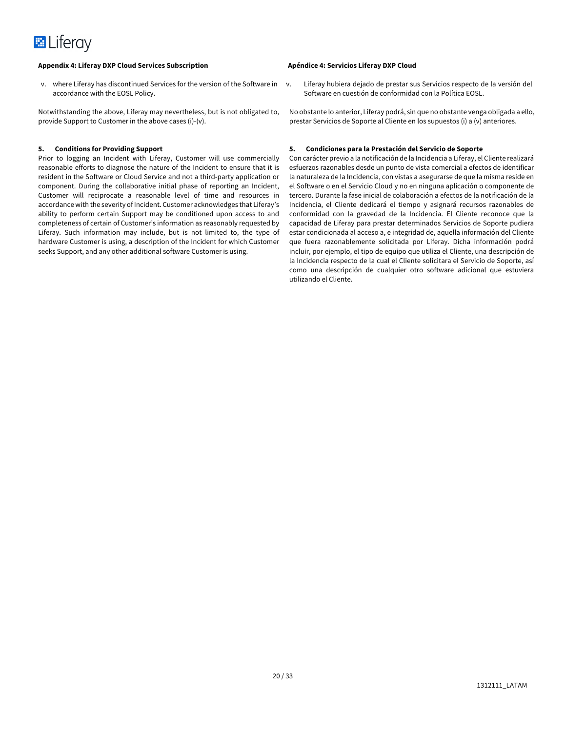v. where Liferay has discontinued Services for the version of the Software in accordance with the EOSL Policy.

Notwithstanding the above, Liferay may nevertheless, but is not obligated to, provide Support to Customer in the above cases (i)-(v).

#### **5. Conditions for Providing Support**

Prior to logging an Incident with Liferay, Customer will use commercially reasonable efforts to diagnose the nature of the Incident to ensure that it is resident in the Software or Cloud Service and not a third-party application or component. During the collaborative initial phase of reporting an Incident, Customer will reciprocate a reasonable level of time and resources in accordance with the severity of Incident. Customer acknowledges that Liferay's ability to perform certain Support may be conditioned upon access to and completeness of certain of Customer's information as reasonably requested by Liferay. Such information may include, but is not limited to, the type of hardware Customer is using, a description of the Incident for which Customer seeks Support, and any other additional software Customer is using.

v. Liferay hubiera dejado de prestar sus Servicios respecto de la versión del Software en cuestión de conformidad con la Política EOSL.

No obstante lo anterior, Liferay podrá, sin que no obstante venga obligada a ello, prestar Servicios de Soporte al Cliente en los supuestos (i) a (v) anteriores.

### **5. Condiciones para la Prestación del Servicio de Soporte**

Con carácter previo a la notificación de la Incidencia a Liferay, el Cliente realizará esfuerzos razonables desde un punto de vista comercial a efectos de identificar la naturaleza de la Incidencia, con vistas a asegurarse de que la misma reside en el Software o en el Servicio Cloud y no en ninguna aplicación o componente de tercero. Durante la fase inicial de colaboración a efectos de la notificación de la Incidencia, el Cliente dedicará el tiempo y asignará recursos razonables de conformidad con la gravedad de la Incidencia. El Cliente reconoce que la capacidad de Liferay para prestar determinados Servicios de Soporte pudiera estar condicionada al acceso a, e integridad de, aquella información del Cliente que fuera razonablemente solicitada por Liferay. Dicha información podrá incluir, por ejemplo, el tipo de equipo que utiliza el Cliente, una descripción de la Incidencia respecto de la cual el Cliente solicitara el Servicio de Soporte, así como una descripción de cualquier otro software adicional que estuviera utilizando el Cliente.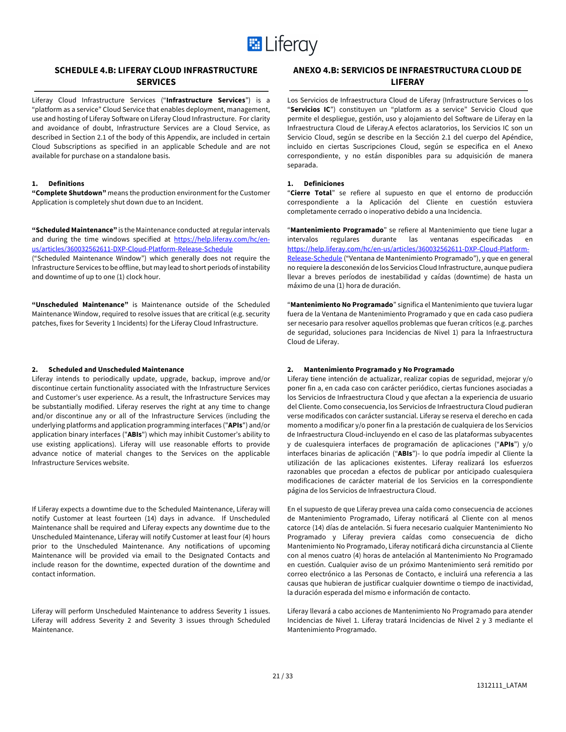

# **SCHEDULE 4.B: LIFERAY CLOUD INFRASTRUCTURE SERVICES**

Liferay Cloud Infrastructure Services ("**Infrastructure Services**") is a "platform as a service" Cloud Service that enables deployment, management, use and hosting of Liferay Software on Liferay Cloud Infrastructure. For clarity and avoidance of doubt, Infrastructure Services are a Cloud Service, as described in Section 2.1 of the body of this Appendix, are included in certain Cloud Subscriptions as specified in an applicable Schedule and are not available for purchase on a standalone basis.

### **1. Definitions**

**"Complete Shutdown"** means the production environment for the Customer Application is completely shut down due to an Incident.

**"Scheduled Maintenance"** is the Maintenance conducted at regular intervals and during the time windows specified at https://help.liferay.com/hc/enus/articles/360032562611-DXP-Cloud-Platform-Release-Schedule

("Scheduled Maintenance Window") which generally does not require the Infrastructure Services to be offline, but may lead to short periods of instability and downtime of up to one (1) clock hour.

**"Unscheduled Maintenance"** is Maintenance outside of the Scheduled Maintenance Window, required to resolve issues that are critical (e.g. security patches, fixes for Severity 1 Incidents) for the Liferay Cloud Infrastructure.

#### **2. Scheduled and Unscheduled Maintenance**

Liferay intends to periodically update, upgrade, backup, improve and/or discontinue certain functionality associated with the Infrastructure Services and Customer's user experience. As a result, the Infrastructure Services may be substantially modified. Liferay reserves the right at any time to change and/or discontinue any or all of the Infrastructure Services (including the underlying platforms and application programming interfaces ("**APIs**") and/or application binary interfaces ("**ABIs**") which may inhibit Customer's ability to use existing applications). Liferay will use reasonable efforts to provide advance notice of material changes to the Services on the applicable Infrastructure Services website.

If Liferay expects a downtime due to the Scheduled Maintenance, Liferay will notify Customer at least fourteen (14) days in advance. If Unscheduled Maintenance shall be required and Liferay expects any downtime due to the Unscheduled Maintenance, Liferay will notify Customer at least four (4) hours prior to the Unscheduled Maintenance. Any notifications of upcoming Maintenance will be provided via email to the Designated Contacts and include reason for the downtime, expected duration of the downtime and contact information.

Liferay will perform Unscheduled Maintenance to address Severity 1 issues. Liferay will address Severity 2 and Severity 3 issues through Scheduled Maintenance.

# **ANEXO 4.B: SERVICIOS DE INFRAESTRUCTURA CLOUD DE LIFERAY**

Los Servicios de Infraestructura Cloud de Liferay (Infrastructure Services o los "**Servicios IC**") constituyen un "platform as a service" Servicio Cloud que permite el despliegue, gestión, uso y alojamiento del Software de Liferay en la Infraestructura Cloud de Liferay.A efectos aclaratorios, los Servicios IC son un Servicio Cloud, según se describe en la Sección 2.1 del cuerpo del Apéndice, incluido en ciertas Suscripciones Cloud, según se especifica en el Anexo correspondiente, y no están disponibles para su adquisición de manera separada.

### **1. Definiciones**

"**Cierre Total**" se refiere al supuesto en que el entorno de producción correspondiente a la Aplicación del Cliente en cuestión estuviera completamente cerrado o inoperativo debido a una Incidencia.

"**Mantenimiento Programado**" se refiere al Mantenimiento que tiene lugar a intervalos regulares durante las ventanas especificadas en https://help.liferay.com/hc/en-us/articles/360032562611-DXP-Cloud-Platform-Release-Schedule ("Ventana de Mantenimiento Programado"), y que en general no requiere la desconexión de los Servicios Cloud Infrastructure, aunque pudiera llevar a breves períodos de inestabilidad y caídas (downtime) de hasta un máximo de una (1) hora de duración.

"**Mantenimiento No Programado**" significa el Mantenimiento que tuviera lugar fuera de la Ventana de Mantenimiento Programado y que en cada caso pudiera ser necesario para resolver aquellos problemas que fueran críticos (e.g. parches de seguridad, soluciones para Incidencias de Nivel 1) para la Infraestructura Cloud de Liferay.

#### **2. Mantenimiento Programado y No Programado**

Liferay tiene intención de actualizar, realizar copias de seguridad, mejorar y/o poner fin a, en cada caso con carácter periódico, ciertas funciones asociadas a los Servicios de Infraestructura Cloud y que afectan a la experiencia de usuario del Cliente. Como consecuencia, los Servicios de Infraestructura Cloud pudieran verse modificados con carácter sustancial. Liferay se reserva el derecho en cada momento a modificar y/o poner fin a la prestación de cualquiera de los Servicios de Infraestructura Cloud-incluyendo en el caso de las plataformas subyacentes y de cualesquiera interfaces de programación de aplicaciones ("**APIs**") y/o interfaces binarias de aplicación ("**ABIs**")- lo que podría impedir al Cliente la utilización de las aplicaciones existentes. Liferay realizará los esfuerzos razonables que procedan a efectos de publicar por anticipado cualesquiera modificaciones de carácter material de los Servicios en la correspondiente página de los Servicios de Infraestructura Cloud.

En el supuesto de que Liferay prevea una caída como consecuencia de acciones de Mantenimiento Programado, Liferay notificará al Cliente con al menos catorce (14) días de antelación. Si fuera necesario cualquier Mantenimiento No Programado y Liferay previera caídas como consecuencia de dicho Mantenimiento No Programado, Liferay notificará dicha circunstancia al Cliente con al menos cuatro (4) horas de antelación al Mantenimiento No Programado en cuestión. Cualquier aviso de un próximo Mantenimiento será remitido por correo electrónico a las Personas de Contacto, e incluirá una referencia a las causas que hubieran de justificar cualquier downtime o tiempo de inactividad, la duración esperada del mismo e información de contacto.

Liferay llevará a cabo acciones de Mantenimiento No Programado para atender Incidencias de Nivel 1. Liferay tratará Incidencias de Nivel 2 y 3 mediante el Mantenimiento Programado.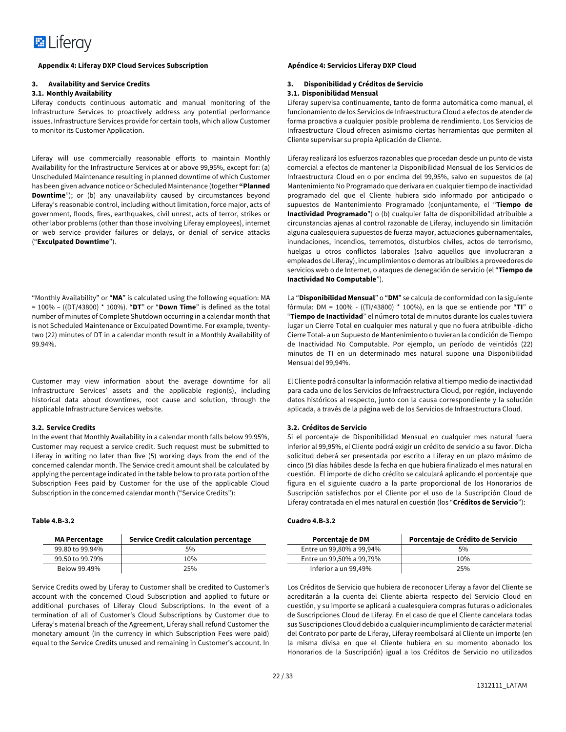

#### **3. Availability and Service Credits**

#### **3.1. Monthly Availability**

Liferay conducts continuous automatic and manual monitoring of the Infrastructure Services to proactively address any potential performance issues. Infrastructure Services provide for certain tools, which allow Customer to monitor its Customer Application.

Liferay will use commercially reasonable efforts to maintain Monthly Availability for the Infrastructure Services at or above 99,95%, except for: (a) Unscheduled Maintenance resulting in planned downtime of which Customer has been given advance notice or Scheduled Maintenance (together **"Planned Downtime**"); or (b) any unavailability caused by circumstances beyond Liferay's reasonable control, including without limitation, force major, acts of government, floods, fires, earthquakes, civil unrest, acts of terror, strikes or other labor problems (other than those involving Liferay employees), internet or web service provider failures or delays, or denial of service attacks ("**Exculpated Downtime**").

"Monthly Availability" or "**MA**" is calculated using the following equation: MA = 100% – ((DT/43800) \* 100%). "**DT**" or "**Down Time**" is defined as the total number of minutes of Complete Shutdown occurring in a calendar month that is not Scheduled Maintenance or Exculpated Downtime. For example, twentytwo (22) minutes of DT in a calendar month result in a Monthly Availability of 99.94%.

Customer may view information about the average downtime for all Infrastructure Services' assets and the applicable region(s), including historical data about downtimes, root cause and solution, through the applicable Infrastructure Services website.

#### **3.2. Service Credits**

In the event that Monthly Availability in a calendar month falls below 99.95%, Customer may request a service credit. Such request must be submitted to Liferay in writing no later than five (5) working days from the end of the concerned calendar month. The Service credit amount shall be calculated by applying the percentage indicated in the table below to pro rata portion of the Subscription Fees paid by Customer for the use of the applicable Cloud Subscription in the concerned calendar month ("Service Credits"):

### **Table 4.B-3.2**

| <b>MA Percentage</b> | <b>Service Credit calculation percentage</b> |
|----------------------|----------------------------------------------|
| 99.80 to 99.94%      | 5%                                           |
| 99.50 to 99.79%      | 10%                                          |
| Below 99.49%         | 25%                                          |

Service Credits owed by Liferay to Customer shall be credited to Customer's account with the concerned Cloud Subscription and applied to future or additional purchases of Liferay Cloud Subscriptions. In the event of a termination of all of Customer's Cloud Subscriptions by Customer due to Liferay's material breach of the Agreement, Liferay shall refund Customer the monetary amount (in the currency in which Subscription Fees were paid) equal to the Service Credits unused and remaining in Customer's account. In

#### **3. Disponibilidad y Créditos de Servicio 3.1. Disponibilidad Mensual**

Liferay supervisa continuamente, tanto de forma automática como manual, el funcionamiento de los Servicios de Infraestructura Cloud a efectos de atender de forma proactiva a cualquier posible problema de rendimiento. Los Servicios de Infraestructura Cloud ofrecen asimismo ciertas herramientas que permiten al Cliente supervisar su propia Aplicación de Cliente.

Liferay realizará los esfuerzos razonables que procedan desde un punto de vista comercial a efectos de mantener la Disponibilidad Mensual de los Servicios de Infraestructura Cloud en o por encima del 99,95%, salvo en supuestos de (a) Mantenimiento No Programado que derivara en cualquier tiempo de inactividad programado del que el Cliente hubiera sido informado por anticipado o supuestos de Mantenimiento Programado (conjuntamente, el "**Tiempo de Inactividad Programado**") o (b) cualquier falta de disponibilidad atribuible a circunstancias ajenas al control razonable de Liferay, incluyendo sin limitación alguna cualesquiera supuestos de fuerza mayor, actuaciones gubernamentales, inundaciones, incendios, terremotos, disturbios civiles, actos de terrorismo, huelgas u otros conflictos laborales (salvo aquellos que involucraran a empleados de Liferay), incumplimientos o demoras atribuibles a proveedores de servicios web o de Internet, o ataques de denegación de servicio (el "**Tiempo de Inactividad No Computable**").

La "**Disponibilidad Mensual**" o "**DM**" se calcula de conformidad con la siguiente fórmula: DM = 100% - ((TI/43800) \* 100%), en la que se entiende por "**TI**" o "**Tiempo de Inactividad**" el número total de minutos durante los cuales tuviera lugar un Cierre Total en cualquier mes natural y que no fuera atribuible -dicho Cierre Total- a un Supuesto de Mantenimiento o tuvieran la condición de Tiempo de Inactividad No Computable. Por ejemplo, un período de veintidós (22) minutos de TI en un determinado mes natural supone una Disponibilidad Mensual del 99,94%.

El Cliente podrá consultar la información relativa al tiempo medio de inactividad para cada uno de los Servicios de Infraestructura Cloud, por región, incluyendo datos históricos al respecto, junto con la causa correspondiente y la solución aplicada, a través de la página web de los Servicios de Infraestructura Cloud.

#### **3.2. Créditos de Servicio**

Si el porcentaje de Disponibilidad Mensual en cualquier mes natural fuera inferior al 99,95%, el Cliente podrá exigir un crédito de servicio a su favor. Dicha solicitud deberá ser presentada por escrito a Liferay en un plazo máximo de cinco (5) días hábiles desde la fecha en que hubiera finalizado el mes natural en cuestión. El importe de dicho crédito se calculará aplicando el porcentaje que figura en el siguiente cuadro a la parte proporcional de los Honorarios de Suscripción satisfechos por el Cliente por el uso de la Suscripción Cloud de Liferay contratada en el mes natural en cuestión (los "**Créditos de Servicio**"):

#### **Cuadro 4.B-3.2**

| Porcentaje de DM         | Porcentaje de Crédito de Servicio |
|--------------------------|-----------------------------------|
| Entre un 99,80% a 99,94% | 5%                                |
| Entre un 99,50% a 99,79% | 10%                               |
| Inferior a un 99,49%     | 25%                               |

Los Créditos de Servicio que hubiera de reconocer Liferay a favor del Cliente se acreditarán a la cuenta del Cliente abierta respecto del Servicio Cloud en cuestión, y su importe se aplicará a cualesquiera compras futuras o adicionales de Suscripciones Cloud de Liferay. En el caso de que el Cliente cancelara todas sus Suscripciones Cloud debido a cualquier incumplimiento de carácter material del Contrato por parte de Liferay, Liferay reembolsará al Cliente un importe (en la misma divisa en que el Cliente hubiera en su momento abonado los Honorarios de la Suscripción) igual a los Créditos de Servicio no utilizados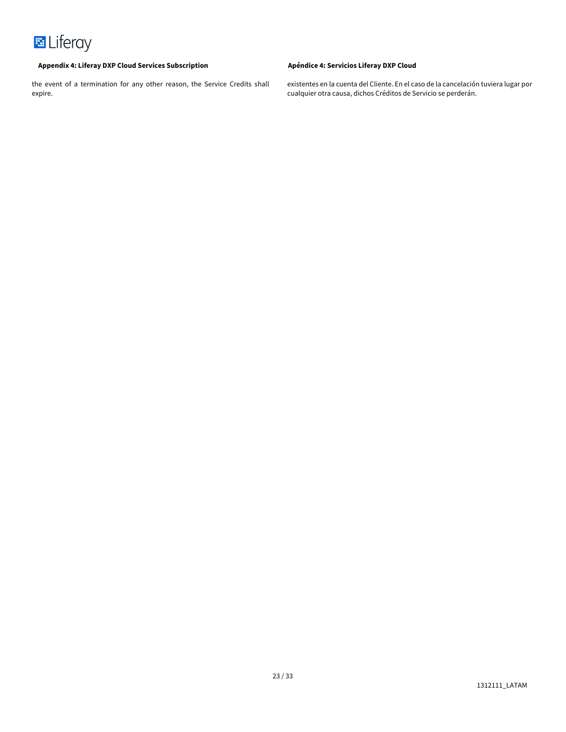

the event of a termination for any other reason, the Service Credits shall expire.

existentes en la cuenta del Cliente. En el caso de la cancelación tuviera lugar por cualquier otra causa, dichos Créditos de Servicio se perderán.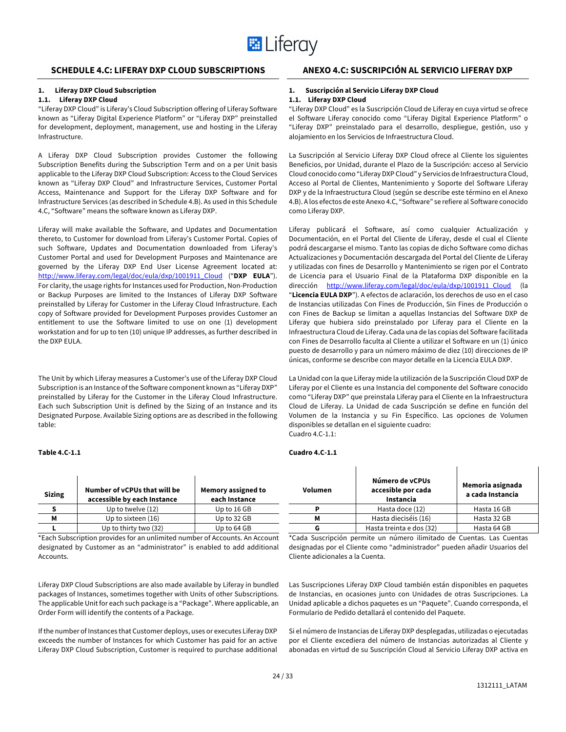

# **SCHEDULE 4.C: LIFERAY DXP CLOUD SUBSCRIPTIONS ANEXO 4.C: SUSCRIPCIÓN AL SERVICIO LIFERAY DXP**

### **1. Liferay DXP Cloud Subscription**

#### **1.1. Liferay DXP Cloud**

"Liferay DXP Cloud" is Liferay's Cloud Subscription offering of Liferay Software known as "Liferay Digital Experience Platform" or "Liferay DXP" preinstalled for development, deployment, management, use and hosting in the Liferay Infrastructure.

A Liferay DXP Cloud Subscription provides Customer the following Subscription Benefits during the Subscription Term and on a per Unit basis applicable to the Liferay DXP Cloud Subscription: Access to the Cloud Services known as "Liferay DXP Cloud" and Infrastructure Services, Customer Portal Access, Maintenance and Support for the Liferay DXP Software and for Infrastructure Services (as described in Schedule 4.B). As used in this Schedule 4.C, "Software" means the software known as Liferay DXP.

Liferay will make available the Software, and Updates and Documentation thereto, to Customer for download from Liferay's Customer Portal. Copies of such Software, Updates and Documentation downloaded from Liferay's Customer Portal and used for Development Purposes and Maintenance are governed by the Liferay DXP End User License Agreement located at: http://www.liferay.com/legal/doc/eula/dxp/1001911\_Cloud ("**DXP EULA**"). For clarity, the usage rights for Instances used for Production, Non-Production or Backup Purposes are limited to the Instances of Liferay DXP Software preinstalled by Liferay for Customer in the Liferay Cloud Infrastructure. Each copy of Software provided for Development Purposes provides Customer an entitlement to use the Software limited to use on one (1) development workstation and for up to ten (10) unique IP addresses, as further described in the DXP EULA.

The Unit by which Liferay measures a Customer's use of the Liferay DXP Cloud Subscription is an Instance of the Software component known as "Liferay DXP" preinstalled by Liferay for the Customer in the Liferay Cloud Infrastructure. Each such Subscription Unit is defined by the Sizing of an Instance and its Designated Purpose. Available Sizing options are as described in the following table:

#### **Table 4.C-1.1**

| <b>Sizing</b> | Number of vCPUs that will be<br>accessible by each Instance | Memory assigned to<br>each Instance |
|---------------|-------------------------------------------------------------|-------------------------------------|
|               | Up to twelve (12)                                           | Up to 16 GB                         |
| м             | Up to sixteen (16)                                          | Up to 32 GB                         |
|               | Up to thirty two (32)                                       | Up to 64 GB                         |

\*Each Subscription provides for an unlimited number of Accounts. An Account designated by Customer as an "administrator" is enabled to add additional Accounts.

Liferay DXP Cloud Subscriptions are also made available by Liferay in bundled packages of Instances, sometimes together with Units of other Subscriptions. The applicable Unit for each such package is a "Package". Where applicable, an Order Form will identify the contents of a Package.

If the number of Instances that Customer deploys, uses or executes Liferay DXP exceeds the number of Instances for which Customer has paid for an active Liferay DXP Cloud Subscription, Customer is required to purchase additional

### **1. Suscripción al Servicio Liferay DXP Cloud**

### **1.1. Liferay DXP Cloud**

"Liferay DXP Cloud" es la Suscripción Cloud de Liferay en cuya virtud se ofrece el Software Liferay conocido como "Liferay Digital Experience Platform" o "Liferay DXP" preinstalado para el desarrollo, despliegue, gestión, uso y alojamiento en los Servicios de Infraestructura Cloud.

La Suscripción al Servicio Liferay DXP Cloud ofrece al Cliente los siguientes Beneficios, por Unidad, durante el Plazo de la Suscripción: acceso al Servicio Cloud conocido como "Liferay DXP Cloud" y Servicios de Infraestructura Cloud, Acceso al Portal de Clientes, Mantenimiento y Soporte del Software Liferay DXP y de la Infraestructura Cloud (según se describe este término en el Anexo 4.B). A los efectos de este Anexo 4.C, "Software" se refiere al Software conocido como Liferay DXP.

Liferay publicará el Software, así como cualquier Actualización y Documentación, en el Portal del Cliente de Liferay, desde el cual el Cliente podrá descargarse el mismo. Tanto las copias de dicho Software como dichas Actualizaciones y Documentación descargada del Portal del Cliente de Liferay y utilizadas con fines de Desarrollo y Mantenimiento se rigen por el Contrato de Licencia para el Usuario Final de la Plataforma DXP disponible en la dirección http://www.liferay.com/legal/doc/eula/dxp/1001911 Cloud (la "**Licencia EULA DXP**"). A efectos de aclaración, los derechos de uso en el caso de Instancias utilizadas Con Fines de Producción, Sin Fines de Producción o con Fines de Backup se limitan a aquellas Instancias del Software DXP de Liferay que hubiera sido preinstalado por Liferay para el Cliente en la Infraestructura Cloud de Liferay. Cada una de las copias del Software facilitada con Fines de Desarrollo faculta al Cliente a utilizar el Software en un (1) único puesto de desarrollo y para un número máximo de diez (10) direcciones de IP únicas, conforme se describe con mayor detalle en la Licencia EULA DXP.

La Unidad con la que Liferay mide la utilización de la Suscripción Cloud DXP de Liferay por el Cliente es una Instancia del componente del Software conocido como "Liferay DXP" que preinstala Liferay para el Cliente en la Infraestructura Cloud de Liferay. La Unidad de cada Suscripción se define en función del Volumen de la Instancia y su Fin Específico. Las opciones de Volumen disponibles se detallan en el siguiente cuadro: Cuadro 4.C-1.1:

#### **Cuadro 4.C-1.1**

| <b>Volumen</b> | Número de vCPUs<br>Memoria asignada<br>accesible por cada<br>a cada Instancia<br>Instancia |             |
|----------------|--------------------------------------------------------------------------------------------|-------------|
| Р              | Hasta doce (12)                                                                            | Hasta 16 GB |
| м              | Hasta dieciséis (16)                                                                       | Hasta 32 GB |
| G              | Hasta treinta e dos (32)                                                                   | Hasta 64 GB |

\*Cada Suscripción permite un número ilimitado de Cuentas. Las Cuentas designadas por el Cliente como "administrador" pueden añadir Usuarios del Cliente adicionales a la Cuenta.

Las Suscripciones Liferay DXP Cloud también están disponibles en paquetes de Instancias, en ocasiones junto con Unidades de otras Suscripciones. La Unidad aplicable a dichos paquetes es un "Paquete". Cuando corresponda, el Formulario de Pedido detallará el contenido del Paquete.

Si el número de Instancias de Liferay DXP desplegadas, utilizadas o ejecutadas por el Cliente excediera del número de Instancias autorizadas al Cliente y abonadas en virtud de su Suscripción Cloud al Servicio Liferay DXP activa en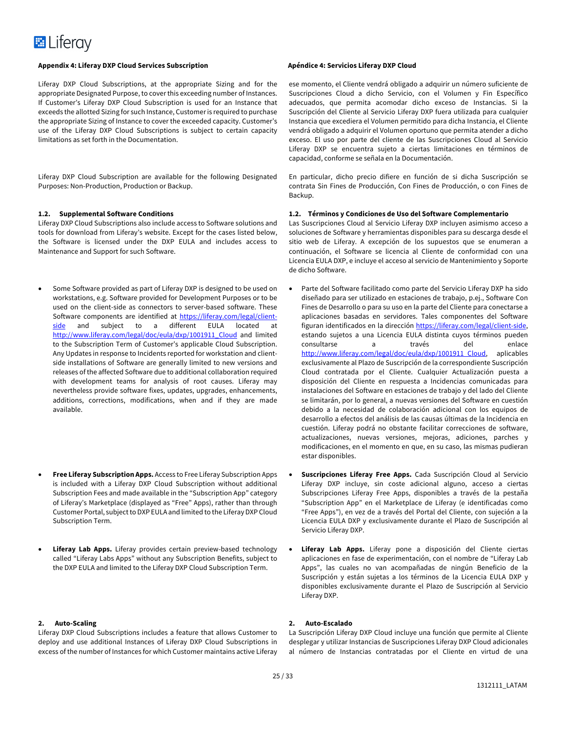#### **Appendix 4: Liferay DXP Cloud Services Subscription Apéndice 4: Servicios Liferay DXP Cloud**

Liferay DXP Cloud Subscriptions, at the appropriate Sizing and for the appropriate Designated Purpose, to cover this exceeding number of Instances. If Customer's Liferay DXP Cloud Subscription is used for an Instance that exceeds the allotted Sizing for such Instance, Customer is required to purchase the appropriate Sizing of Instance to cover the exceeded capacity. Customer's use of the Liferay DXP Cloud Subscriptions is subject to certain capacity limitations as set forth in the Documentation.

Liferay DXP Cloud Subscription are available for the following Designated Purposes: Non-Production, Production or Backup.

#### **1.2. Supplemental Software Conditions**

Liferay DXP Cloud Subscriptions also include access to Software solutions and tools for download from Liferay's website. Except for the cases listed below, the Software is licensed under the DXP EULA and includes access to Maintenance and Support for such Software.

- Some Software provided as part of Liferay DXP is designed to be used on workstations, e.g. Software provided for Development Purposes or to be used on the client-side as connectors to server-based software. These Software components are identified at https://liferay.com/legal/clientside and subject to a different EULA located at http://www.liferay.com/legal/doc/eula/dxp/1001911\_Cloud and limited to the Subscription Term of Customer's applicable Cloud Subscription. Any Updates in response to Incidents reported for workstation and clientside installations of Software are generally limited to new versions and releases of the affected Software due to additional collaboration required with development teams for analysis of root causes. Liferay may nevertheless provide software fixes, updates, upgrades, enhancements, additions, corrections, modifications, when and if they are made available.
- **Free Liferay Subscription Apps.** Access to Free Liferay Subscription Apps is included with a Liferay DXP Cloud Subscription without additional Subscription Fees and made available in the "Subscription App" category of Liferay's Marketplace (displayed as "Free" Apps), rather than through Customer Portal, subject to DXP EULA and limited to the Liferay DXP Cloud Subscription Term.
- **Liferay Lab Apps.** Liferay provides certain preview-based technology called "Liferay Labs Apps" without any Subscription Benefits, subject to the DXP EULA and limited to the Liferay DXP Cloud Subscription Term.

#### **2. Auto-Scaling**

Liferay DXP Cloud Subscriptions includes a feature that allows Customer to deploy and use additional Instances of Liferay DXP Cloud Subscriptions in excess of the number of Instances for which Customer maintains active Liferay

ese momento, el Cliente vendrá obligado a adquirir un número suficiente de Suscripciones Cloud a dicho Servicio, con el Volumen y Fin Específico adecuados, que permita acomodar dicho exceso de Instancias. Si la Suscripción del Cliente al Servicio Liferay DXP fuera utilizada para cualquier Instancia que excediera el Volumen permitido para dicha Instancia, el Cliente vendrá obligado a adquirir el Volumen oportuno que permita atender a dicho exceso. El uso por parte del cliente de las Suscripciones Cloud al Servicio Liferay DXP se encuentra sujeto a ciertas limitaciones en términos de capacidad, conforme se señala en la Documentación.

En particular, dicho precio difiere en función de si dicha Suscripción se contrata Sin Fines de Producción, Con Fines de Producción, o con Fines de Backup.

### **1.2. Términos y Condiciones de Uso del Software Complementario**

Las Suscripciones Cloud al Servicio Liferay DXP incluyen asimismo acceso a soluciones de Software y herramientas disponibles para su descarga desde el sitio web de Liferay. A excepción de los supuestos que se enumeran a continuación, el Software se licencia al Cliente de conformidad con una Licencia EULA DXP, e incluye el acceso al servicio de Mantenimiento y Soporte de dicho Software.

- Parte del Software facilitado como parte del Servicio Liferay DXP ha sido diseñado para ser utilizado en estaciones de trabajo, p.ej., Software Con Fines de Desarrollo o para su uso en la parte del Cliente para conectarse a aplicaciones basadas en servidores. Tales componentes del Software figuran identificados en la dirección https://liferay.com/legal/client-side, estando sujetos a una Licencia EULA distinta cuyos términos pueden consultarse a través del enlace http://www.liferay.com/legal/doc/eula/dxp/1001911\_Cloud, aplicables exclusivamente al Plazo de Suscripción de la correspondiente Suscripción Cloud contratada por el Cliente. Cualquier Actualización puesta a disposición del Cliente en respuesta a Incidencias comunicadas para instalaciones del Software en estaciones de trabajo y del lado del Cliente se limitarán, por lo general, a nuevas versiones del Software en cuestión debido a la necesidad de colaboración adicional con los equipos de desarrollo a efectos del análisis de las causas últimas de la Incidencia en cuestión. Liferay podrá no obstante facilitar correcciones de software, actualizaciones, nuevas versiones, mejoras, adiciones, parches y modificaciones, en el momento en que, en su caso, las mismas pudieran estar disponibles.
- **Suscripciones Liferay Free Apps.** Cada Suscripción Cloud al Servicio Liferay DXP incluye, sin coste adicional alguno, acceso a ciertas Subscripciones Liferay Free Apps, disponibles a través de la pestaña "Subscription App" en el Marketplace de Liferay (e identificadas como "Free Apps"), en vez de a través del Portal del Cliente, con sujeción a la Licencia EULA DXP y exclusivamente durante el Plazo de Suscripción al Servicio Liferay DXP.
- Liferay Lab Apps. Liferay pone a disposición del Cliente ciertas aplicaciones en fase de experimentación, con el nombre de "Liferay Lab Apps", las cuales no van acompañadas de ningún Beneficio de la Suscripción y están sujetas a los términos de la Licencia EULA DXP y disponibles exclusivamente durante el Plazo de Suscripción al Servicio Liferay DXP.

### **2. Auto-Escalado**

La Suscripción Liferay DXP Cloud incluye una función que permite al Cliente desplegar y utilizar Instancias de Suscripciones Liferay DXP Cloud adicionales al número de Instancias contratadas por el Cliente en virtud de una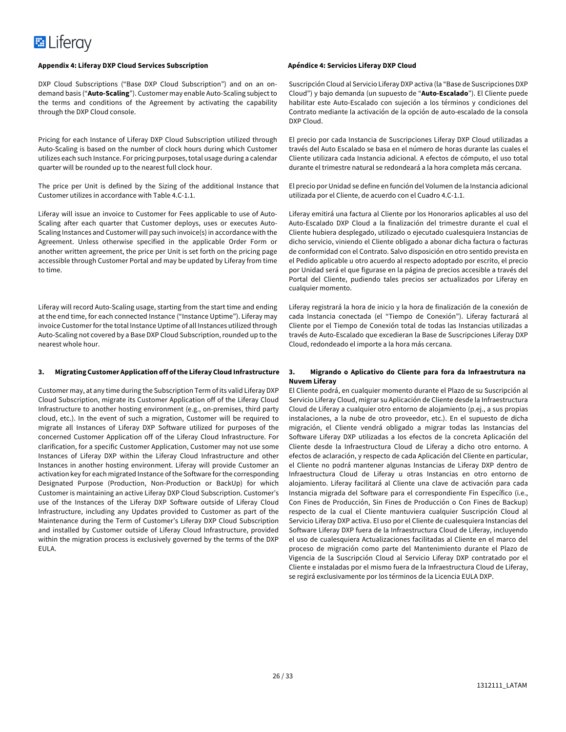#### **Appendix 4: Liferay DXP Cloud Services Subscription Apéndice 4: Servicios Liferay DXP Cloud**

DXP Cloud Subscriptions ("Base DXP Cloud Subscription") and on an ondemand basis ("**Auto-Scaling**"). Customer may enable Auto-Scaling subject to the terms and conditions of the Agreement by activating the capability through the DXP Cloud console.

Pricing for each Instance of Liferay DXP Cloud Subscription utilized through Auto-Scaling is based on the number of clock hours during which Customer utilizes each such Instance. For pricing purposes, total usage during a calendar quarter will be rounded up to the nearest full clock hour.

The price per Unit is defined by the Sizing of the additional Instance that Customer utilizes in accordance with Table 4.C-1.1.

Liferay will issue an invoice to Customer for Fees applicable to use of Auto-Scaling after each quarter that Customer deploys, uses or executes Auto-Scaling Instances and Customer will pay such invoice(s) in accordance with the Agreement. Unless otherwise specified in the applicable Order Form or another written agreement, the price per Unit is set forth on the pricing page accessible through Customer Portal and may be updated by Liferay from time to time.

Liferay will record Auto-Scaling usage, starting from the start time and ending at the end time, for each connected Instance ("Instance Uptime"). Liferay may invoice Customer for the total Instance Uptime of all Instances utilized through Auto-Scaling not covered by a Base DXP Cloud Subscription, rounded up to the nearest whole hour.

### **3. Migrating Customer Application off of the Liferay Cloud Infrastructure**

Customer may, at any time during the Subscription Term of its valid Liferay DXP Cloud Subscription, migrate its Customer Application off of the Liferay Cloud Infrastructure to another hosting environment (e.g., on-premises, third party cloud, etc.). In the event of such a migration, Customer will be required to migrate all Instances of Liferay DXP Software utilized for purposes of the concerned Customer Application off of the Liferay Cloud Infrastructure. For clarification, for a specific Customer Application, Customer may not use some Instances of Liferay DXP within the Liferay Cloud Infrastructure and other Instances in another hosting environment. Liferay will provide Customer an activation key for each migrated Instance of the Software for the corresponding Designated Purpose (Production, Non-Production or BackUp) for which Customer is maintaining an active Liferay DXP Cloud Subscription. Customer's use of the Instances of the Liferay DXP Software outside of Liferay Cloud Infrastructure, including any Updates provided to Customer as part of the Maintenance during the Term of Customer's Liferay DXP Cloud Subscription and installed by Customer outside of Liferay Cloud Infrastructure, provided within the migration process is exclusively governed by the terms of the DXP EULA.

Suscripción Cloud al Servicio Liferay DXP activa (la "Base de Suscripciones DXP Cloud") y bajo demanda (un supuesto de "**Auto-Escalado**"). El Cliente puede habilitar este Auto-Escalado con sujeción a los términos y condiciones del Contrato mediante la activación de la opción de auto-escalado de la consola DXP Cloud.

El precio por cada Instancia de Suscripciones Liferay DXP Cloud utilizadas a través del Auto Escalado se basa en el número de horas durante las cuales el Cliente utilizara cada Instancia adicional. A efectos de cómputo, el uso total durante el trimestre natural se redondeará a la hora completa más cercana.

El precio por Unidad se define en función del Volumen de la Instancia adicional utilizada por el Cliente, de acuerdo con el Cuadro 4.C-1.1.

Liferay emitirá una factura al Cliente por los Honorarios aplicables al uso del Auto-Escalado DXP Cloud a la finalización del trimestre durante el cual el Cliente hubiera desplegado, utilizado o ejecutado cualesquiera Instancias de dicho servicio, viniendo el Cliente obligado a abonar dicha factura o facturas de conformidad con el Contrato. Salvo disposición en otro sentido prevista en el Pedido aplicable u otro acuerdo al respecto adoptado por escrito, el precio por Unidad será el que figurase en la página de precios accesible a través del Portal del Cliente, pudiendo tales precios ser actualizados por Liferay en cualquier momento.

Liferay registrará la hora de inicio y la hora de finalización de la conexión de cada Instancia conectada (el "Tiempo de Conexión"). Liferay facturará al Cliente por el Tiempo de Conexión total de todas las Instancias utilizadas a través de Auto-Escalado que excedieran la Base de Suscripciones Liferay DXP Cloud, redondeado el importe a la hora más cercana.

### **3. Migrando o Aplicativo do Cliente para fora da Infraestrutura na Nuvem Liferay**

El Cliente podrá, en cualquier momento durante el Plazo de su Suscripción al Servicio Liferay Cloud, migrar su Aplicación de Cliente desde la Infraestructura Cloud de Liferay a cualquier otro entorno de alojamiento (p.ej., a sus propias instalaciones, a la nube de otro proveedor, etc.). En el supuesto de dicha migración, el Cliente vendrá obligado a migrar todas las Instancias del Software Liferay DXP utilizadas a los efectos de la concreta Aplicación del Cliente desde la Infraestructura Cloud de Liferay a dicho otro entorno. A efectos de aclaración, y respecto de cada Aplicación del Cliente en particular, el Cliente no podrá mantener algunas Instancias de Liferay DXP dentro de Infraestructura Cloud de Liferay u otras Instancias en otro entorno de alojamiento. Liferay facilitará al Cliente una clave de activación para cada Instancia migrada del Software para el correspondiente Fin Específico (i.e., Con Fines de Producción, Sin Fines de Producción o Con Fines de Backup) respecto de la cual el Cliente mantuviera cualquier Suscripción Cloud al Servicio Liferay DXP activa. El uso por el Cliente de cualesquiera Instancias del Software Liferay DXP fuera de la Infraestructura Cloud de Liferay, incluyendo el uso de cualesquiera Actualizaciones facilitadas al Cliente en el marco del proceso de migración como parte del Mantenimiento durante el Plazo de Vigencia de la Suscripción Cloud al Servicio Liferay DXP contratado por el Cliente e instaladas por el mismo fuera de la Infraestructura Cloud de Liferay, se regirá exclusivamente por los términos de la Licencia EULA DXP.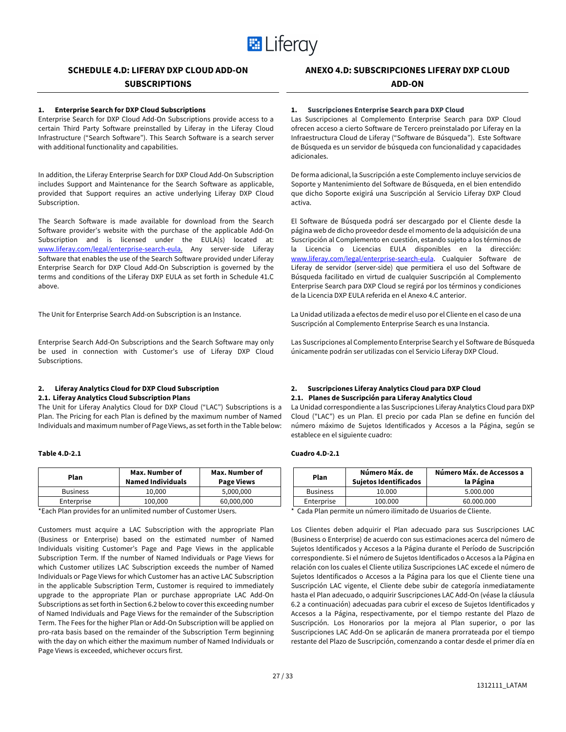

# **SCHEDULE 4.D: LIFERAY DXP CLOUD ADD-ON**

# **SUBSCRIPTIONS**

#### **1. Enterprise Search for DXP Cloud Subscriptions**

Enterprise Search for DXP Cloud Add-On Subscriptions provide access to a certain Third Party Software preinstalled by Liferay in the Liferay Cloud Infrastructure ("Search Software"). This Search Software is a search server with additional functionality and capabilities.

In addition, the Liferay Enterprise Search for DXP Cloud Add-On Subscription includes Support and Maintenance for the Search Software as applicable, provided that Support requires an active underlying Liferay DXP Cloud Subscription.

The Search Software is made available for download from the Search Software provider's website with the purchase of the applicable Add-On Subscription and is licensed under the EULA(s) located at: www.liferay.com/legal/enterprise-search-eula. Any server-side Liferay Software that enables the use of the Search Software provided under Liferay Enterprise Search for DXP Cloud Add-On Subscription is governed by the terms and conditions of the Liferay DXP EULA as set forth in Schedule 41.C above.

The Unit for Enterprise Search Add-on Subscription is an Instance.

Enterprise Search Add-On Subscriptions and the Search Software may only be used in connection with Customer's use of Liferay DXP Cloud Subscriptions.

#### **2. Liferay Analytics Cloud for DXP Cloud Subscription 2.1. Liferay Analytics Cloud Subscription Plans**

The Unit for Liferay Analytics Cloud for DXP Cloud ("LAC") Subscriptions is a Plan. The Pricing for each Plan is defined by the maximum number of Named Individuals and maximum number of Page Views, as set forth in the Table below:

### **Table 4.D-2.1**

| Plan            | Max. Number of<br><b>Named Individuals</b> | Max. Number of<br><b>Page Views</b> |
|-----------------|--------------------------------------------|-------------------------------------|
| <b>Business</b> | 10.000                                     | 5.000.000                           |
| Enterprise      | 100,000                                    | 60,000,000                          |

\*Each Plan provides for an unlimited number of Customer Users.

Customers must acquire a LAC Subscription with the appropriate Plan (Business or Enterprise) based on the estimated number of Named Individuals visiting Customer's Page and Page Views in the applicable Subscription Term. If the number of Named Individuals or Page Views for which Customer utilizes LAC Subscription exceeds the number of Named Individuals or Page Views for which Customer has an active LAC Subscription in the applicable Subscription Term, Customer is required to immediately upgrade to the appropriate Plan or purchase appropriate LAC Add-On Subscriptions as set forth in Section 6.2 below to cover this exceeding number of Named Individuals and Page Views for the remainder of the Subscription Term. The Fees for the higher Plan or Add-On Subscription will be applied on pro-rata basis based on the remainder of the Subscription Term beginning with the day on which either the maximum number of Named Individuals or Page Views is exceeded, whichever occurs first.

### **1. Suscripciones Enterprise Search para DXP Cloud**

Las Suscripciones al Complemento Enterprise Search para DXP Cloud ofrecen acceso a cierto Software de Tercero preinstalado por Liferay en la Infraestructura Cloud de Liferay ("Software de Búsqueda"). Este Software de Búsqueda es un servidor de búsqueda con funcionalidad y capacidades adicionales.

De forma adicional, la Suscripción a este Complemento incluye servicios de Soporte y Mantenimiento del Software de Búsqueda, en el bien entendido que dicho Soporte exigirá una Suscripción al Servicio Liferay DXP Cloud activa.

El Software de Búsqueda podrá ser descargado por el Cliente desde la página web de dicho proveedor desde el momento de la adquisición de una Suscripción al Complemento en cuestión, estando sujeto a los términos de la Licencia o Licencias EULA disponibles en la dirección: www.liferay.com/legal/enterprise-search-eula. Cualquier Software de Liferay de servidor (server-side) que permitiera el uso del Software de Búsqueda facilitado en virtud de cualquier Suscripción al Complemento Enterprise Search para DXP Cloud se regirá por los términos y condiciones de la Licencia DXP EULA referida en el Anexo 4.C anterior.

La Unidad utilizada a efectos de medir el uso por el Cliente en el caso de una Suscripción al Complemento Enterprise Search es una Instancia.

Las Suscripciones al Complemento Enterprise Search y el Software de Búsqueda únicamente podrán ser utilizadas con el Servicio Liferay DXP Cloud.

### **2. Suscripciones Liferay Analytics Cloud para DXP Cloud 2.1. Planes de Suscripción para Liferay Analytics Cloud**

La Unidad correspondiente a las Suscripciones Liferay Analytics Cloud para DXP Cloud ("LAC") es un Plan. El precio por cada Plan se define en función del número máximo de Sujetos Identificados y Accesos a la Página, según se establece en el siguiente cuadro:

#### **Cuadro 4.D-2.1**

| Plan            | Número Máx. de<br>Sujetos Identificados | Número Máx, de Accessos a<br>la Página |
|-----------------|-----------------------------------------|----------------------------------------|
| <b>Business</b> | 10.000                                  | 5.000.000                              |
| Enterprise      | 100.000                                 | 60.000.000                             |

Cada Plan permite un número ilimitado de Usuarios de Cliente.

Los Clientes deben adquirir el Plan adecuado para sus Suscripciones LAC (Business o Enterprise) de acuerdo con sus estimaciones acerca del número de Sujetos Identificados y Accesos a la Página durante el Período de Suscripción correspondiente. Si el número de Sujetos Identificados o Accesos a la Página en relación con los cuales el Cliente utiliza Suscripciones LAC excede el número de Sujetos Identificados o Accesos a la Página para los que el Cliente tiene una Suscripción LAC vigente, el Cliente debe subir de categoría inmediatamente hasta el Plan adecuado, o adquirir Suscripciones LAC Add-On (véase la cláusula 6.2 a continuación) adecuadas para cubrir el exceso de Sujetos Identificados y Accesos a la Página, respectivamente, por el tiempo restante del Plazo de Suscripción. Los Honorarios por la mejora al Plan superior, o por las Suscripciones LAC Add-On se aplicarán de manera prorrateada por el tiempo restante del Plazo de Suscripción, comenzando a contar desde el primer día en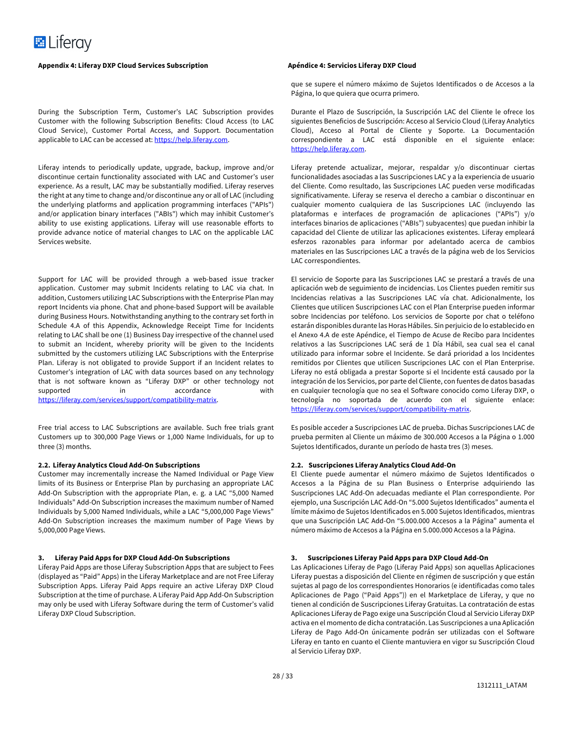#### **Appendix 4: Liferay DXP Cloud Services Subscription Apéndice 4: Servicios Liferay DXP Cloud**

During the Subscription Term, Customer's LAC Subscription provides Customer with the following Subscription Benefits: Cloud Access (to LAC Cloud Service), Customer Portal Access, and Support. Documentation applicable to LAC can be accessed at: https://help.liferay.com.

Liferay intends to periodically update, upgrade, backup, improve and/or discontinue certain functionality associated with LAC and Customer's user experience. As a result, LAC may be substantially modified. Liferay reserves the right at any time to change and/or discontinue any or all of LAC (including the underlying platforms and application programming interfaces ("APIs") and/or application binary interfaces ("ABIs") which may inhibit Customer's ability to use existing applications. Liferay will use reasonable efforts to provide advance notice of material changes to LAC on the applicable LAC Services website.

Support for LAC will be provided through a web-based issue tracker application. Customer may submit Incidents relating to LAC via chat. In addition, Customers utilizing LAC Subscriptions with the Enterprise Plan may report Incidents via phone. Chat and phone-based Support will be available during Business Hours. Notwithstanding anything to the contrary set forth in Schedule 4.A of this Appendix, Acknowledge Receipt Time for Incidents relating to LAC shall be one (1) Business Day irrespective of the channel used to submit an Incident, whereby priority will be given to the Incidents submitted by the customers utilizing LAC Subscriptions with the Enterprise Plan. Liferay is not obligated to provide Support if an Incident relates to Customer's integration of LAC with data sources based on any technology that is not software known as "Liferay DXP" or other technology not supported in accordance with https://liferay.com/services/support/compatibility-matrix.

Free trial access to LAC Subscriptions are available. Such free trials grant Customers up to 300,000 Page Views or 1,000 Name Individuals, for up to three (3) months.

#### **2.2. Liferay Analytics Cloud Add-On Subscriptions**

Customer may incrementally increase the Named Individual or Page View limits of its Business or Enterprise Plan by purchasing an appropriate LAC Add-On Subscription with the appropriate Plan, e. g. a LAC "5,000 Named Individuals" Add-On Subscription increases the maximum number of Named Individuals by 5,000 Named Individuals, while a LAC "5,000,000 Page Views" Add-On Subscription increases the maximum number of Page Views by 5,000,000 Page Views.

#### **3. Liferay Paid Apps for DXP Cloud Add-On Subscriptions**

Liferay Paid Apps are those Liferay Subscription Apps that are subject to Fees (displayed as "Paid" Apps) in the Liferay Marketplace and are not Free Liferay Subscription Apps. Liferay Paid Apps require an active Liferay DXP Cloud Subscription at the time of purchase. A Liferay Paid App Add-On Subscription may only be used with Liferay Software during the term of Customer's valid Liferay DXP Cloud Subscription.

que se supere el número máximo de Sujetos Identificados o de Accesos a la Página, lo que quiera que ocurra primero.

Durante el Plazo de Suscripción, la Suscripción LAC del Cliente le ofrece los siguientes Beneficios de Suscripción: Acceso al Servicio Cloud (Liferay Analytics Cloud), Acceso al Portal de Cliente y Soporte. La Documentación correspondiente a LAC está disponible en el siguiente enlace: https://help.liferay.com.

Liferay pretende actualizar, mejorar, respaldar y/o discontinuar ciertas funcionalidades asociadas a las Suscripciones LAC y a la experiencia de usuario del Cliente. Como resultado, las Suscripciones LAC pueden verse modificadas significativamente. Liferay se reserva el derecho a cambiar o discontinuar en cualquier momento cualquiera de las Suscripciones LAC (incluyendo las plataformas e interfaces de programación de aplicaciones ("APIs") y/o interfaces binarios de aplicaciones ("ABIs") subyacentes) que puedan inhibir la capacidad del Cliente de utilizar las aplicaciones existentes. Liferay empleará esferzos razonables para informar por adelantado acerca de cambios materiales en las Suscripciones LAC a través de la página web de los Servicios LAC correspondientes.

El servicio de Soporte para las Suscripciones LAC se prestará a través de una aplicación web de seguimiento de incidencias. Los Clientes pueden remitir sus Incidencias relativas a las Suscripciones LAC vía chat. Adicionalmente, los Clientes que utilicen Suscripciones LAC con el Plan Enterprise pueden informar sobre Incidencias por teléfono. Los servicios de Soporte por chat o teléfono estarán disponibles durante las Horas Hábiles. Sin perjuicio de lo establecido en el Anexo 4.A de este Apéndice, el Tiempo de Acuse de Recibo para Incidentes relativos a las Suscripciones LAC será de 1 Día Hábil, sea cual sea el canal utilizado para informar sobre el Incidente. Se dará prioridad a los Incidentes remitidos por Clientes que utilicen Suscripciones LAC con el Plan Enterprise. Liferay no está obligada a prestar Soporte si el Incidente está causado por la integración de los Servicios, por parte del Cliente, con fuentes de datos basadas en cualquier tecnología que no sea el Software conocido como Liferay DXP, o tecnología no soportada de acuerdo con el siguiente enlace: https://liferay.com/services/support/compatibility-matrix.

Es posible acceder a Suscripciones LAC de prueba. Dichas Suscripciones LAC de prueba permiten al Cliente un máximo de 300.000 Accesos a la Página o 1.000 Sujetos Identificados, durante un período de hasta tres (3) meses.

### **2.2. Suscripciones Liferay Analytics Cloud Add-On**

El Cliente puede aumentar el número máximo de Sujetos Identificados o Accesos a la Página de su Plan Business o Enterprise adquiriendo las Suscripciones LAC Add-On adecuadas mediante el Plan correspondiente. Por ejemplo, una Suscripción LAC Add-On "5.000 Sujetos Identificados" aumenta el límite máximo de Sujetos Identificados en 5.000 Sujetos Identificados, mientras que una Suscripción LAC Add-On "5.000.000 Accesos a la Página" aumenta el número máximo de Accesos a la Página en 5.000.000 Accesos a la Página.

### **3. Suscripciones Liferay Paid Apps para DXP Cloud Add-On**

Las Aplicaciones Liferay de Pago (Liferay Paid Apps) son aquellas Aplicaciones Liferay puestas a disposición del Cliente en régimen de suscripción y que están sujetas al pago de los correspondientes Honorarios (e identificadas como tales Aplicaciones de Pago ("Paid Apps")) en el Marketplace de Liferay, y que no tienen al condición de Suscripciones Liferay Gratuitas. La contratación de estas Aplicaciones Liferay de Pago exige una Suscripción Cloud al Servicio Liferay DXP activa en el momento de dicha contratación. Las Suscripciones a una Aplicación Liferay de Pago Add-On únicamente podrán ser utilizadas con el Software Liferay en tanto en cuanto el Cliente mantuviera en vigor su Suscripción Cloud al Servicio Liferay DXP.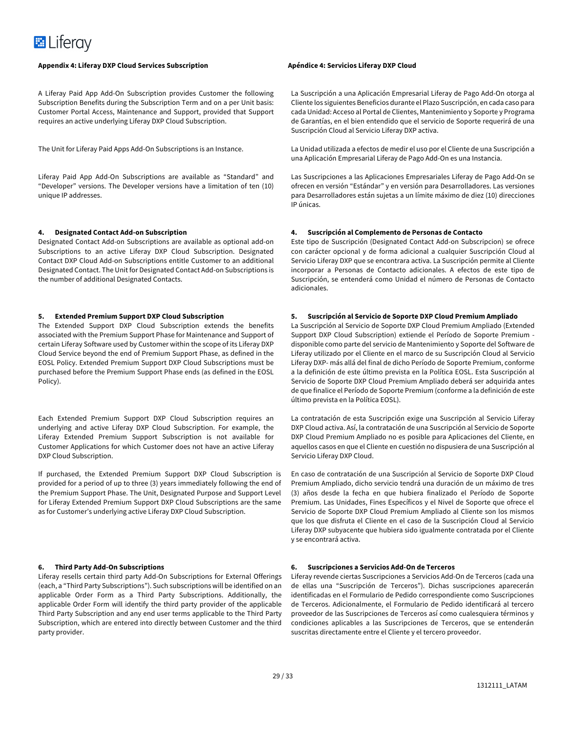#### **Appendix 4: Liferay DXP Cloud Services Subscription Apéndice 4: Servicios Liferay DXP Cloud**

A Liferay Paid App Add-On Subscription provides Customer the following Subscription Benefits during the Subscription Term and on a per Unit basis: Customer Portal Access, Maintenance and Support, provided that Support requires an active underlying Liferay DXP Cloud Subscription.

The Unit for Liferay Paid Apps Add-On Subscriptions is an Instance.

Liferay Paid App Add-On Subscriptions are available as "Standard" and "Developer" versions. The Developer versions have a limitation of ten (10) unique IP addresses.

#### **4. Designated Contact Add-on Subscription**

Designated Contact Add-on Subscriptions are available as optional add-on Subscriptions to an active Liferay DXP Cloud Subscription. Designated Contact DXP Cloud Add-on Subscriptions entitle Customer to an additional Designated Contact. The Unit for Designated Contact Add-on Subscriptions is the number of additional Designated Contacts.

#### **5. Extended Premium Support DXP Cloud Subscription**

The Extended Support DXP Cloud Subscription extends the benefits associated with the Premium Support Phase for Maintenance and Support of certain Liferay Software used by Customer within the scope of its Liferay DXP Cloud Service beyond the end of Premium Support Phase, as defined in the EOSL Policy. Extended Premium Support DXP Cloud Subscriptions must be purchased before the Premium Support Phase ends (as defined in the EOSL Policy).

Each Extended Premium Support DXP Cloud Subscription requires an underlying and active Liferay DXP Cloud Subscription. For example, the Liferay Extended Premium Support Subscription is not available for Customer Applications for which Customer does not have an active Liferay DXP Cloud Subscription.

If purchased, the Extended Premium Support DXP Cloud Subscription is provided for a period of up to three (3) years immediately following the end of the Premium Support Phase. The Unit, Designated Purpose and Support Level for Liferay Extended Premium Support DXP Cloud Subscriptions are the same as for Customer's underlying active Liferay DXP Cloud Subscription.

### **6. Third Party Add-On Subscriptions**

Liferay resells certain third party Add-On Subscriptions for External Offerings (each, a "Third Party Subscriptions"). Such subscriptions will be identified on an applicable Order Form as a Third Party Subscriptions. Additionally, the applicable Order Form will identify the third party provider of the applicable Third Party Subscription and any end user terms applicable to the Third Party Subscription, which are entered into directly between Customer and the third party provider.

La Suscripción a una Aplicación Empresarial Liferay de Pago Add-On otorga al Cliente los siguientes Beneficios durante el Plazo Suscripción, en cada caso para cada Unidad: Acceso al Portal de Clientes, Mantenimiento y Soporte y Programa de Garantías, en el bien entendido que el servicio de Soporte requerirá de una Suscripción Cloud al Servicio Liferay DXP activa.

La Unidad utilizada a efectos de medir el uso por el Cliente de una Suscripción a una Aplicación Empresarial Liferay de Pago Add-On es una Instancia.

Las Suscripciones a las Aplicaciones Empresariales Liferay de Pago Add-On se ofrecen en versión "Estándar" y en versión para Desarrolladores. Las versiones para Desarrolladores están sujetas a un límite máximo de diez (10) direcciones IP únicas.

#### **4. Suscripción al Complemento de Personas de Contacto**

Este tipo de Suscripción (Designated Contact Add-on Subscripcion) se ofrece con carácter opcional y de forma adicional a cualquier Suscripción Cloud al Servicio Liferay DXP que se encontrara activa. La Suscripción permite al Cliente incorporar a Personas de Contacto adicionales. A efectos de este tipo de Suscripción, se entenderá como Unidad el número de Personas de Contacto adicionales.

#### **5. Suscripción al Servicio de Soporte DXP Cloud Premium Ampliado**

La Suscripción al Servicio de Soporte DXP Cloud Premium Ampliado (Extended Support DXP Cloud Subscription) extiende el Período de Soporte Premium disponible como parte del servicio de Mantenimiento y Soporte del Software de Liferay utilizado por el Cliente en el marco de su Suscripción Cloud al Servicio Liferay DXP- más allá del final de dicho Período de Soporte Premium, conforme a la definición de este último prevista en la Política EOSL. Esta Suscripción al Servicio de Soporte DXP Cloud Premium Ampliado deberá ser adquirida antes de que finalice el Período de Soporte Premium (conforme a la definición de este último prevista en la Política EOSL).

La contratación de esta Suscripción exige una Suscripción al Servicio Liferay DXP Cloud activa. Así, la contratación de una Suscripción al Servicio de Soporte DXP Cloud Premium Ampliado no es posible para Aplicaciones del Cliente, en aquellos casos en que el Cliente en cuestión no dispusiera de una Suscripción al Servicio Liferay DXP Cloud.

En caso de contratación de una Suscripción al Servicio de Soporte DXP Cloud Premium Ampliado, dicho servicio tendrá una duración de un máximo de tres (3) años desde la fecha en que hubiera finalizado el Período de Soporte Premium. Las Unidades, Fines Específicos y el Nivel de Soporte que ofrece el Servicio de Soporte DXP Cloud Premium Ampliado al Cliente son los mismos que los que disfruta el Cliente en el caso de la Suscripción Cloud al Servicio Liferay DXP subyacente que hubiera sido igualmente contratada por el Cliente y se encontrará activa.

#### **6. Suscripciones a Servicios Add-On de Terceros**

Liferay revende ciertas Suscripciones a Servicios Add-On de Terceros (cada una de ellas una "Suscripción de Terceros"). Dichas suscripciones aparecerán identificadas en el Formulario de Pedido correspondiente como Suscripciones de Terceros. Adicionalmente, el Formulario de Pedido identificará al tercero proveedor de las Suscripciones de Terceros así como cualesquiera términos y condiciones aplicables a las Suscripciones de Terceros, que se entenderán suscritas directamente entre el Cliente y el tercero proveedor.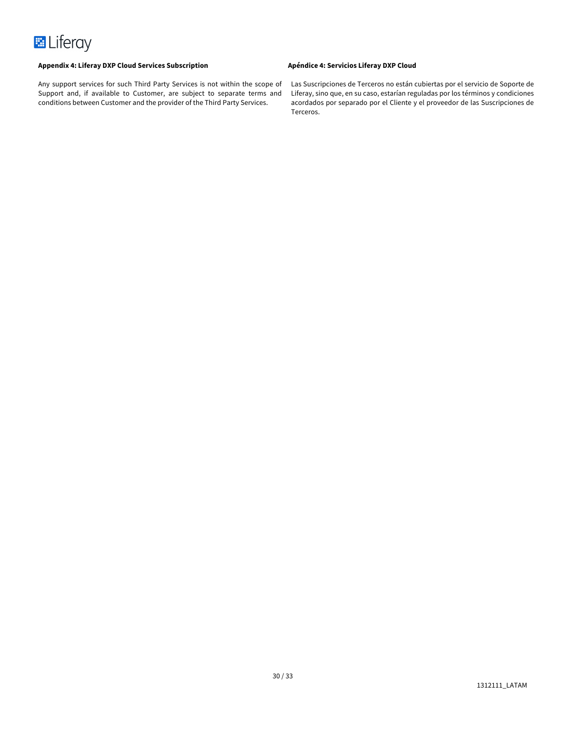

Any support services for such Third Party Services is not within the scope of Support and, if available to Customer, are subject to separate terms and conditions between Customer and the provider of the Third Party Services.

Las Suscripciones de Terceros no están cubiertas por el servicio de Soporte de Liferay, sino que, en su caso, estarían reguladas por los términos y condiciones acordados por separado por el Cliente y el proveedor de las Suscripciones de Terceros.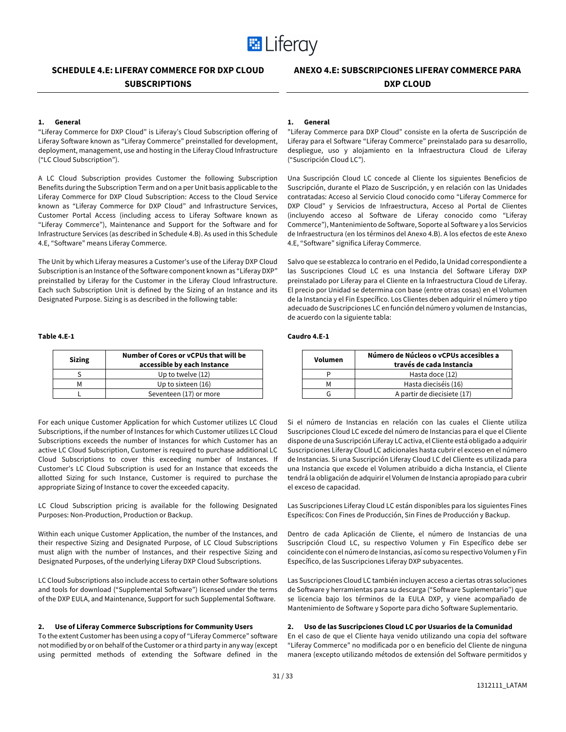

# **SCHEDULE 4.E: LIFERAY COMMERCE FOR DXP CLOUD SUBSCRIPTIONS**

# **ANEXO 4.E: SUBSCRIPCIONES LIFERAY COMMERCE PARA DXP CLOUD**

### **1. General**

"Liferay Commerce for DXP Cloud" is Liferay's Cloud Subscription offering of Liferay Software known as "Liferay Commerce" preinstalled for development, deployment, management, use and hosting in the Liferay Cloud Infrastructure ("LC Cloud Subscription").

A LC Cloud Subscription provides Customer the following Subscription Benefits during the Subscription Term and on a per Unit basis applicable to the Liferay Commerce for DXP Cloud Subscription: Access to the Cloud Service known as "Liferay Commerce for DXP Cloud" and Infrastructure Services, Customer Portal Access (including access to Liferay Software known as "Liferay Commerce"), Maintenance and Support for the Software and for Infrastructure Services (as described in Schedule 4.B). As used in this Schedule 4.E, "Software" means Liferay Commerce.

The Unit by which Liferay measures a Customer's use of the Liferay DXP Cloud Subscription is an Instance of the Software component known as "Liferay DXP" preinstalled by Liferay for the Customer in the Liferay Cloud Infrastructure. Each such Subscription Unit is defined by the Sizing of an Instance and its Designated Purpose. Sizing is as described in the following table:

#### **Table 4.E-1**

| <b>Sizing</b> | Number of Cores or yCPUs that will be<br>accessible by each Instance |
|---------------|----------------------------------------------------------------------|
|               | Up to twelve (12)                                                    |
| м             | Up to sixteen (16)                                                   |
|               | Seventeen (17) or more                                               |

For each unique Customer Application for which Customer utilizes LC Cloud Subscriptions, if the number of Instances for which Customer utilizes LC Cloud Subscriptions exceeds the number of Instances for which Customer has an active LC Cloud Subscription, Customer is required to purchase additional LC Cloud Subscriptions to cover this exceeding number of Instances. If Customer's LC Cloud Subscription is used for an Instance that exceeds the allotted Sizing for such Instance, Customer is required to purchase the appropriate Sizing of Instance to cover the exceeded capacity.

LC Cloud Subscription pricing is available for the following Designated Purposes: Non-Production, Production or Backup.

Within each unique Customer Application, the number of the Instances, and their respective Sizing and Designated Purpose, of LC Cloud Subscriptions must align with the number of Instances, and their respective Sizing and Designated Purposes, of the underlying Liferay DXP Cloud Subscriptions.

LC Cloud Subscriptions also include access to certain other Software solutions and tools for download ("Supplemental Software") licensed under the terms of the DXP EULA, and Maintenance, Support for such Supplemental Software.

#### **2. Use of Liferay Commerce Subscriptions for Community Users**

To the extent Customer has been using a copy of "Liferay Commerce" software not modified by or on behalf of the Customer or a third party in any way (except using permitted methods of extending the Software defined in the

#### **1. General**

"Liferay Commerce para DXP Cloud" consiste en la oferta de Suscripción de Liferay para el Software "Liferay Commerce" preinstalado para su desarrollo, despliegue, uso y alojamiento en la Infraestructura Cloud de Liferay ("Suscripción Cloud LC").

Una Suscripción Cloud LC concede al Cliente los siguientes Beneficios de Suscripción, durante el Plazo de Suscripción, y en relación con las Unidades contratadas: Acceso al Servicio Cloud conocido como "Liferay Commerce for DXP Cloud" y Servicios de Infraestructura, Acceso al Portal de Clientes (incluyendo acceso al Software de Liferay conocido como "Liferay Commerce"), Mantenimiento de Software, Soporte al Software y a los Servicios de Infraestructura (en los términos del Anexo 4.B). A los efectos de este Anexo 4.E, "Software" significa Liferay Commerce.

Salvo que se establezca lo contrario en el Pedido, la Unidad correspondiente a las Suscripciones Cloud LC es una Instancia del Software Liferay DXP preinstalado por Liferay para el Cliente en la Infraestructura Cloud de Liferay. El precio por Unidad se determina con base (entre otras cosas) en el Volumen de la Instancia y el Fin Específico. Los Clientes deben adquirir el número y tipo adecuado de Suscripciones LC en función del número y volumen de Instancias, de acuerdo con la siguiente tabla:

### **Caudro 4.E-1**

| Volumen | Número de Núcleos o vCPUs accesibles a<br>través de cada Instancia |
|---------|--------------------------------------------------------------------|
|         | Hasta doce (12)                                                    |
| м       | Hasta dieciséis (16)                                               |
|         | A partir de diecisiete (17)                                        |

Si el número de Instancias en relación con las cuales el Cliente utiliza Suscripciones Cloud LC excede del número de Instancias para el que el Cliente dispone de una Suscripción Liferay LC activa, el Cliente está obligado a adquirir Suscripciones Liferay Cloud LC adicionales hasta cubrir el exceso en el número de Instancias. Si una Suscripción Liferay Cloud LC del Cliente es utilizada para una Instancia que excede el Volumen atribuido a dicha Instancia, el Cliente tendrá la obligación de adquirir el Volumen de Instancia apropiado para cubrir el exceso de capacidad.

Las Suscripciones Liferay Cloud LC están disponibles para los siguientes Fines Específicos: Con Fines de Producción, Sin Fines de Producción y Backup.

Dentro de cada Aplicación de Cliente, el número de Instancias de una Suscripción Cloud LC, su respectivo Volumen y Fin Específico debe ser coincidente con el número de Instancias, así como su respectivo Volumen y Fin Específico, de las Suscripciones Liferay DXP subyacentes.

Las Suscripciones Cloud LC también incluyen acceso a ciertas otras soluciones de Software y herramientas para su descarga ("Software Suplementario") que se licencia bajo los términos de la EULA DXP, y viene acompañado de Mantenimiento de Software y Soporte para dicho Software Suplementario.

#### **2. Uso de las Suscripciones Cloud LC por Usuarios de la Comunidad**

En el caso de que el Cliente haya venido utilizando una copia del software "Liferay Commerce" no modificada por o en beneficio del Cliente de ninguna manera (excepto utilizando métodos de extensión del Software permitidos y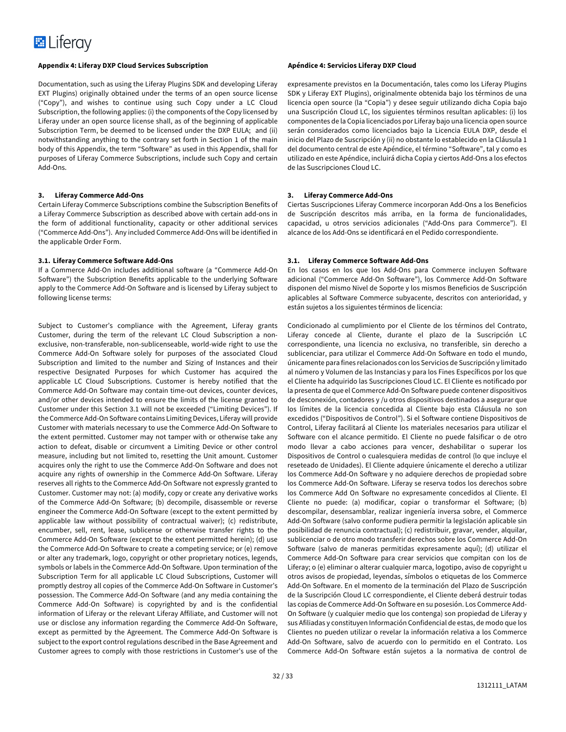#### **Appendix 4: Liferay DXP Cloud Services Subscription Apéndice 4: Servicios Liferay DXP Cloud**

Documentation, such as using the Liferay Plugins SDK and developing Liferay EXT Plugins) originally obtained under the terms of an open source license ("Copy"), and wishes to continue using such Copy under a LC Cloud Subscription, the following applies: (i) the components of the Copy licensed by Liferay under an open source license shall, as of the beginning of applicable Subscription Term, be deemed to be licensed under the DXP EULA; and (ii) notwithstanding anything to the contrary set forth in Section 1 of the main body of this Appendix, the term "Software" as used in this Appendix, shall for purposes of Liferay Commerce Subscriptions, include such Copy and certain Add-Ons.

#### **3. Liferay Commerce Add-Ons**

Certain Liferay Commerce Subscriptions combine the Subscription Benefits of a Liferay Commerce Subscription as described above with certain add-ons in the form of additional functionality, capacity or other additional services ("Commerce Add-Ons"). Any included Commerce Add-Ons will be identified in the applicable Order Form.

#### **3.1. Liferay Commerce Software Add-Ons**

If a Commerce Add-On includes additional software (a "Commerce Add-On Software") the Subscription Benefits applicable to the underlying Software apply to the Commerce Add-On Software and is licensed by Liferay subject to following license terms:

Subject to Customer's compliance with the Agreement, Liferay grants Customer, during the term of the relevant LC Cloud Subscription a nonexclusive, non-transferable, non-sublicenseable, world-wide right to use the Commerce Add-On Software solely for purposes of the associated Cloud Subscription and limited to the number and Sizing of Instances and their respective Designated Purposes for which Customer has acquired the applicable LC Cloud Subscriptions. Customer is hereby notified that the Commerce Add-On Software may contain time-out devices, counter devices, and/or other devices intended to ensure the limits of the license granted to Customer under this Section 3.1 will not be exceeded ("Limiting Devices"). If the Commerce Add-On Software contains Limiting Devices, Liferay will provide Customer with materials necessary to use the Commerce Add-On Software to the extent permitted. Customer may not tamper with or otherwise take any action to defeat, disable or circumvent a Limiting Device or other control measure, including but not limited to, resetting the Unit amount. Customer acquires only the right to use the Commerce Add-On Software and does not acquire any rights of ownership in the Commerce Add-On Software. Liferay reserves all rights to the Commerce Add-On Software not expressly granted to Customer. Customer may not: (a) modify, copy or create any derivative works of the Commerce Add-On Software; (b) decompile, disassemble or reverse engineer the Commerce Add-On Software (except to the extent permitted by applicable law without possibility of contractual waiver); (c) redistribute, encumber, sell, rent, lease, sublicense or otherwise transfer rights to the Commerce Add-On Software (except to the extent permitted herein); (d) use the Commerce Add-On Software to create a competing service; or (e) remove or alter any trademark, logo, copyright or other proprietary notices, legends, symbols or labels in the Commerce Add-On Software. Upon termination of the Subscription Term for all applicable LC Cloud Subscriptions, Customer will promptly destroy all copies of the Commerce Add-On Software in Customer's possession. The Commerce Add-On Software (and any media containing the Commerce Add-On Software) is copyrighted by and is the confidential information of Liferay or the relevant Liferay Affiliate, and Customer will not use or disclose any information regarding the Commerce Add-On Software, except as permitted by the Agreement. The Commerce Add-On Software is subject to the export control regulations described in the Base Agreement and Customer agrees to comply with those restrictions in Customer's use of the

expresamente previstos en la Documentación, tales como los Liferay Plugins SDK y Liferay EXT Plugins), originalmente obtenida bajo los términos de una licencia open source (la "Copia") y desee seguir utilizando dicha Copia bajo una Suscripción Cloud LC, los siguientes términos resultan aplicables: (i) los componentes de la Copia licenciados por Liferay bajo una licencia open source serán considerados como licenciados bajo la Licencia EULA DXP, desde el inicio del Plazo de Suscripción y (ii) no obstante lo establecido en la Cláusula 1 del documento central de este Apéndice, el término "Software", tal y como es utilizado en este Apéndice, incluirá dicha Copia y ciertos Add-Ons a los efectos de las Suscripciones Cloud LC.

### **3. Liferay Commerce Add-Ons**

Ciertas Suscripciones Liferay Commerce incorporan Add-Ons a los Beneficios de Suscripción descritos más arriba, en la forma de funcionalidades, capacidad, u otros servicios adicionales ("Add-Ons para Commerce"). El alcance de los Add-Ons se identificará en el Pedido correspondiente.

#### **3.1. Liferay Commerce Software Add-Ons**

En los casos en los que los Add-Ons para Commerce incluyen Software adicional ("Commerce Add-On Software"), los Commerce Add-On Software disponen del mismo Nivel de Soporte y los mismos Beneficios de Suscripción aplicables al Software Commerce subyacente, descritos con anterioridad, y están sujetos a los siguientes términos de licencia:

Condicionado al cumplimiento por el Cliente de los términos del Contrato, Liferay concede al Cliente, durante el plazo de la Suscripción LC correspondiente, una licencia no exclusiva, no transferible, sin derecho a sublicenciar, para utilizar el Commerce Add-On Software en todo el mundo, únicamente para fines relacionados con los Servicios de Suscripción y limitado al número y Volumen de las Instancias y para los Fines Específicos por los que el Cliente ha adquirido las Suscripciones Cloud LC. El Cliente es notificado por la presenta de que el Commerce Add-On Software puede contener dispositivos de desconexión, contadores y /u otros dispositivos destinados a asegurar que los límites de la licencia concedida al Cliente bajo esta Cláusula no son excedidos ("Dispositivos de Control"). Si el Software contiene Dispositivos de Control, Liferay facilitará al Cliente los materiales necesarios para utilizar el Software con el alcance permitido. El Cliente no puede falsificar o de otro modo llevar a cabo acciones para vencer, deshabilitar o superar los Dispositivos de Control o cualesquiera medidas de control (lo que incluye el reseteado de Unidades). El Cliente adquiere únicamente el derecho a utilizar los Commerce Add-On Software y no adquiere derechos de propiedad sobre los Commerce Add-On Software. Liferay se reserva todos los derechos sobre los Commerce Add On Software no expresamente concedidos al Cliente. El Cliente no puede: (a) modificar, copiar o transformar el Software; (b) descompilar, desensamblar, realizar ingeniería inversa sobre, el Commerce Add-On Software (salvo conforme pudiera permitir la legislación aplicable sin posibilidad de renuncia contractual); (c) redistribuir, gravar, vender, alquilar, sublicenciar o de otro modo transferir derechos sobre los Commerce Add-On Software (salvo de maneras permitidas expresamente aquí); (d) utilizar el Commerce Add-On Software para crear servicios que compitan con los de Liferay; o (e) eliminar o alterar cualquier marca, logotipo, aviso de copyright u otros avisos de propiedad, leyendas, símbolos o etiquetas de los Commerce Add-On Software. En el momento de la terminación del Plazo de Suscripción de la Suscripción Cloud LC correspondiente, el Cliente deberá destruir todas las copias de Commerce Add-On Software en su posesión. Los Commerce Add-On Software (y cualquier medio que los contenga) son propiedad de Liferay y sus Afiliadas y constituyen Información Confidencial de estas, de modo que los Clientes no pueden utilizar o revelar la información relativa a los Commerce Add-On Software, salvo de acuerdo con lo permitido en el Contrato. Los Commerce Add-On Software están sujetos a la normativa de control de